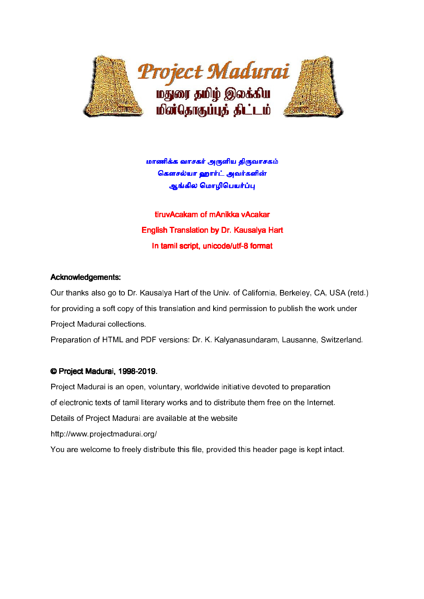

மாணிக்க வாசகர் அருளிய கிருவாசகம் கௌசல்யா ஹார்ட் அவர்களின் ஆங்கில மொழிபெயர்ப்ப

tiruvAcakam of mAnikka vAcakar English Translation by Dr. Kausalya Hart In tamil script, unicode/utf-8 format

# Acknowledgements:

Our thanks also go to Dr. Kausalya Hart of the Univ. of California, Berkeley, CA, USA (retd.) for providing a soft copy of this translation and kind permission to publish the work under Project Madurai collections.

Preparation of HTML and PDF versions: Dr. K. Kalyanasundaram, Lausanne, Switzerland.

# © Project Madurai, 1998-2019.

Project Madurai is an open, voluntary, worldwide initiative devoted to preparation of electronic texts of tamil literary works and to distribute them free on the Internet. Details of Project Madurai are available at the website http://www.projectmadurai.org/ You are welcome to freely distribute this file, provided this header page is kept intact.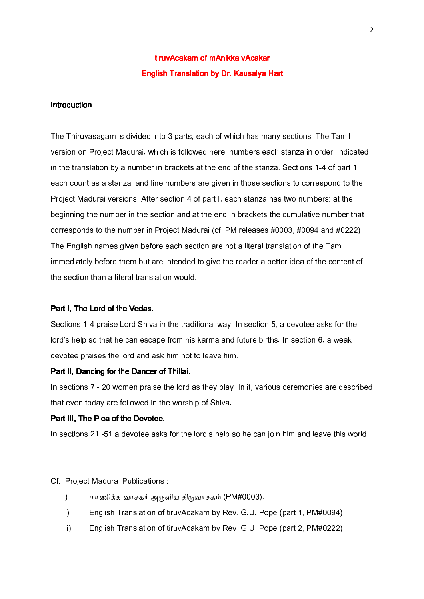# tiruvAcakam of mAnikka vAcakar English Translation by Dr. Kausalya Hart

# **Introduction**

The Thiruvasagam is divided into 3 parts, each of which has many sections. The Tamil version on Project Madurai, which is followed here, numbers each stanza in order, indicated in the translation by a number in brackets at the end of the stanza. Sections 1-4 of part 1 each count as a stanza, and line numbers are given in those sections to correspond to the Project Madurai versions. After section 4 of part I, each stanza has two numbers: at the beginning the number in the section and at the end in brackets the cumulative number that corresponds to the number in Project Madurai (cf. PM releases #0003, #0094 and #0222). The English names given before each section are not a literal translation of the Tamil immediately before them but are intended to give the reader a better idea of the content of the section than a literal translation would.

# Part I, The Lord of the Vedas.

Sections 1-4 praise Lord Shiva in the traditional way. In section 5, a devotee asks for the lord's help so that he can escape from his karma and future births. In section 6, a weak devotee praises the lord and ask him not to leave him.

### Part II, Dancing for the Dancer of Thillai.

In sections 7 - 20 women praise the lord as they play. In it, various ceremonies are described that even today are followed in the worship of Shiva.

# Part III, The Plea of the Devotee.

In sections 21 -51 a devotee asks for the lord's help so he can join him and leave this world.

#### Cf. Project Madurai Publications :

- i) மாணிக்க வாசகர் அருளிய கிருவாசகம் (PM#0003).
- ii) English Translation of tiruvAcakam by Rev. G.U. Pope (part 1, PM#0094)
- iii) English Translation of tiruvAcakam by Rev. G.U. Pope (part 2, PM#0222)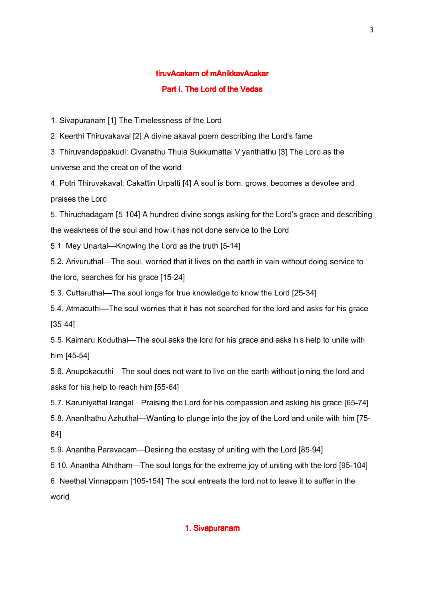# tiruvAcakam of mAnikkavAcakar Part I. The Lord of the Vedas

1. Sivapuranam [1] The Timelessness of the Lord

2. Keerthi Thiruvakaval [2] A divine akaval poem describing the Lord's fame

3. Thiruvandappakudi: Civanathu Thula Sukkumattai Viyanthathu [3] The Lord as the universe and the creation of the world

4. Potri Thiruvakaval: Cakattin Urpatti [4] A soul is born, grows, becomes a devotee and praises the Lord

5. Thiruchadagam [5-104] A hundred divine songs asking for the Lord's grace and describing the weakness of the soul and how it has not done service to the Lord

5.1. Mey Uṇartal—Knowing the Lord as the truth [5-14]

5.2. Arivuruthal—The soul, worried that it lives on the earth in vain without doing service to the lord, searches for his grace [15-24]

5.3. Cuttaruthal—The soul longs for true knowledge to know the Lord [25-34]

5.4. Atmacuthi—The soul worries that it has not searched for the lord and asks for his grace [35-44]

5.5. Kaimaru Koduthal—The soul asks the lord for his grace and asks his help to unite with him [45-54]

5.6. Anupokacuthi—The soul does not want to live on the earth without joining the lord and asks for his help to reach him [55-64]

5.7. Karuniyattal Irangal—Praising the Lord for his compassion and asking his grace [65-74]

5.8. Ananthathu Azhuthal—Wanting to plunge into the joy of the Lord and unite with him [75- 84]

5.9. Anantha Paravacam—Desiring the ecstasy of uniting with the Lord [85-94]

5.10. Anantha Athitham—The soul longs for the extreme joy of uniting with the lord [95-104]

6. Neethal Vinnappam [105-154] The soul entreats the lord not to leave it to suffer in the world

# 1. Sivapuranam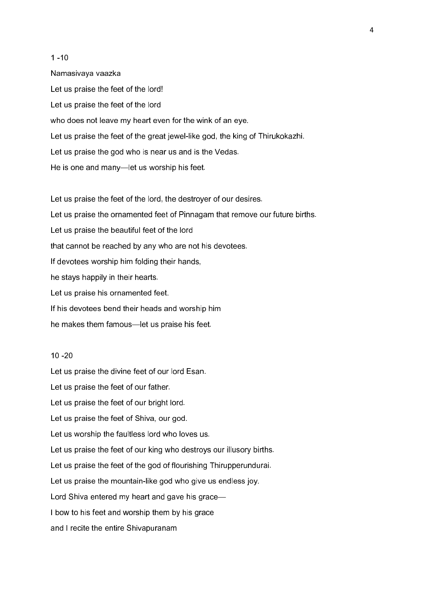$1 - 10$ Namasivaya vaazka Let us praise the feet of the lord! Let us praise the feet of the lord who does not leave my heart even for the wink of an eye. Let us praise the feet of the great jewel-like god, the king of Thirukokazhi. Let us praise the god who is near us and is the Vedas. He is one and many—let us worship his feet.

Let us praise the feet of the lord, the destroyer of our desires. Let us praise the ornamented feet of Pinnagam that remove our future births. Let us praise the beautiful feet of the lord that cannot be reached by any who are not his devotees. If devotees worship him folding their hands, he stays happily in their hearts. Let us praise his ornamented feet. If his devotees bend their heads and worship him he makes them famous—let us praise his feet.

# 10 -20

Let us praise the divine feet of our lord Esan.

Let us praise the feet of our father.

Let us praise the feet of our bright lord.

Let us praise the feet of Shiva, our god.

Let us worship the faultless lord who loves us.

Let us praise the feet of our king who destroys our illusory births.

Let us praise the feet of the god of flourishing Thirupperundurai.

Let us praise the mountain-like god who give us endless joy.

Lord Shiva entered my heart and gave his grace—

I bow to his feet and worship them by his grace

and I recite the entire Shivapuranam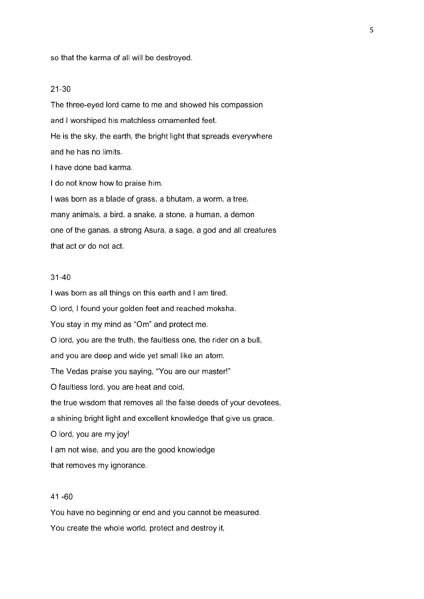so that the karma of all will be destroyed.

## 21-30

The three-eyed lord came to me and showed his compassion and I worshiped his matchless ornamented feet. He is the sky, the earth, the bright light that spreads everywhere and he has no limits. I have done bad karma. I do not know how to praise him. I was born as a blade of grass, a bhutam, a worm, a tree, many animals, a bird, a snake, a stone, a human, a demon one of the ganas, a strong Asura, a sage, a god and all creatures that act or do not act.

# 31-40

I was born as all things on this earth and I am tired. O lord, I found your golden feet and reached moksha. You stay in my mind as "Om" and protect me. O lord, you are the truth, the faultless one, the rider on a bull, and you are deep and wide yet small like an atom. The Vedas praise you saying, "You are our master!" O faultless lord, you are heat and cold, the true wisdom that removes all the false deeds of your devotees, a shining bright light and excellent knowledge that give us grace. O lord, you are my joy! I am not wise, and you are the good knowledge that removes my ignorance.

# 41 -60

You have no beginning or end and you cannot be measured. You create the whole world, protect and destroy it,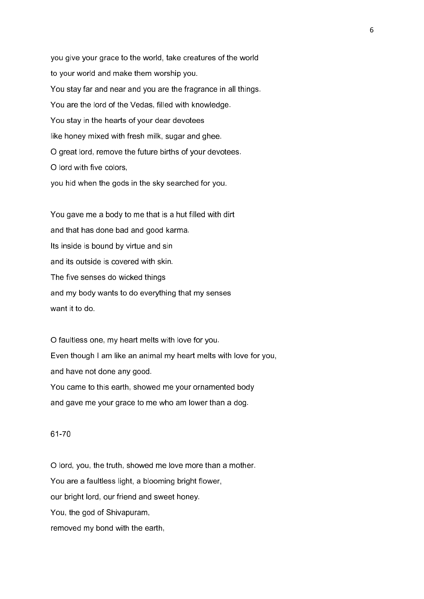you give your grace to the world, take creatures of the world to your world and make them worship you. You stay far and near and you are the fragrance in all things. You are the lord of the Vedas, filled with knowledge. You stay in the hearts of your dear devotees like honey mixed with fresh milk, sugar and ghee. O great lord, remove the future births of your devotees. O lord with five colors, you hid when the gods in the sky searched for you.

You gave me a body to me that is a hut filled with dirt and that has done bad and good karma. Its inside is bound by virtue and sin and its outside is covered with skin. The five senses do wicked things and my body wants to do everything that my senses want it to do.

O faultless one, my heart melts with love for you. Even though I am like an animal my heart melts with love for you, and have not done any good. You came to this earth, showed me your ornamented body and gave me your grace to me who am lower than a dog.

# 61-70

O lord, you, the truth, showed me love more than a mother. You are a faultless light, a blooming bright flower, our bright lord, our friend and sweet honey. You, the god of Shivapuram, removed my bond with the earth,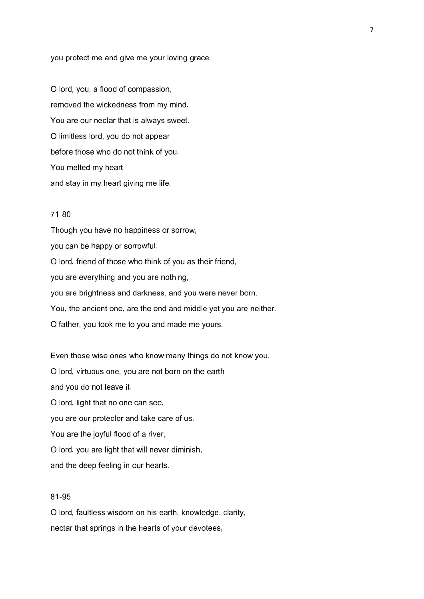you protect me and give me your loving grace.

O lord, you, a flood of compassion, removed the wickedness from my mind, You are our nectar that is always sweet. O limitless lord, you do not appear before those who do not think of you. You melted my heart and stay in my heart giving me life.

# 71-80

Though you have no happiness or sorrow, you can be happy or sorrowful. O lord, friend of those who think of you as their friend, you are everything and you are nothing, you are brightness and darkness, and you were never born. You, the ancient one, are the end and middle yet you are neither. O father, you took me to you and made me yours.

Even those wise ones who know many things do not know you. O lord, virtuous one, you are not born on the earth and you do not leave it. O lord, light that no one can see, you are our protector and take care of us. You are the joyful flood of a river, O lord, you are light that will never diminish, and the deep feeling in our hearts.

# 81-95

O lord, faultless wisdom on his earth, knowledge, clarity, nectar that springs in the hearts of your devotees,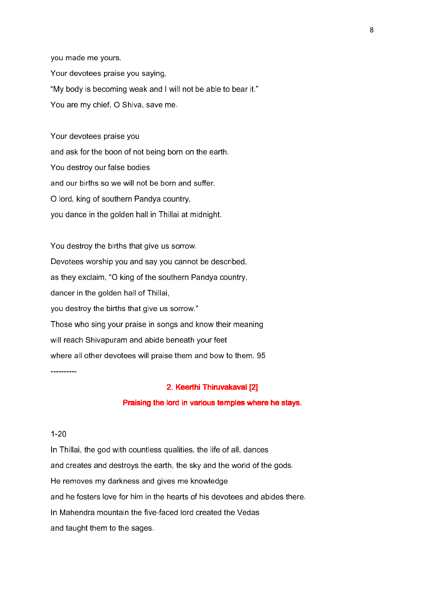you made me yours. Your devotees praise you saying, "My body is becoming weak and I will not be able to bear it." You are my chief, O Shiva, save me.

Your devotees praise you and ask for the boon of not being born on the earth. You destroy our false bodies and our births so we will not be born and suffer. O lord, king of southern Pandya country, you dance in the golden hall in Thillai at midnight.

You destroy the births that give us sorrow. Devotees worship you and say you cannot be described, as they exclaim, "O king of the southern Pandya country, dancer in the golden hall of Thillai, you destroy the births that give us sorrow." Those who sing your praise in songs and know their meaning will reach Shivapuram and abide beneath your feet where all other devotees will praise them and bow to them. 95

----------

# 2. Keerthi Thiruvakaval [2]

# Praising the lord in various temples where he stays.

# 1-20

In Thillai, the god with countless qualities, the life of all, dances and creates and destroys the earth, the sky and the world of the gods. He removes my darkness and gives me knowledge and he fosters love for him in the hearts of his devotees and abides there. In Mahendra mountain the five-faced lord created the Vedas and taught them to the sages.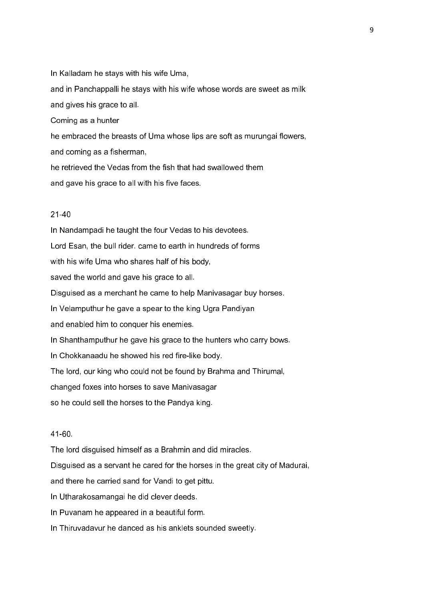In Kalladam he stays with his wife Uma, and in Panchappalli he stays with his wife whose words are sweet as milk and gives his grace to all. Coming as a hunter he embraced the breasts of Uma whose lips are soft as murungai flowers, and coming as a fisherman, he retrieved the Vedas from the fish that had swallowed them and gave his grace to all with his five faces.

# 21-40

In Nandampadi he taught the four Vedas to his devotees. Lord Esan, the bull rider. came to earth in hundreds of forms with his wife Uma who shares half of his body, saved the world and gave his grace to all. Disguised as a merchant he came to help Manivasagar buy horses. In Velamputhur he gave a spear to the king Ugra Pandiyan and enabled him to conquer his enemies. In Shanthamputhur he gave his grace to the hunters who carry bows. In Chokkanaadu he showed his red fire-like body. The lord, our king who could not be found by Brahma and Thirumal, changed foxes into horses to save Manivasagar so he could sell the horses to the Pandya king.

# 41-60.

The lord disguised himself as a Brahmin and did miracles.

Disguised as a servant he cared for the horses in the great city of Madurai,

and there he carried sand for Vandi to get pittu.

In Utharakosamangai he did clever deeds.

In Puvanam he appeared in a beautiful form.

In Thiruvadavur he danced as his anklets sounded sweetly.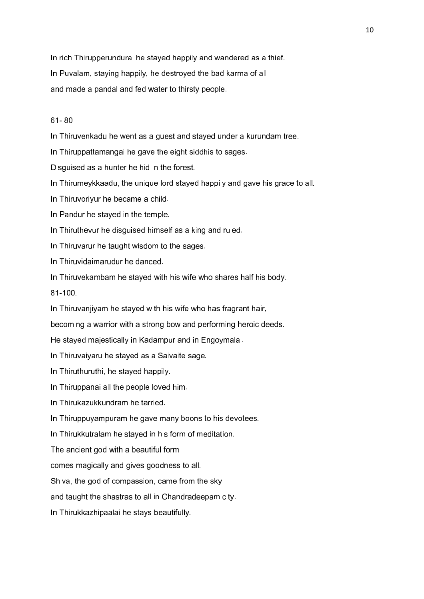In rich Thirupperundurai he stayed happily and wandered as a thief. In Puvalam, staying happily, he destroyed the bad karma of all and made a pandal and fed water to thirsty people.

# 61- 80

In Thiruvenkadu he went as a guest and stayed under a kurundam tree.

In Thiruppattamangai he gave the eight siddhis to sages.

Disguised as a hunter he hid in the forest.

In Thirumeykkaadu, the unique lord stayed happily and gave his grace to all.

In Thiruvoriyur he became a child.

In Pandur he stayed in the temple.

In Thiruthevur he disguised himself as a king and ruled.

In Thiruvarur he taught wisdom to the sages.

In Thiruvidaimarudur he danced.

In Thiruvekambam he stayed with his wife who shares half his body.

81-100.

In Thiruvanjiyam he stayed with his wife who has fragrant hair,

becoming a warrior with a strong bow and performing heroic deeds.

He stayed majestically in Kadampur and in Engoymalai.

In Thiruvaiyaru he stayed as a Saivaite sage.

In Thiruthuruthi, he stayed happily.

In Thiruppanai all the people loved him.

In Thirukazukkundram he tarried.

In Thiruppuyampuram he gave many boons to his devotees.

In Thirukkutralam he stayed in his form of meditation.

The ancient god with a beautiful form

comes magically and gives goodness to all.

Shiva, the god of compassion, came from the sky

and taught the shastras to all in Chandradeepam city.

In Thirukkazhipaalai he stays beautifully.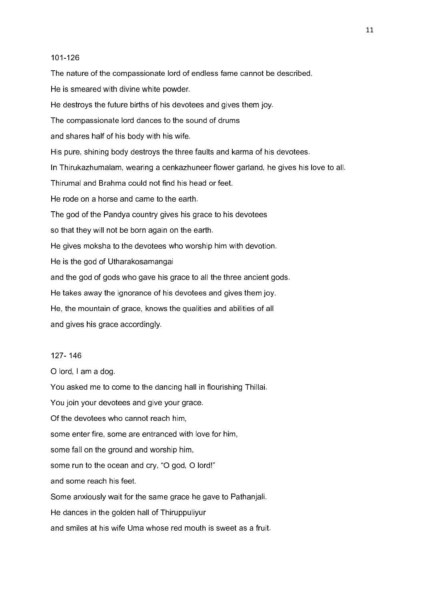#### 101-126

The nature of the compassionate lord of endless fame cannot be described. He is smeared with divine white powder. He destroys the future births of his devotees and gives them joy. The compassionate lord dances to the sound of drums and shares half of his body with his wife. His pure, shining body destroys the three faults and karma of his devotees. In Thirukazhumalam, wearing a cenkazhuneer flower garland, he gives his love to all. Thirumal and Brahma could not find his head or feet. He rode on a horse and came to the earth. The god of the Pandya country gives his grace to his devotees so that they will not be born again on the earth. He gives moksha to the devotees who worship him with devotion. He is the god of Utharakosamangai and the god of gods who gave his grace to all the three ancient gods. He takes away the ignorance of his devotees and gives them joy. He, the mountain of grace, knows the qualities and abilities of all and gives his grace accordingly.

#### 127- 146

O lord, I am a dog.

You asked me to come to the dancing hall in flourishing Thillai.

You join your devotees and give your grace. Of the devotees who cannot reach him, some enter fire, some are entranced with love for him, some fall on the ground and worship him, some run to the ocean and cry, "O god, O lord!" and some reach his feet.

Some anxiously wait for the same grace he gave to Pathanjali.

He dances in the golden hall of Thiruppuliyur

and smiles at his wife Uma whose red mouth is sweet as a fruit.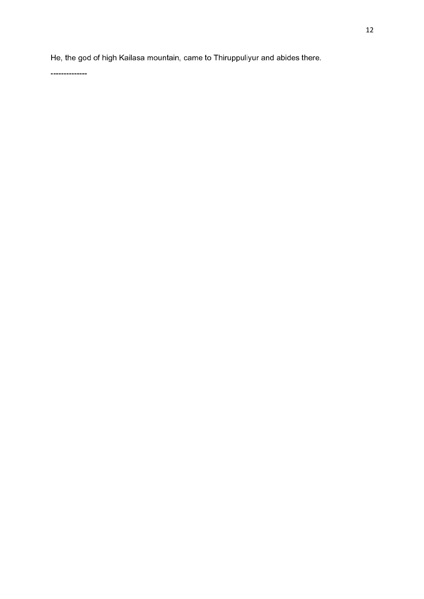He, the god of high Kailasa mountain, came to Thiruppuliyur and abides there.

--------------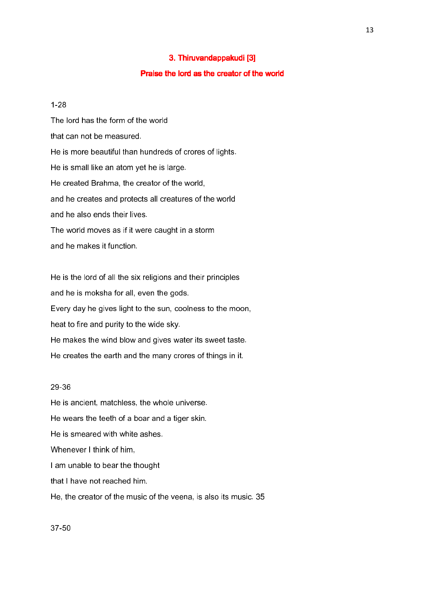# 3. Thiruvandappakudi [3]

# Praise the lord as the creator of the world

#### 1-28

The lord has the form of the world that can not be measured. He is more beautiful than hundreds of crores of lights. He is small like an atom yet he is large. He created Brahma, the creator of the world, and he creates and protects all creatures of the world and he also ends their lives. The world moves as if it were caught in a storm and he makes it function.

He is the lord of all the six religions and their principles and he is moksha for all, even the gods. Every day he gives light to the sun, coolness to the moon, heat to fire and purity to the wide sky. He makes the wind blow and gives water its sweet taste. He creates the earth and the many crores of things in it.

# 29-36

He is ancient, matchless, the whole universe. He wears the teeth of a boar and a tiger skin. He is smeared with white ashes. Whenever I think of him, I am unable to bear the thought that I have not reached him. He, the creator of the music of the veena, is also its music. 35

37-50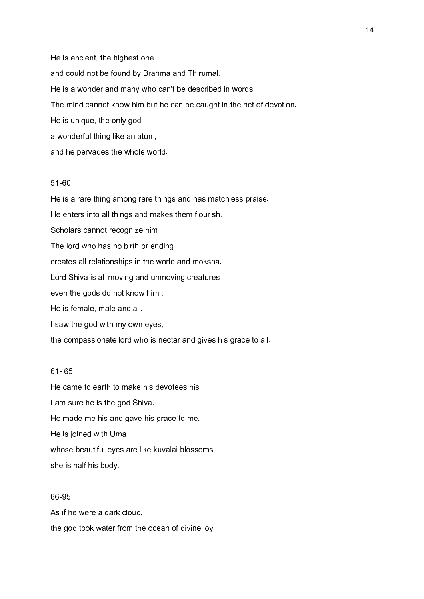He is ancient, the highest one and could not be found by Brahma and Thirumal. He is a wonder and many who can't be described in words. The mind cannot know him but he can be caught in the net of devotion. He is unique, the only god. a wonderful thing like an atom, and he pervades the whole world.

# 51-60

He is a rare thing among rare things and has matchless praise. He enters into all things and makes them flourish. Scholars cannot recognize him. The lord who has no birth or ending creates all relationships in the world and moksha. Lord Shiva is all moving and unmoving creatures even the gods do not know him.. He is female, male and ali. I saw the god with my own eyes,

the compassionate lord who is nectar and gives his grace to all.

# 61- 65

He came to earth to make his devotees his. I am sure he is the god Shiva. He made me his and gave his grace to me. He is joined with Uma whose beautiful eyes are like kuvalai blossoms she is half his body.

## 66-95

As if he were a dark cloud, the god took water from the ocean of divine joy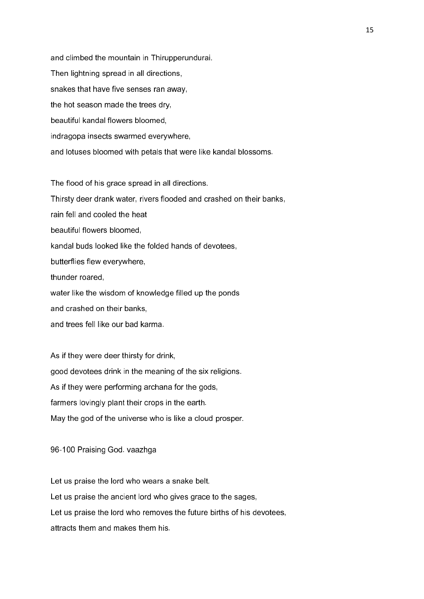and climbed the mountain in Thirupperundurai. Then lightning spread in all directions, snakes that have five senses ran away, the hot season made the trees dry, beautiful kandal flowers bloomed, indragopa insects swarmed everywhere, and lotuses bloomed with petals that were like kandal blossoms.

The flood of his grace spread in all directions.

Thirsty deer drank water, rivers flooded and crashed on their banks,

rain fell and cooled the heat

beautiful flowers bloomed,

kandal buds looked like the folded hands of devotees,

butterflies flew everywhere,

thunder roared,

water like the wisdom of knowledge filled up the ponds

and crashed on their banks,

and trees fell like our bad karma.

As if they were deer thirsty for drink, good devotees drink in the meaning of the six religions. As if they were performing archana for the gods, farmers lovingly plant their crops in the earth. May the god of the universe who is like a cloud prosper.

96-100 Praising God. vaazhga

Let us praise the lord who wears a snake belt. Let us praise the ancient lord who gives grace to the sages, Let us praise the lord who removes the future births of his devotees, attracts them and makes them his.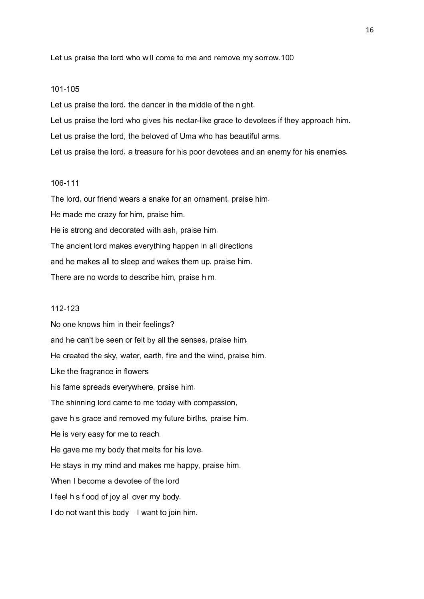Let us praise the lord who will come to me and remove my sorrow.100

#### 101-105

Let us praise the lord, the dancer in the middle of the night.

Let us praise the lord who gives his nectar-like grace to devotees if they approach him.

Let us praise the lord, the beloved of Uma who has beautiful arms.

Let us praise the lord, a treasure for his poor devotees and an enemy for his enemies.

# 106-111

The lord, our friend wears a snake for an ornament, praise him. He made me crazy for him, praise him. He is strong and decorated with ash, praise him. The ancient lord makes everything happen in all directions and he makes all to sleep and wakes them up, praise him. There are no words to describe him, praise him.

# 112-123

No one knows him in their feelings? and he can't be seen or felt by all the senses, praise him. He created the sky, water, earth, fire and the wind, praise him. Like the fragrance in flowers his fame spreads everywhere, praise him. The shinning lord came to me today with compassion, gave his grace and removed my future births, praise him. He is very easy for me to reach. He gave me my body that melts for his love. He stays in my mind and makes me happy, praise him. When I become a devotee of the lord I feel his flood of joy all over my body. I do not want this body—I want to join him.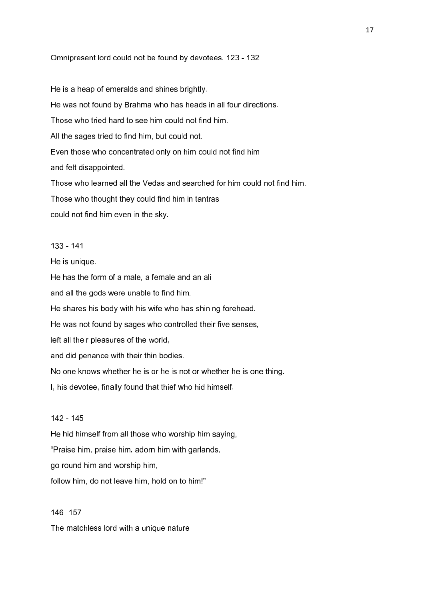Omnipresent lord could not be found by devotees. 123 - 132

He is a heap of emeralds and shines brightly. He was not found by Brahma who has heads in all four directions. Those who tried hard to see him could not find him. All the sages tried to find him, but could not. Even those who concentrated only on him could not find him and felt disappointed. Those who learned all the Vedas and searched for him could not find him. Those who thought they could find him in tantras could not find him even in the sky.

# 133 - 141

He is unique.

He has the form of a male, a female and an ali and all the gods were unable to find him. He shares his body with his wife who has shining forehead. He was not found by sages who controlled their five senses, left all their pleasures of the world, and did penance with their thin bodies. No one knows whether he is or he is not or whether he is one thing. I, his devotee, finally found that thief who hid himself.

# 142 - 145

He hid himself from all those who worship him saying, "Praise him, praise him, adorn him with garlands, go round him and worship him, follow him, do not leave him, hold on to him!"

# 146 -157 The matchless lord with a unique nature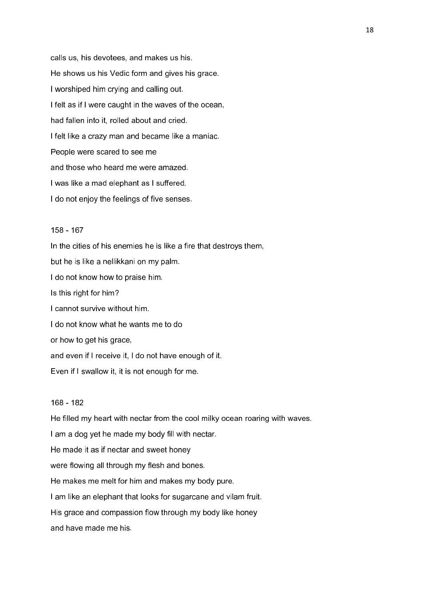calls us, his devotees, and makes us his. He shows us his Vedic form and gives his grace. I worshiped him crying and calling out. I felt as if I were caught in the waves of the ocean, had fallen into it, rolled about and cried. I felt like a crazy man and became like a maniac. People were scared to see me and those who heard me were amazed. I was like a mad elephant as I suffered. I do not enjoy the feelings of five senses.

#### 158 - 167

In the cities of his enemies he is like a fire that destroys them, but he is like a nellikkani on my palm. I do not know how to praise him. Is this right for him? I cannot survive without him. I do not know what he wants me to do or how to get his grace, and even if I receive it, I do not have enough of it. Even if I swallow it, it is not enough for me.

#### 168 - 182

He filled my heart with nectar from the cool milky ocean roaring with waves. I am a dog yet he made my body fill with nectar. He made it as if nectar and sweet honey were flowing all through my flesh and bones. He makes me melt for him and makes my body pure. I am like an elephant that looks for sugarcane and vilam fruit. His grace and compassion flow through my body like honey and have made me his.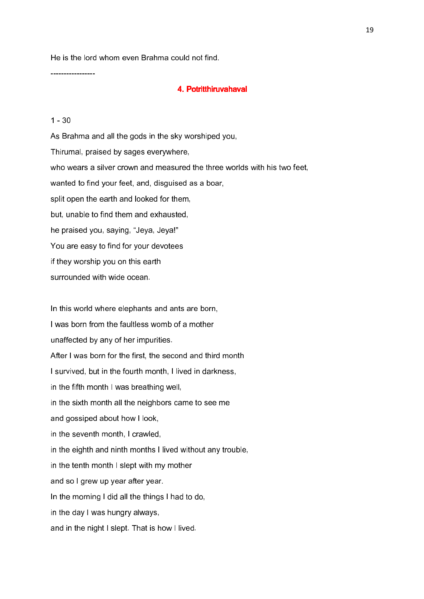He is the lord whom even Brahma could not find.

#### 4. Potritthiruvahaval 4. Potritthiruvahaval

# $1 - 30$

-----------------

As Brahma and all the gods in the sky worshiped you, Thirumal, praised by sages everywhere, who wears a silver crown and measured the three worlds with his two feet, wanted to find your feet, and, disguised as a boar, split open the earth and looked for them, but, unable to find them and exhausted, he praised you, saying, "Jeya, Jeya!" You are easy to find for your devotees if they worship you on this earth surrounded with wide ocean.

In this world where elephants and ants are born, I was born from the faultless womb of a mother unaffected by any of her impurities. After I was born for the first, the second and third month I survived, but in the fourth month, I lived in darkness, in the fifth month I was breathing well, in the sixth month all the neighbors came to see me and gossiped about how I look, in the seventh month, I crawled, in the eighth and ninth months I lived without any trouble, in the tenth month I slept with my mother and so I grew up year after year. In the morning I did all the things I had to do, in the day I was hungry always, and in the night I slept. That is how I lived.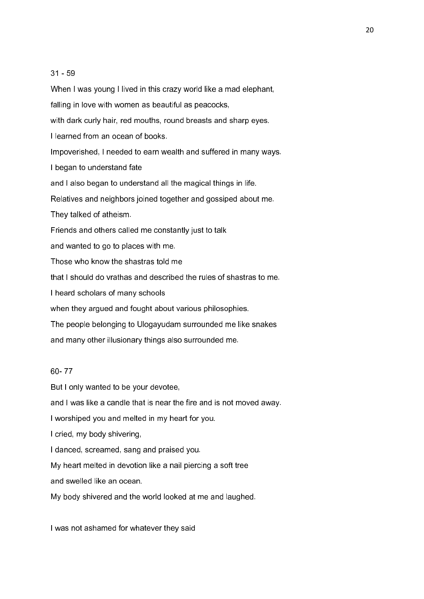# 31 - 59

When I was young I lived in this crazy world like a mad elephant, falling in love with women as beautiful as peacocks, with dark curly hair, red mouths, round breasts and sharp eyes. I learned from an ocean of books. Impoverished, I needed to earn wealth and suffered in many ways. I began to understand fate and I also began to understand all the magical things in life. Relatives and neighbors joined together and gossiped about me. They talked of atheism. Friends and others called me constantly just to talk and wanted to go to places with me. Those who know the shastras told me that I should do vrathas and described the rules of shastras to me. I heard scholars of many schools when they argued and fought about various philosophies. The people belonging to Ulogayudam surrounded me like snakes and many other illusionary things also surrounded me.

# 60- 77

But I only wanted to be your devotee,

and I was like a candle that is near the fire and is not moved away.

I worshiped you and melted in my heart for you.

I cried, my body shivering,

I danced, screamed, sang and praised you.

My heart melted in devotion like a nail piercing a soft tree

and swelled like an ocean.

My body shivered and the world looked at me and laughed.

I was not ashamed for whatever they said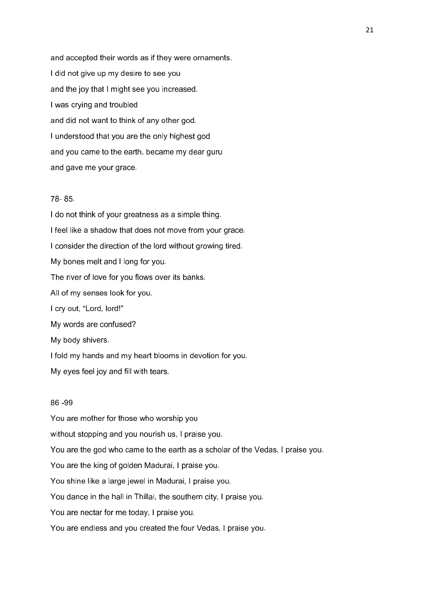and accepted their words as if they were ornaments. I did not give up my desire to see you and the joy that I might see you increased. I was crying and troubled and did not want to think of any other god. I understood that you are the only highest god and you came to the earth, became my dear guru and gave me your grace.

# 78- 85.

I do not think of your greatness as a simple thing. I feel like a shadow that does not move from your grace. I consider the direction of the lord without growing tired. My bones melt and I long for you. The river of love for you flows over its banks. All of my senses look for you. I cry out, "Lord, lord!" My words are confused? My body shivers. I fold my hands and my heart blooms in devotion for you.

My eyes feel joy and fill with tears.

## 86 -99

You are mother for those who worship you without stopping and you nourish us, I praise you. You are the god who came to the earth as a scholar of the Vedas, I praise you. You are the king of golden Madurai, I praise you. You shine like a large jewel in Madurai, I praise you. You dance in the hall in Thillai, the southern city, I praise you. You are nectar for me today, I praise you. You are endless and you created the four Vedas, I praise you.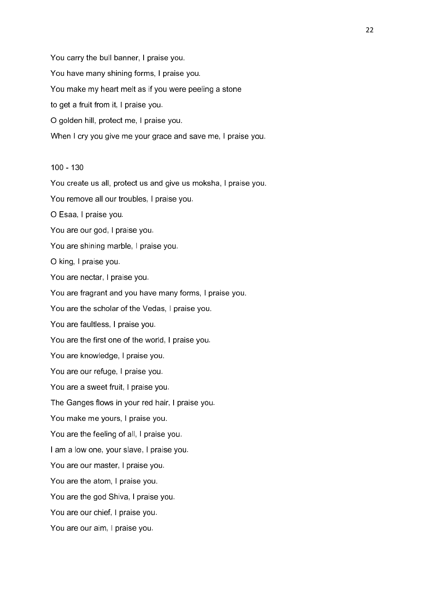You carry the bull banner, I praise you. You have many shining forms, I praise you. You make my heart melt as if you were peeling a stone to get a fruit from it, I praise you. O golden hill, protect me, I praise you. When I cry you give me your grace and save me, I praise you.

# 100 - 130

You create us all, protect us and give us moksha, I praise you. You remove all our troubles, I praise you. O Esaa, I praise you. You are our god, I praise you. You are shining marble, I praise you. O king, I praise you. You are nectar, I praise you. You are fragrant and you have many forms, I praise you. You are the scholar of the Vedas, I praise you. You are faultless, I praise you. You are the first one of the world, I praise you. You are knowledge, I praise you. You are our refuge, I praise you. You are a sweet fruit, I praise you. The Ganges flows in your red hair, I praise you. You make me yours, I praise you. You are the feeling of all, I praise you. I am a low one, your slave, I praise you. You are our master, I praise you. You are the atom, I praise you. You are the god Shiva, I praise you. You are our chief, I praise you. You are our aim, I praise you.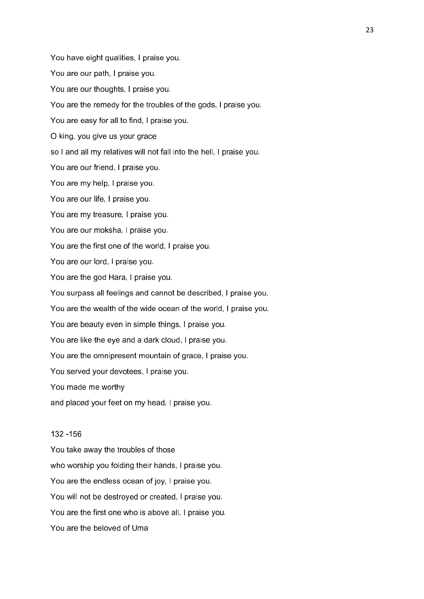You have eight qualities, I praise you. You are our path, I praise you. You are our thoughts, I praise you. You are the remedy for the troubles of the gods, I praise you. You are easy for all to find, I praise you. O king, you give us your grace so I and all my relatives will not fall into the hell, I praise you. You are our friend, I praise you. You are my help, I praise you. You are our life, I praise you. You are my treasure, I praise you. You are our moksha, I praise you. You are the first one of the world, I praise you. You are our lord, I praise you. You are the god Hara, I praise you. You surpass all feelings and cannot be described, I praise you. You are the wealth of the wide ocean of the world, I praise you. You are beauty even in simple things, I praise you. You are like the eye and a dark cloud, I praise you. You are the omnipresent mountain of grace, I praise you. You served your devotees, I praise you. You made me worthy and placed your feet on my head, I praise you.

# 132 -156

You take away the troubles of those who worship you folding their hands, I praise you. You are the endless ocean of joy, I praise you. You will not be destroyed or created, I praise you. You are the first one who is above all, I praise you. You are the beloved of Uma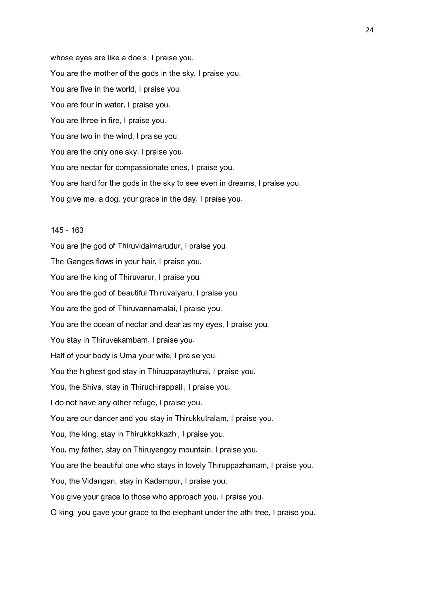whose eyes are like a doe's, I praise you. You are the mother of the gods in the sky, I praise you. You are five in the world, I praise you. You are four in water, I praise you. You are three in fire, I praise you. You are two in the wind, I praise you. You are the only one sky, I praise you. You are nectar for compassionate ones, I praise you. You are hard for the gods in the sky to see even in dreams, I praise you. You give me, a dog, your grace in the day, I praise you.

# 145 - 163

You are the god of Thiruvidaimarudur, I praise you. The Ganges flows in your hair, I praise you. You are the king of Thiruvarur, I praise you. You are the god of beautiful Thiruvaiyaru, I praise you. You are the god of Thiruvannamalai, I praise you. You are the ocean of nectar and dear as my eyes, I praise you. You stay in Thiruvekambam, I praise you. Half of your body is Uma your wife, I praise you. You the highest god stay in Thirupparaythurai, I praise you. You, the Shiva, stay in Thiruchirappalli, I praise you. I do not have any other refuge, I praise you. You are our dancer and you stay in Thirukkutralam, I praise you. You, the king, stay in Thirukkokkazhi, I praise you. You, my father, stay on Thiruyengoy mountain, I praise you. You are the beautiful one who stays in lovely Thiruppazhanam, I praise you. You, the Vidangan, stay in Kadampur, I praise you. You give your grace to those who approach you, I praise you. O king, you gave your grace to the elephant under the athi tree, I praise you.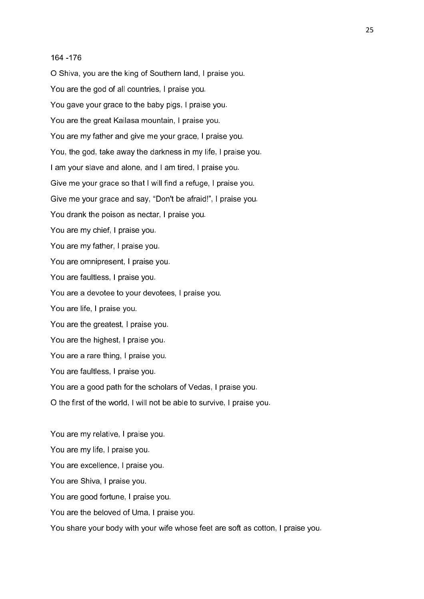#### 164 -176

O Shiva, you are the king of Southern land, I praise you. You are the god of all countries, I praise you. You gave your grace to the baby pigs, I praise you. You are the great Kailasa mountain, I praise you. You are my father and give me your grace, I praise you. You, the god, take away the darkness in my life, I praise you. I am your slave and alone, and I am tired, I praise you. Give me your grace so that I will find a refuge, I praise you. Give me your grace and say, "Don't be afraid!", I praise you. You drank the poison as nectar, I praise you. You are my chief, I praise you. You are my father, I praise you. You are omnipresent, I praise you. You are faultless, I praise you. You are a devotee to your devotees, I praise you. You are life, I praise you. You are the greatest, I praise you. You are the highest, I praise you. You are a rare thing, I praise you. You are faultless, I praise you. You are a good path for the scholars of Vedas, I praise you. O the first of the world, I will not be able to survive, I praise you.

You are my relative, I praise you. You are my life, I praise you. You are excellence, I praise you. You are Shiva, I praise you. You are good fortune, I praise you. You are the beloved of Uma, I praise you.

You share your body with your wife whose feet are soft as cotton, I praise you.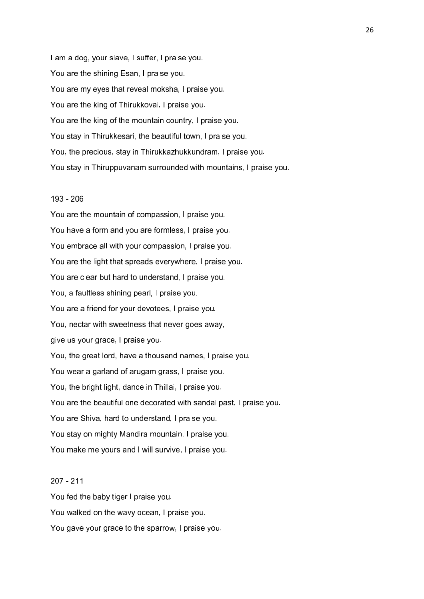I am a dog, your slave, I suffer, I praise you. You are the shining Esan, I praise you. You are my eyes that reveal moksha, I praise you. You are the king of Thirukkovai, I praise you. You are the king of the mountain country, I praise you. You stay in Thirukkesari, the beautiful town, I praise you. You, the precious, stay in Thirukkazhukkundram, I praise you. You stay in Thiruppuvanam surrounded with mountains, I praise you.

## 193 - 206

You are the mountain of compassion, I praise you. You have a form and you are formless, I praise you. You embrace all with your compassion, I praise you. You are the light that spreads everywhere, I praise you. You are clear but hard to understand, I praise you. You, a faultless shining pearl, I praise you. You are a friend for your devotees, I praise you. You, nectar with sweetness that never goes away, give us your grace, I praise you. You, the great lord, have a thousand names, I praise you. You wear a garland of arugam grass, I praise you. You, the bright light, dance in Thillai, I praise you. You are the beautiful one decorated with sandal past, I praise you. You are Shiva, hard to understand, I praise you. You stay on mighty Mandira mountain. I praise you. You make me yours and I will survive, I praise you.

# 207 - 211

You fed the baby tiger I praise you. You walked on the wavy ocean, I praise you. You gave your grace to the sparrow, I praise you.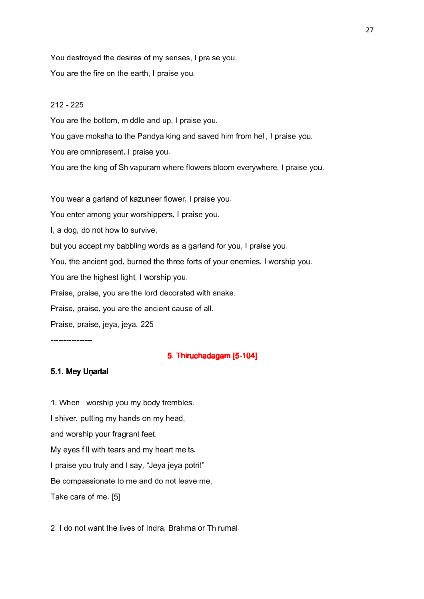You destroyed the desires of my senses, I praise you. You are the fire on the earth, I praise you.

# 212 - 225

You are the bottom, middle and up, I praise you.

You gave moksha to the Pandya king and saved him from hell, I praise you.

You are omnipresent, I praise you.

You are the king of Shivapuram where flowers bloom everywhere, I praise you.

You wear a garland of kazuneer flower, I praise you.

You enter among your worshippers, I praise you.

I, a dog, do not how to survive,

but you accept my babbling words as a garland for you, I praise you.

You, the ancient god, burned the three forts of your enemies, I worship you.

You are the highest light, I worship you.

Praise, praise, you are the lord decorated with snake.

Praise, praise, you are the ancient cause of all.

Praise, praise, jeya, jeya. 225

----------------

# 5. Thiruchadagam [5-104]

# 5.1. Mey Unartal

1. When I worship you my body trembles. I shiver, putting my hands on my head, and worship your fragrant feet. My eyes fill with tears and my heart melts. I praise you truly and I say, "Jeya jeya potri!" Be compassionate to me and do not leave me, Take care of me. [5]

2. I do not want the lives of Indra, Brahma or Thirumal.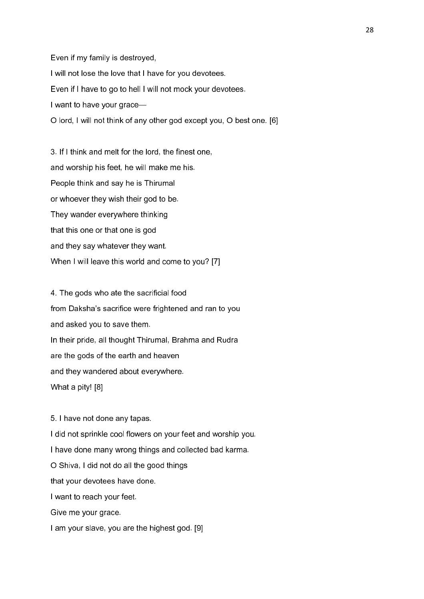Even if my family is destroyed, I will not lose the love that I have for you devotees. Even if I have to go to hell I will not mock your devotees. I want to have your grace— O lord, I will not think of any other god except you, O best one. [6]

3. If I think and melt for the lord, the finest one, and worship his feet, he will make me his. People think and say he is Thirumal or whoever they wish their god to be. They wander everywhere thinking that this one or that one is god and they say whatever they want. When I will leave this world and come to you? [7]

4. The gods who ate the sacrificial food from Daksha's sacrifice were frightened and ran to you and asked you to save them. In their pride, all thought Thirumal, Brahma and Rudra are the gods of the earth and heaven and they wandered about everywhere. What a pity! [8]

5. I have not done any tapas. I did not sprinkle cool flowers on your feet and worship you. I have done many wrong things and collected bad karma. O Shiva, I did not do all the good things that your devotees have done. I want to reach your feet. Give me your grace. I am your slave, you are the highest god. [9]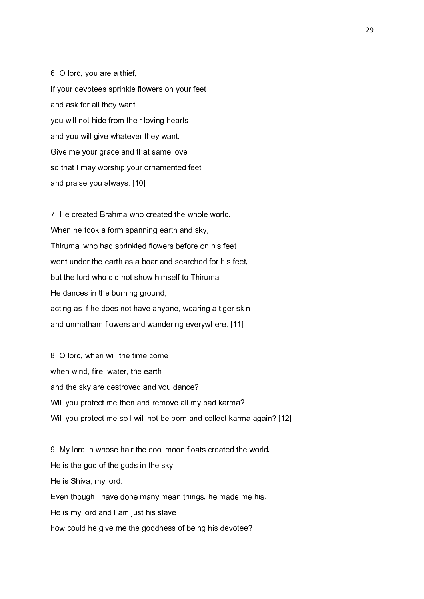6. O lord, you are a thief, If your devotees sprinkle flowers on your feet and ask for all they want, you will not hide from their loving hearts and you will give whatever they want. Give me your grace and that same love so that I may worship your ornamented feet and praise you always. [10]

7. He created Brahma who created the whole world. When he took a form spanning earth and sky, Thirumal who had sprinkled flowers before on his feet went under the earth as a boar and searched for his feet. but the lord who did not show himself to Thirumal. He dances in the burning ground, acting as if he does not have anyone, wearing a tiger skin and unmatham flowers and wandering everywhere. [11]

8. O lord, when will the time come when wind, fire, water, the earth and the sky are destroyed and you dance? Will you protect me then and remove all my bad karma? Will you protect me so I will not be born and collect karma again? [12]

9. My lord in whose hair the cool moon floats created the world. He is the god of the gods in the sky. He is Shiva, my lord. Even though I have done many mean things, he made me his. He is my lord and I am just his slave how could he give me the goodness of being his devotee?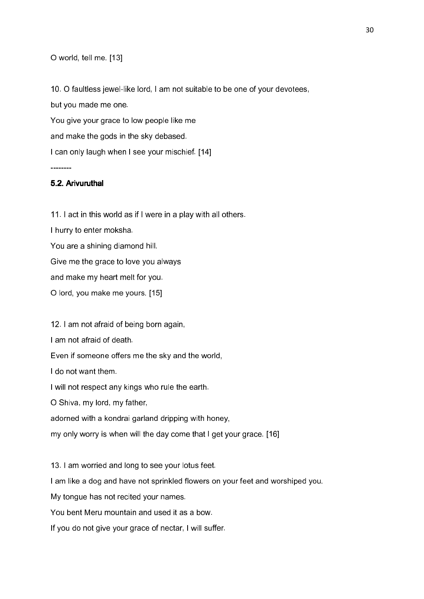# O world, tell me. [13]

10. O faultless jewel-like lord, I am not suitable to be one of your devotees, but you made me one. You give your grace to low people like me and make the gods in the sky debased. I can only laugh when I see your mischief. [14]

# 5.2. Arivuruthal

--------

11. I act in this world as if I were in a play with all others. I hurry to enter moksha. You are a shining diamond hill. Give me the grace to love you always and make my heart melt for you. O lord, you make me yours. [15]

12. I am not afraid of being born again,

I am not afraid of death.

Even if someone offers me the sky and the world,

I do not want them.

I will not respect any kings who rule the earth.

O Shiva, my lord, my father,

adorned with a kondrai garland dripping with honey,

my only worry is when will the day come that I get your grace. [16]

13. I am worried and long to see your lotus feet.

I am like a dog and have not sprinkled flowers on your feet and worshiped you.

My tongue has not recited your names.

You bent Meru mountain and used it as a bow.

If you do not give your grace of nectar, I will suffer.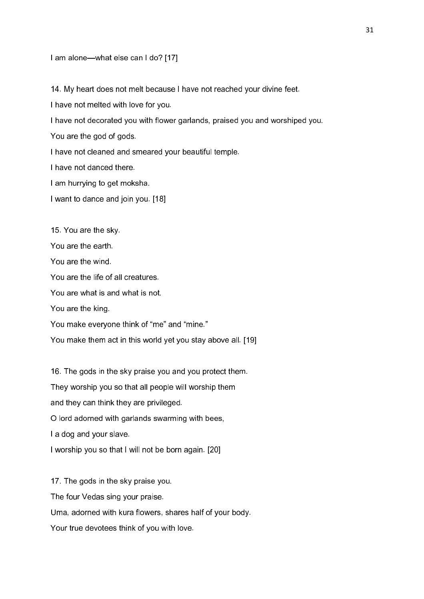#### I am alone—what else can I do? [17]

14. My heart does not melt because I have not reached your divine feet.

I have not melted with love for you.

I have not decorated you with flower garlands, praised you and worshiped you.

You are the god of gods.

I have not cleaned and smeared your beautiful temple.

I have not danced there.

I am hurrying to get moksha.

I want to dance and join you. [18]

15. You are the sky.

You are the earth.

You are the wind.

You are the life of all creatures.

You are what is and what is not.

You are the king.

You make everyone think of "me" and "mine."

You make them act in this world yet you stay above all. [19]

16. The gods in the sky praise you and you protect them. They worship you so that all people will worship them and they can think they are privileged. O lord adorned with garlands swarming with bees, I a dog and your slave. I worship you so that I will not be born again. [20]

17. The gods in the sky praise you. The four Vedas sing your praise. Uma, adorned with kura flowers, shares half of your body. Your true devotees think of you with love.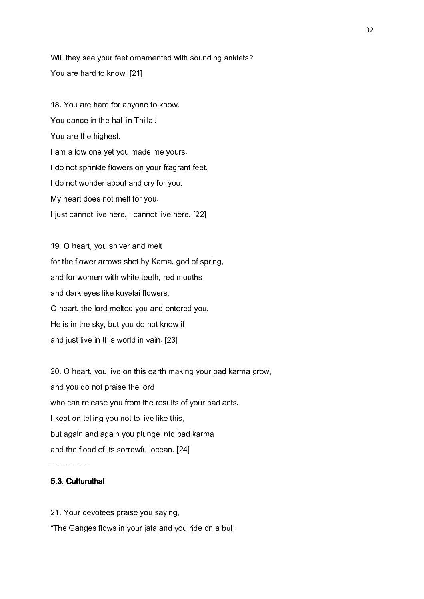Will they see your feet ornamented with sounding anklets? You are hard to know. [21]

18. You are hard for anyone to know. You dance in the hall in Thillai. You are the highest. I am a low one yet you made me yours. I do not sprinkle flowers on your fragrant feet. I do not wonder about and cry for you. My heart does not melt for you. I just cannot live here, I cannot live here. [22]

19. O heart, you shiver and melt for the flower arrows shot by Kama, god of spring, and for women with white teeth, red mouths and dark eyes like kuvalai flowers. O heart, the lord melted you and entered you. He is in the sky, but you do not know it and just live in this world in vain. [23]

20. O heart, you live on this earth making your bad karma grow, and you do not praise the lord who can release you from the results of your bad acts. I kept on telling you not to live like this, but again and again you plunge into bad karma and the flood of its sorrowful ocean. [24]

--------------

## 5.3. Cutturuthal

21. Your devotees praise you saying,

"The Ganges flows in your jata and you ride on a bull.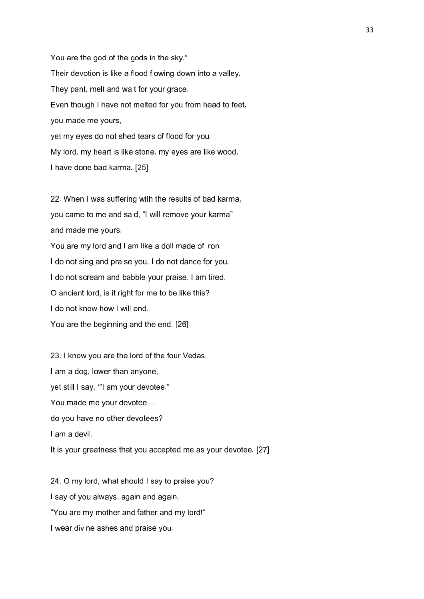You are the god of the gods in the sky." Their devotion is like a flood flowing down into a valley. They pant, melt and wait for your grace. Even though I have not melted for you from head to feet, you made me yours, yet my eyes do not shed tears of flood for you. My lord, my heart is like stone, my eyes are like wood, I have done bad karma. [25]

22. When I was suffering with the results of bad karma, you came to me and said, "I will remove your karma" and made me yours.

You are my lord and I am like a doll made of iron. I do not sing and praise you, I do not dance for you, I do not scream and babble your praise. I am tired. O ancient lord, is it right for me to be like this? I do not know how I will end. You are the beginning and the end. [26]

23. I know you are the lord of the four Vedas. I am a dog, lower than anyone, yet still I say, '"I am your devotee." You made me your devotee do you have no other devotees? I am a devil. It is your greatness that you accepted me as your devotee. [27]

24. O my lord, what should I say to praise you? I say of you always, again and again, "You are my mother and father and my lord!" I wear divine ashes and praise you.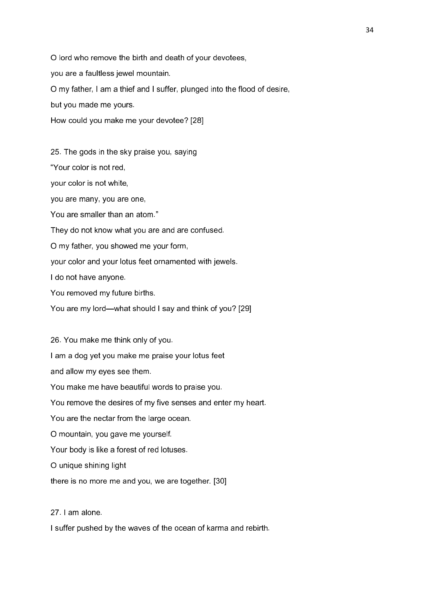O lord who remove the birth and death of your devotees, you are a faultless jewel mountain. O my father, I am a thief and I suffer, plunged into the flood of desire, but you made me yours. How could you make me your devotee? [28]

25. The gods in the sky praise you, saying

"Your color is not red,

your color is not white,

you are many, you are one,

You are smaller than an atom."

They do not know what you are and are confused.

O my father, you showed me your form,

your color and your lotus feet ornamented with jewels.

I do not have anyone.

You removed my future births.

You are my lord—what should I say and think of you? [29]

26. You make me think only of you.

I am a dog yet you make me praise your lotus feet

and allow my eyes see them.

You make me have beautiful words to praise you.

You remove the desires of my five senses and enter my heart.

You are the nectar from the large ocean.

O mountain, you gave me yourself.

Your body is like a forest of red lotuses.

O unique shining light

there is no more me and you, we are together. [30]

27. I am alone.

I suffer pushed by the waves of the ocean of karma and rebirth.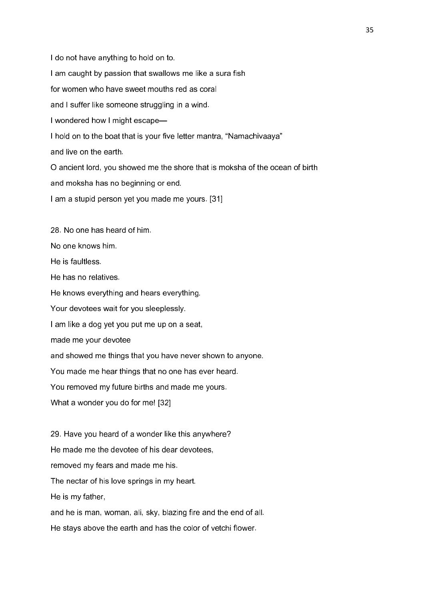I do not have anything to hold on to. I am caught by passion that swallows me like a sura fish for women who have sweet mouths red as coral and I suffer like someone struggling in a wind. I wondered how I might escape— I hold on to the boat that is your five letter mantra, "Namachivaaya" and live on the earth. O ancient lord, you showed me the shore that is moksha of the ocean of birth and moksha has no beginning or end. I am a stupid person yet you made me yours. [31] 28. No one has heard of him. No one knows him. He is faultless. He has no relatives. He knows everything and hears everything. Your devotees wait for you sleeplessly. I am like a dog yet you put me up on a seat,

made me your devotee

and showed me things that you have never shown to anyone.

You made me hear things that no one has ever heard.

You removed my future births and made me yours.

What a wonder you do for me! [32]

29. Have you heard of a wonder like this anywhere? He made me the devotee of his dear devotees, removed my fears and made me his. The nectar of his love springs in my heart. He is my father, and he is man, woman, ali, sky, blazing fire and the end of all. He stays above the earth and has the color of vetchi flower.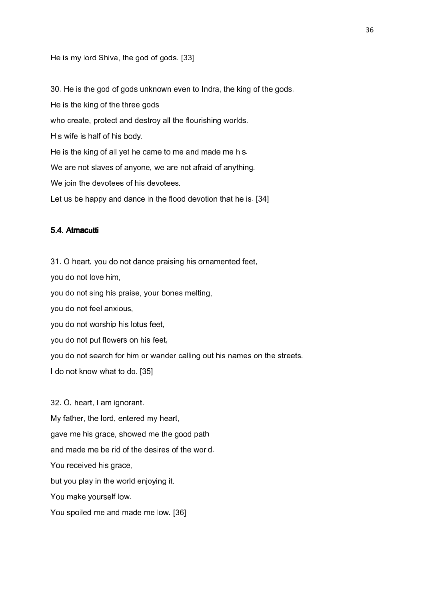He is my lord Shiva, the god of gods. [33]

30. He is the god of gods unknown even to Indra, the king of the gods.

He is the king of the three gods

who create, protect and destroy all the flourishing worlds.

His wife is half of his body.

He is the king of all yet he came to me and made me his.

We are not slaves of anyone, we are not afraid of anything.

We join the devotees of his devotees.

Let us be happy and dance in the flood devotion that he is. [34]

---------------

# 5.4. Atmacutti

31. O heart, you do not dance praising his ornamented feet, you do not love him, you do not sing his praise, your bones melting, you do not feel anxious, you do not worship his lotus feet, you do not put flowers on his feet, you do not search for him or wander calling out his names on the streets. I do not know what to do. [35]

32. O, heart, I am ignorant. My father, the lord, entered my heart, gave me his grace, showed me the good path and made me be rid of the desires of the world. You received his grace, but you play in the world enjoying it. You make yourself low. You spoiled me and made me low. [36]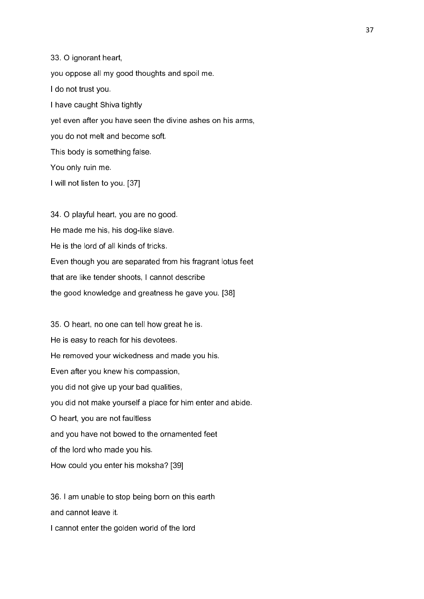33. O ignorant heart, you oppose all my good thoughts and spoil me. I do not trust you. I have caught Shiva tightly yet even after you have seen the divine ashes on his arms, you do not melt and become soft. This body is something false. You only ruin me. I will not listen to you. [37]

34. O playful heart, you are no good. He made me his, his dog-like slave. He is the lord of all kinds of tricks. Even though you are separated from his fragrant lotus feet that are like tender shoots, I cannot describe the good knowledge and greatness he gave you. [38]

35. O heart, no one can tell how great he is. He is easy to reach for his devotees. He removed your wickedness and made you his. Even after you knew his compassion, you did not give up your bad qualities, you did not make yourself a place for him enter and abide. O heart, you are not faultless and you have not bowed to the ornamented feet of the lord who made you his. How could you enter his moksha? [39]

36. I am unable to stop being born on this earth and cannot leave it. I cannot enter the golden world of the lord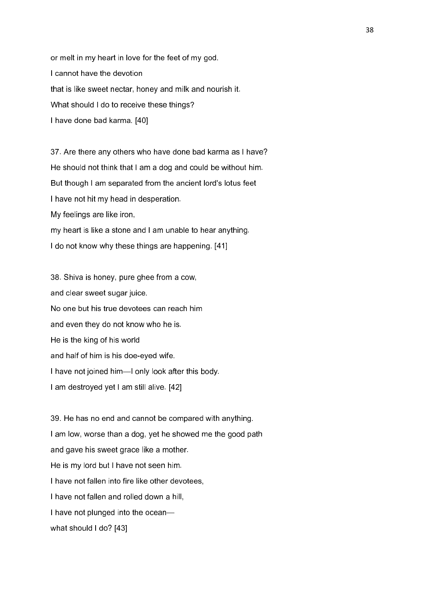or melt in my heart in love for the feet of my god. I cannot have the devotion that is like sweet nectar, honey and milk and nourish it. What should I do to receive these things? I have done bad karma. [40]

37. Are there any others who have done bad karma as I have? He should not think that I am a dog and could be without him. But though I am separated from the ancient lord's lotus feet I have not hit my head in desperation. My feelings are like iron, my heart is like a stone and I am unable to hear anything. I do not know why these things are happening. [41]

38. Shiva is honey, pure ghee from a cow, and clear sweet sugar juice. No one but his true devotees can reach him and even they do not know who he is. He is the king of his world and half of him is his doe-eyed wife. I have not joined him—I only look after this body. I am destroyed yet I am still alive. [42]

39. He has no end and cannot be compared with anything. I am low, worse than a dog, yet he showed me the good path and gave his sweet grace like a mother. He is my lord but I have not seen him. I have not fallen into fire like other devotees. I have not fallen and rolled down a hill, I have not plunged into the ocean what should I do? [43]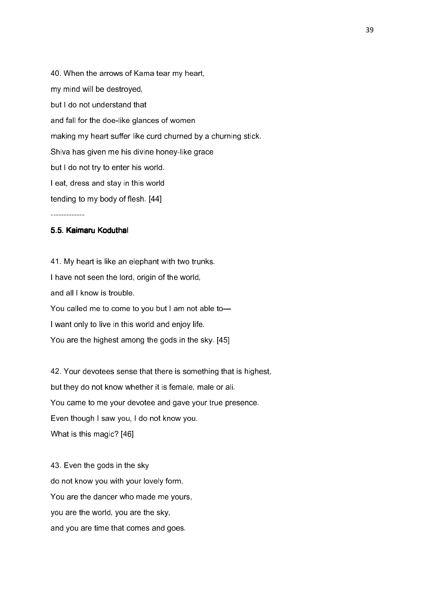40. When the arrows of Kama tear my heart, my mind will be destroyed, but I do not understand that and fall for the doe-like glances of women making my heart suffer like curd churned by a churning stick. Shiva has given me his divine honey-like grace but I do not try to enter his world. I eat, dress and stay in this world tending to my body of flesh. [44]

#### -------------

# 5.5. Kaimaru Koduthal

41. My heart is like an elephant with two trunks. I have not seen the lord, origin of the world, and all I know is trouble. You called me to come to you but I am not able to-I want only to live in this world and enjoy life. You are the highest among the gods in the sky. [45]

42. Your devotees sense that there is something that is highest, but they do not know whether it is female, male or ali. You came to me your devotee and gave your true presence. Even though I saw you, I do not know you. What is this magic? [46]

43. Even the gods in the sky do not know you with your lovely form. You are the dancer who made me yours, you are the world, you are the sky, and you are time that comes and goes.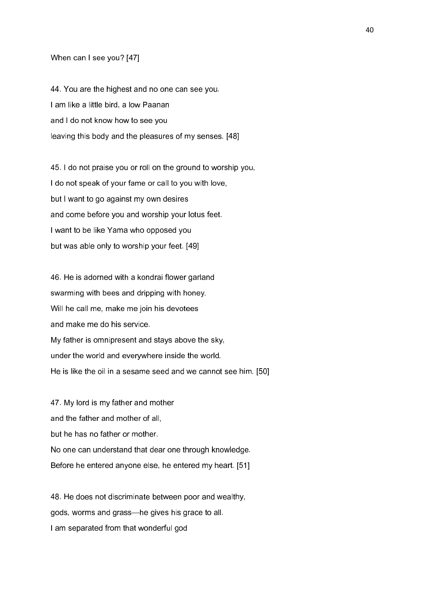### When can I see you? [47]

44. You are the highest and no one can see you. I am like a little bird, a low Paanan and I do not know how to see you leaving this body and the pleasures of my senses. [48]

45. I do not praise you or roll on the ground to worship you, I do not speak of your fame or call to you with love, but I want to go against my own desires and come before you and worship your lotus feet. I want to be like Yama who opposed you but was able only to worship your feet. [49]

46. He is adorned with a kondrai flower garland swarming with bees and dripping with honey. Will he call me, make me join his devotees and make me do his service. My father is omnipresent and stays above the sky, under the world and everywhere inside the world. He is like the oil in a sesame seed and we cannot see him. [50]

47. My lord is my father and mother and the father and mother of all, but he has no father or mother. No one can understand that dear one through knowledge. Before he entered anyone else, he entered my heart. [51]

48. He does not discriminate between poor and wealthy, gods, worms and grass—he gives his grace to all. I am separated from that wonderful god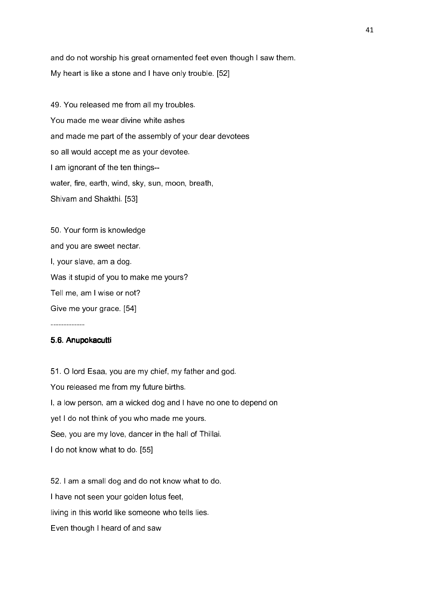and do not worship his great ornamented feet even though I saw them. My heart is like a stone and I have only trouble. [52]

49. You released me from all my troubles. You made me wear divine white ashes and made me part of the assembly of your dear devotees so all would accept me as your devotee. I am ignorant of the ten things- water, fire, earth, wind, sky, sun, moon, breath, Shivam and Shakthi. [53]

50. Your form is knowledge and you are sweet nectar. I, your slave, am a dog. Was it stupid of you to make me yours? Tell me, am I wise or not? Give me your grace. [54]

# 5.6. Anupokacutti

-------------

51. O lord Esaa, you are my chief, my father and god. You released me from my future births. I, a low person, am a wicked dog and I have no one to depend on yet I do not think of you who made me yours. See, you are my love, dancer in the hall of Thillai. I do not know what to do. [55]

52. I am a small dog and do not know what to do. I have not seen your golden lotus feet, living in this world like someone who tells lies. Even though I heard of and saw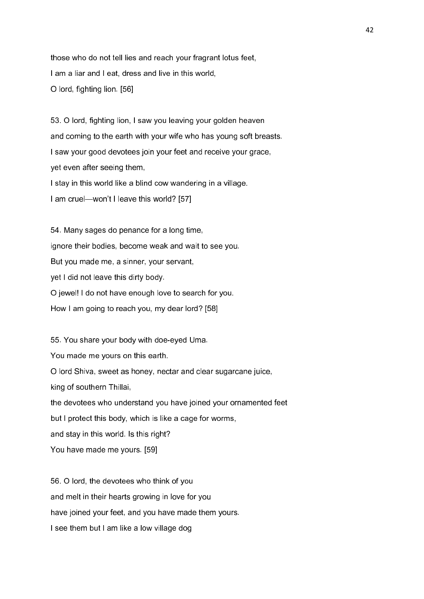those who do not tell lies and reach your fragrant lotus feet, I am a liar and I eat, dress and live in this world, O lord, fighting lion. [56]

53. O lord, fighting lion, I saw you leaving your golden heaven and coming to the earth with your wife who has young soft breasts. I saw your good devotees join your feet and receive your grace, yet even after seeing them, I stay in this world like a blind cow wandering in a village. I am cruel—won't I leave this world? [57]

54. Many sages do penance for a long time, ignore their bodies, become weak and wait to see you. But you made me, a sinner, your servant, yet I did not leave this dirty body. O jewel! I do not have enough love to search for you. How I am going to reach you, my dear lord? [58]

55. You share your body with doe-eyed Uma. You made me yours on this earth. O lord Shiva, sweet as honey, nectar and clear sugarcane juice, king of southern Thillai, the devotees who understand you have joined your ornamented feet but I protect this body, which is like a cage for worms, and stay in this world. Is this right? You have made me yours. [59]

56. O lord, the devotees who think of you and melt in their hearts growing in love for you have joined your feet, and you have made them yours. I see them but I am like a low village dog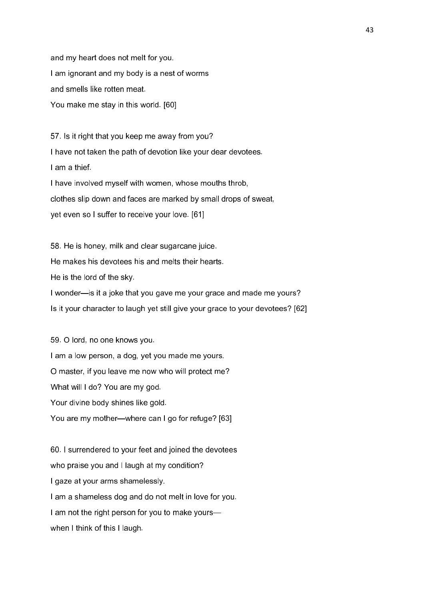and my heart does not melt for you. I am ignorant and my body is a nest of worms and smells like rotten meat. You make me stay in this world. [60]

57. Is it right that you keep me away from you? I have not taken the path of devotion like your dear devotees. I am a thief. I have involved myself with women, whose mouths throb, clothes slip down and faces are marked by small drops of sweat,

yet even so I suffer to receive your love. [61]

58. He is honey, milk and clear sugarcane juice.

He makes his devotees his and melts their hearts.

He is the lord of the sky.

I wonder—is it a joke that you gave me your grace and made me yours?

Is it your character to laugh yet still give your grace to your devotees? [62]

59. O lord, no one knows you. I am a low person, a dog, yet you made me yours. O master, if you leave me now who will protect me? What will I do? You are my god. Your divine body shines like gold. You are my mother—where can I go for refuge? [63]

60. I surrendered to your feet and joined the devotees who praise you and I laugh at my condition? I gaze at your arms shamelessly. I am a shameless dog and do not melt in love for you. I am not the right person for you to make yourswhen I think of this I laugh.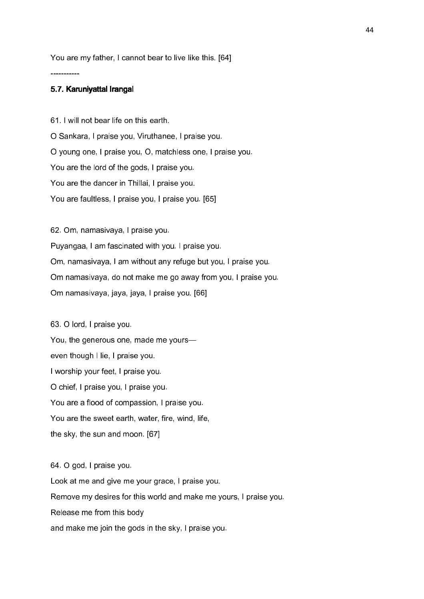You are my father, I cannot bear to live like this. [64]

## 5.7. Karuniyattal Irangal

-----------

61. I will not bear life on this earth. O Sankara, I praise you, Viruthanee, I praise you. O young one, I praise you, O, matchless one, I praise you. You are the lord of the gods, I praise you. You are the dancer in Thillai, I praise you. You are faultless, I praise you, I praise you. [65]

62. Om, namasivaya, I praise you. Puyangaa, I am fascinated with you. I praise you. Om, namasivaya, I am without any refuge but you, I praise you. Om namasivaya, do not make me go away from you, I praise you. Om namasivaya, jaya, jaya, I praise you. [66]

63. O lord, I praise you. You, the generous one, made me yours even though I lie, I praise you. I worship your feet, I praise you. O chief, I praise you, I praise you. You are a flood of compassion, I praise you. You are the sweet earth, water, fire, wind, life, the sky, the sun and moon. [67]

64. O god, I praise you. Look at me and give me your grace, I praise you. Remove my desires for this world and make me yours, I praise you. Release me from this body and make me join the gods in the sky, I praise you.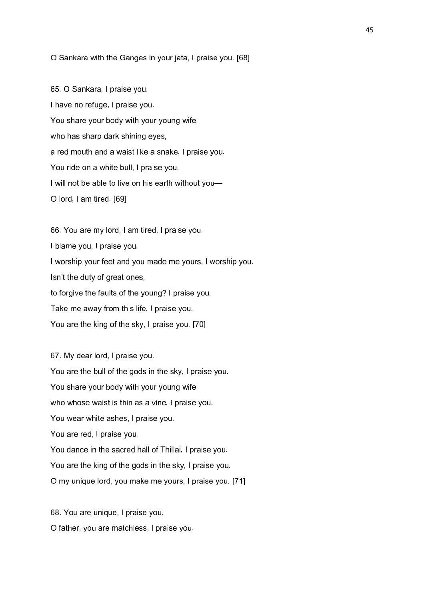### O Sankara with the Ganges in your jata, I praise you. [68]

65. O Sankara, I praise you. I have no refuge, I praise you. You share your body with your young wife who has sharp dark shining eyes, a red mouth and a waist like a snake, I praise you. You ride on a white bull, I praise you. I will not be able to live on his earth without you— O lord, I am tired. [69]

66. You are my lord, I am tired, I praise you. I blame you, I praise you. I worship your feet and you made me yours, I worship you. Isn't the duty of great ones, to forgive the faults of the young? I praise you. Take me away from this life, I praise you. You are the king of the sky, I praise you. [70]

67. My dear lord, I praise you. You are the bull of the gods in the sky, I praise you. You share your body with your young wife who whose waist is thin as a vine, I praise you. You wear white ashes, I praise you. You are red, I praise you. You dance in the sacred hall of Thillai, I praise you. You are the king of the gods in the sky, I praise you. O my unique lord, you make me yours, I praise you. [71]

68. You are unique, I praise you. O father, you are matchless, I praise you.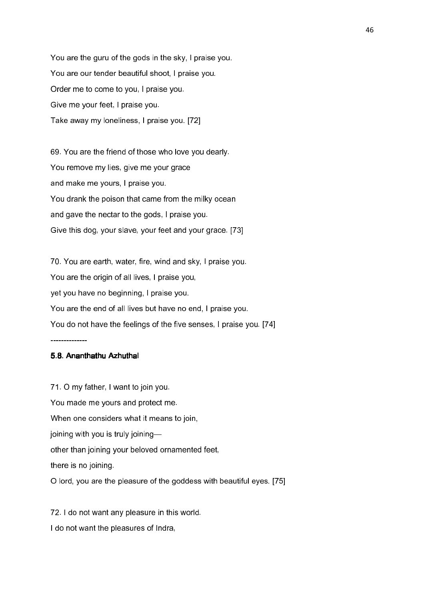You are the guru of the gods in the sky, I praise you. You are our tender beautiful shoot, I praise you. Order me to come to you, I praise you. Give me your feet, I praise you. Take away my loneliness, I praise you. [72]

69. You are the friend of those who love you dearly. You remove my lies, give me your grace and make me yours, I praise you. You drank the poison that came from the milky ocean and gave the nectar to the gods, I praise you. Give this dog, your slave, your feet and your grace. [73]

70. You are earth, water, fire, wind and sky, I praise you. You are the origin of all lives, I praise you, yet you have no beginning, I praise you. You are the end of all lives but have no end, I praise you. You do not have the feelings of the five senses, I praise you. [74]

--------------

# 5.8. Ananthathu Azhuthal

71. O my father, I want to join you. You made me yours and protect me. When one considers what it means to join, joining with you is truly joining other than joining your beloved ornamented feet, there is no joining. O lord, you are the pleasure of the goddess with beautiful eyes. [75]

72. I do not want any pleasure in this world. I do not want the pleasures of Indra,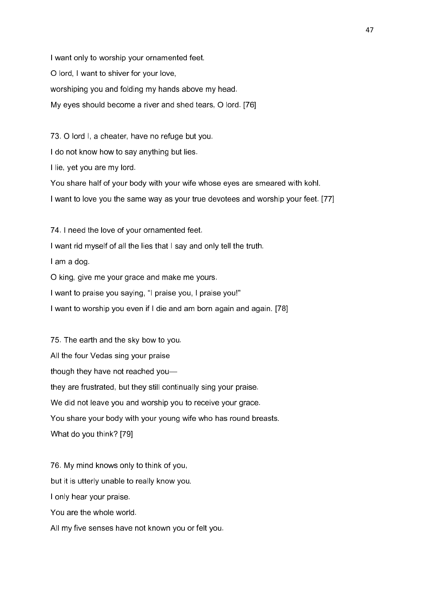I want only to worship your ornamented feet. O lord, I want to shiver for your love, worshiping you and folding my hands above my head. My eyes should become a river and shed tears, O lord. [76]

73. O lord I, a cheater, have no refuge but you.

I do not know how to say anything but lies.

I lie, yet you are my lord.

You share half of your body with your wife whose eyes are smeared with kohl.

I want to love you the same way as your true devotees and worship your feet. [77]

74. I need the love of your ornamented feet. I want rid myself of all the lies that I say and only tell the truth. I am a dog. O king, give me your grace and make me yours. I want to praise you saying, "I praise you, I praise you!"

I want to worship you even if I die and am born again and again. [78]

75. The earth and the sky bow to you. All the four Vedas sing your praise though they have not reached you they are frustrated, but they still continually sing your praise. We did not leave you and worship you to receive your grace. You share your body with your young wife who has round breasts. What do you think? [79]

76. My mind knows only to think of you, but it is utterly unable to really know you. I only hear your praise. You are the whole world. All my five senses have not known you or felt you.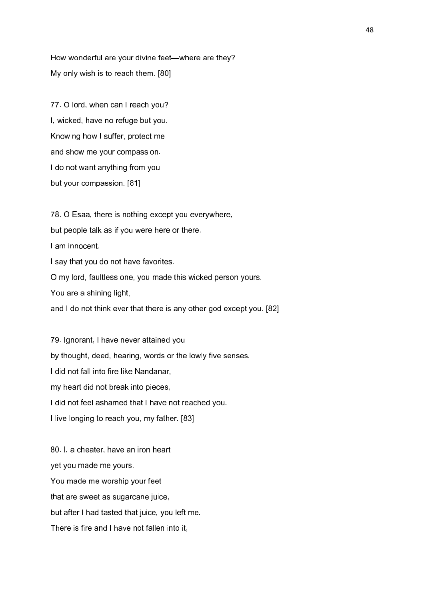How wonderful are your divine feet—where are they? My only wish is to reach them. [80]

77. O lord, when can I reach you? I, wicked, have no refuge but you. Knowing how I suffer, protect me and show me your compassion. I do not want anything from you but your compassion. [81]

78. O Esaa, there is nothing except you everywhere, but people talk as if you were here or there. I am innocent. I say that you do not have favorites. O my lord, faultless one, you made this wicked person yours. You are a shining light, and I do not think ever that there is any other god except you. [82]

79. Ignorant, I have never attained you by thought, deed, hearing, words or the lowly five senses. I did not fall into fire like Nandanar, my heart did not break into pieces, I did not feel ashamed that I have not reached you. I live longing to reach you, my father. [83]

80. I, a cheater, have an iron heart yet you made me yours. You made me worship your feet that are sweet as sugarcane juice, but after I had tasted that juice, you left me. There is fire and I have not fallen into it,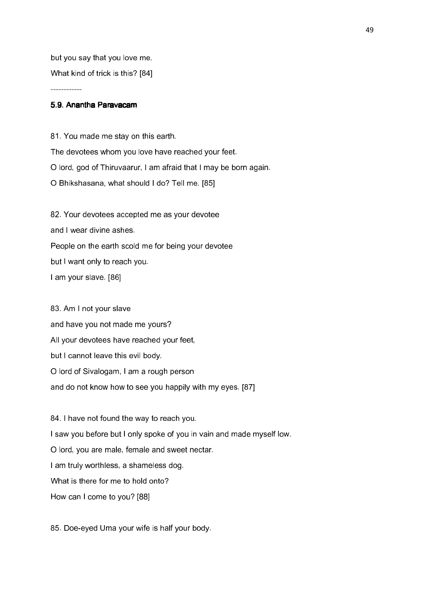but you say that you love me. What kind of trick is this? [84]

# 5.9. Anantha Paravacam

------------

81. You made me stay on this earth. The devotees whom you love have reached your feet. O lord, god of Thiruvaarur, I am afraid that I may be born again. O Bhikshasana, what should I do? Tell me. [85]

82. Your devotees accepted me as your devotee and I wear divine ashes. People on the earth scold me for being your devotee but I want only to reach you.

I am your slave. [86]

83. Am I not your slave and have you not made me yours? All your devotees have reached your feet, but I cannot leave this evil body. O lord of Sivalogam, I am a rough person and do not know how to see you happily with my eyes. [87]

84. I have not found the way to reach you. I saw you before but I only spoke of you in vain and made myself low. O lord, you are male, female and sweet nectar. I am truly worthless, a shameless dog. What is there for me to hold onto? How can I come to you? [88]

85. Doe-eyed Uma your wife is half your body.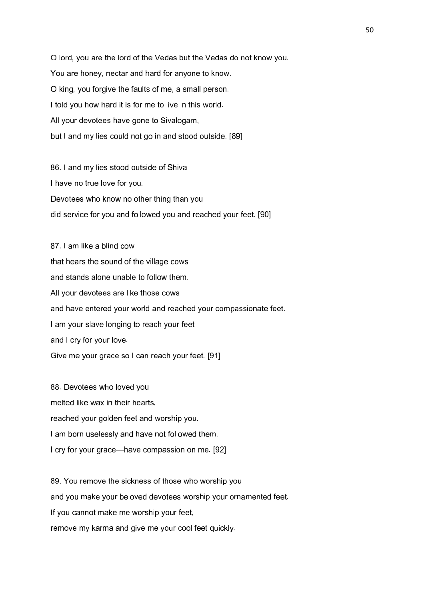O lord, you are the lord of the Vedas but the Vedas do not know you. You are honey, nectar and hard for anyone to know. O king, you forgive the faults of me, a small person. I told you how hard it is for me to live in this world. All your devotees have gone to Sivalogam, but I and my lies could not go in and stood outside. [89]

86. I and my lies stood outside of Shiva— I have no true love for you. Devotees who know no other thing than you did service for you and followed you and reached your feet. [90]

87. I am like a blind cow that hears the sound of the village cows and stands alone unable to follow them. All your devotees are like those cows and have entered your world and reached your compassionate feet. I am your slave longing to reach your feet and I cry for your love. Give me your grace so I can reach your feet. [91]

88. Devotees who loved you melted like wax in their hearts, reached your golden feet and worship you. I am born uselessly and have not followed them. I cry for your grace—have compassion on me. [92]

89. You remove the sickness of those who worship you and you make your beloved devotees worship your ornamented feet. If you cannot make me worship your feet, remove my karma and give me your cool feet quickly.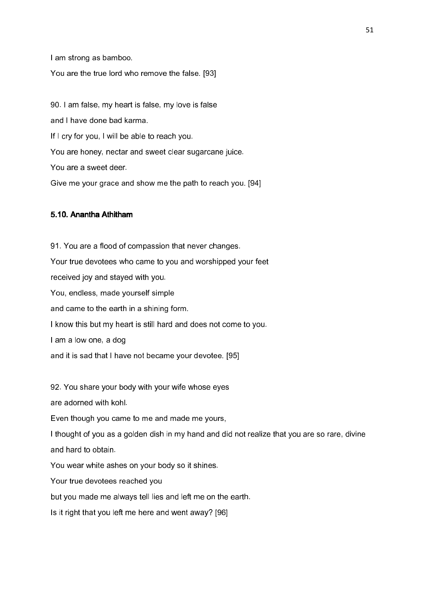I am strong as bamboo. You are the true lord who remove the false. [93]

90. I am false, my heart is false, my love is false

and I have done bad karma.

If I cry for you, I will be able to reach you.

You are honey, nectar and sweet clear sugarcane juice.

You are a sweet deer.

Give me your grace and show me the path to reach you. [94]

# 5.10 Anantha Athitham

91. You are a flood of compassion that never changes. Your true devotees who came to you and worshipped your feet received joy and stayed with you. You, endless, made yourself simple and came to the earth in a shining form. I know this but my heart is still hard and does not come to you. I am a low one, a dog and it is sad that I have not became your devotee. [95]

92. You share your body with your wife whose eyes

are adorned with kohl.

Even though you came to me and made me yours,

I thought of you as a golden dish in my hand and did not realize that you are so rare, divine and hard to obtain.

You wear white ashes on your body so it shines.

Your true devotees reached you

but you made me always tell lies and left me on the earth.

Is it right that you left me here and went away? [96]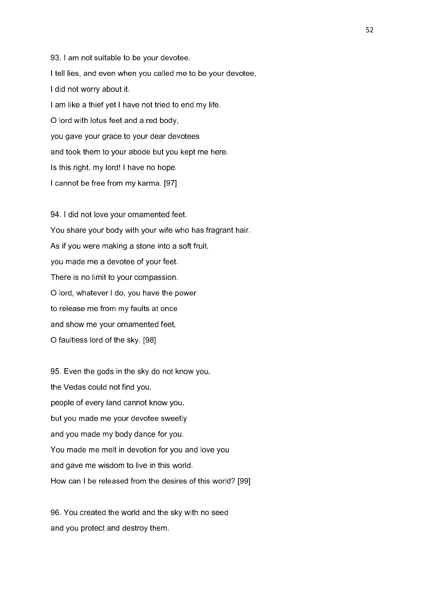93. I am not suitable to be your devotee. I tell lies, and even when you called me to be your devotee, I did not worry about it. I am like a thief yet I have not tried to end my life. O lord with lotus feet and a red body, you gave your grace to your dear devotees and took them to your abode but you kept me here. Is this right, my lord! I have no hope. I cannot be free from my karma. [97]

94. I did not love your ornamented feet. You share your body with your wife who has fragrant hair. As if you were making a stone into a soft fruit, you made me a devotee of your feet. There is no limit to your compassion. O lord, whatever I do, you have the power to release me from my faults at once and show me your ornamented feet, O faultless lord of the sky. [98]

95. Even the gods in the sky do not know you, the Vedas could not find you, people of every land cannot know you, but you made me your devotee sweetly and you made my body dance for you. You made me melt in devotion for you and love you and gave me wisdom to live in this world. How can I be released from the desires of this world? [99]

96. You created the world and the sky with no seed and you protect and destroy them.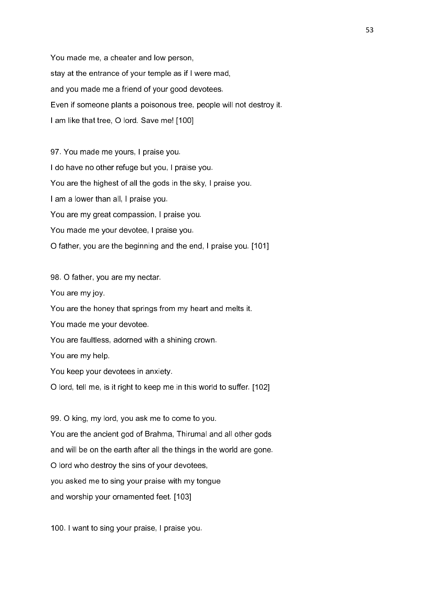You made me, a cheater and low person, stay at the entrance of your temple as if I were mad, and you made me a friend of your good devotees. Even if someone plants a poisonous tree, people will not destroy it. I am like that tree, O lord. Save me! [100]

97. You made me yours, I praise you. I do have no other refuge but you, I praise you. You are the highest of all the gods in the sky, I praise you. I am a lower than all, I praise you. You are my great compassion, I praise you. You made me your devotee, I praise you. O father, you are the beginning and the end, I praise you. [101]

98. O father, you are my nectar. You are my joy. You are the honey that springs from my heart and melts it. You made me your devotee. You are faultless, adorned with a shining crown. You are my help. You keep your devotees in anxiety. O lord, tell me, is it right to keep me in this world to suffer. [102]

99. O king, my lord, you ask me to come to you. You are the ancient god of Brahma, Thirumal and all other gods and will be on the earth after all the things in the world are gone. O lord who destroy the sins of your devotees, you asked me to sing your praise with my tongue and worship your ornamented feet. [103]

100. I want to sing your praise, I praise you.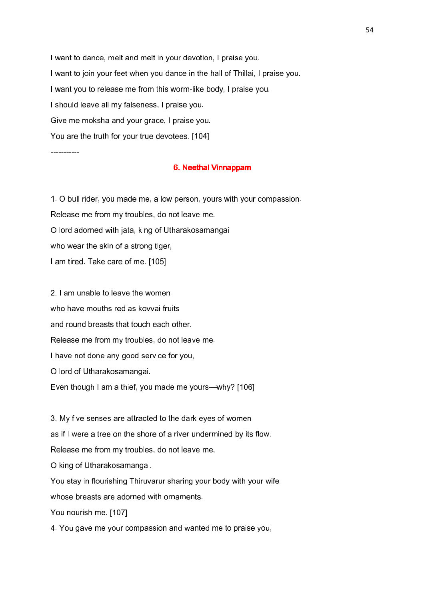I want to dance, melt and melt in your devotion, I praise you. I want to join your feet when you dance in the hall of Thillai, I praise you. I want you to release me from this worm-like body, I praise you. I should leave all my falseness, I praise you. Give me moksha and your grace, I praise you. You are the truth for your true devotees. [104]

-----------

## 6. Neethal Vinnappam

1. O bull rider, you made me, a low person, yours with your compassion. Release me from my troubles, do not leave me. O lord adorned with jata, king of Utharakosamangai who wear the skin of a strong tiger, I am tired. Take care of me. [105]

2. I am unable to leave the women who have mouths red as kovvai fruits and round breasts that touch each other. Release me from my troubles, do not leave me. I have not done any good service for you, O lord of Utharakosamangai. Even though I am a thief, you made me yours—why? [106]

3. My five senses are attracted to the dark eyes of women as if I were a tree on the shore of a river undermined by its flow. Release me from my troubles, do not leave me, O king of Utharakosamangai. You stay in flourishing Thiruvarur sharing your body with your wife whose breasts are adorned with ornaments. You nourish me. [107]

4. You gave me your compassion and wanted me to praise you,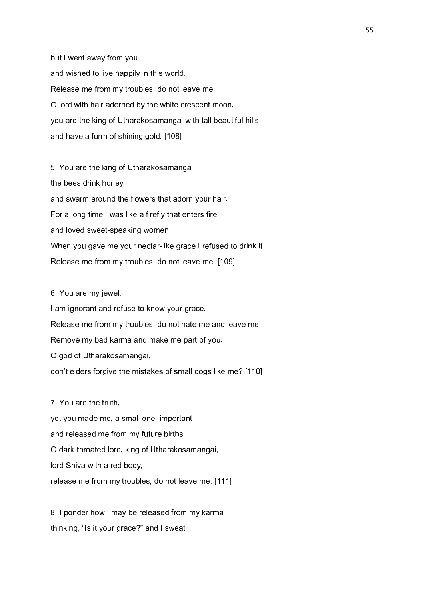but I went away from you and wished to live happily in this world. Release me from my troubles, do not leave me. O lord with hair adorned by the white crescent moon, you are the king of Utharakosamangai with tall beautiful hills and have a form of shining gold. [108]

5. You are the king of Utharakosamangai the bees drink honey and swarm around the flowers that adorn your hair. For a long time I was like a firefly that enters fire and loved sweet-speaking women. When you gave me your nectar-like grace I refused to drink it. Release me from my troubles, do not leave me. [109]

## 6. You are my jewel.

I am ignorant and refuse to know your grace. Release me from my troubles, do not hate me and leave me. Remove my bad karma and make me part of you. O god of Utharakosamangai, don't elders forgive the mistakes of small dogs like me? [110]

# 7. You are the truth,

yet you made me, a small one, important and released me from my future births. O dark-throated lord, king of Utharakosamangai, lord Shiva with a red body, release me from my troubles, do not leave me. [111]

8. I ponder how I may be released from my karma thinking, "Is it your grace?" and I sweat.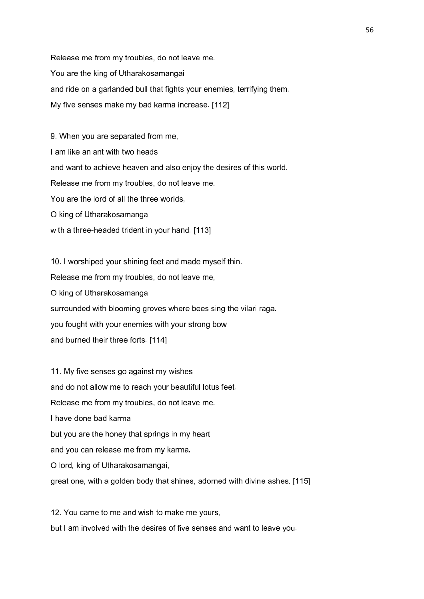Release me from my troubles, do not leave me. You are the king of Utharakosamangai and ride on a garlanded bull that fights your enemies, terrifying them. My five senses make my bad karma increase. [112]

9. When you are separated from me, I am like an ant with two heads and want to achieve heaven and also enjoy the desires of this world. Release me from my troubles, do not leave me. You are the lord of all the three worlds, O king of Utharakosamangai with a three-headed trident in your hand. [113]

10. I worshiped your shining feet and made myself thin. Release me from my troubles, do not leave me, O king of Utharakosamangai surrounded with blooming groves where bees sing the vilari raga. you fought with your enemies with your strong bow and burned their three forts. [114]

11. My five senses go against my wishes and do not allow me to reach your beautiful lotus feet. Release me from my troubles, do not leave me. I have done bad karma but you are the honey that springs in my heart and you can release me from my karma, O lord, king of Utharakosamangai, great one, with a golden body that shines, adorned with divine ashes. [115]

12. You came to me and wish to make me yours, but I am involved with the desires of five senses and want to leave you.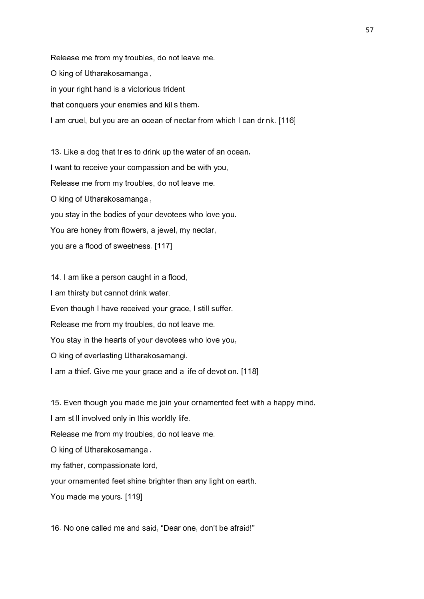Release me from my troubles, do not leave me. O king of Utharakosamangai, in your right hand is a victorious trident that conquers your enemies and kills them. I am cruel, but you are an ocean of nectar from which I can drink. [116]

13. Like a dog that tries to drink up the water of an ocean, I want to receive your compassion and be with you, Release me from my troubles, do not leave me. O king of Utharakosamangai, you stay in the bodies of your devotees who love you. You are honey from flowers, a jewel, my nectar, you are a flood of sweetness. [117]

14. I am like a person caught in a flood, I am thirsty but cannot drink water. Even though I have received your grace, I still suffer. Release me from my troubles, do not leave me. You stay in the hearts of your devotees who love you, O king of everlasting Utharakosamangi. I am a thief. Give me your grace and a life of devotion. [118]

15. Even though you made me join your ornamented feet with a happy mind, I am still involved only in this worldly life. Release me from my troubles, do not leave me. O king of Utharakosamangai, my father, compassionate lord, your ornamented feet shine brighter than any light on earth. You made me yours. [119]

16. No one called me and said, "Dear one, don't be afraid!"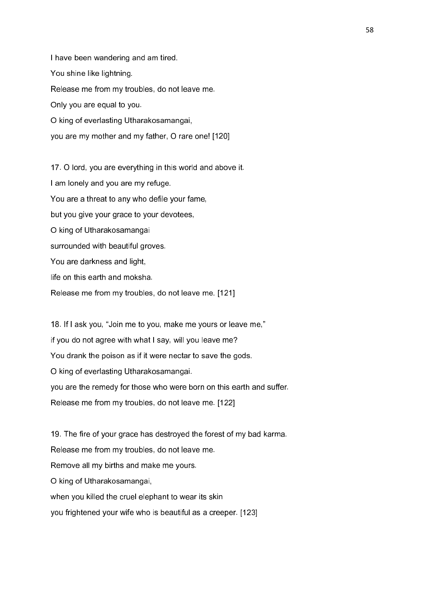I have been wandering and am tired. You shine like lightning. Release me from my troubles, do not leave me. Only you are equal to you. O king of everlasting Utharakosamangai, you are my mother and my father, O rare one! [120]

17. O lord, you are everything in this world and above it. I am lonely and you are my refuge. You are a threat to any who defile your fame, but you give your grace to your devotees, O king of Utharakosamangai surrounded with beautiful groves. You are darkness and light, life on this earth and moksha. Release me from my troubles, do not leave me. [121]

18. If I ask you, "Join me to you, make me yours or leave me," if you do not agree with what I say, will you leave me? You drank the poison as if it were nectar to save the gods. O king of everlasting Utharakosamangai. you are the remedy for those who were born on this earth and suffer. Release me from my troubles, do not leave me. [122]

19. The fire of your grace has destroyed the forest of my bad karma. Release me from my troubles, do not leave me. Remove all my births and make me yours. O king of Utharakosamangai, when you killed the cruel elephant to wear its skin you frightened your wife who is beautiful as a creeper. [123]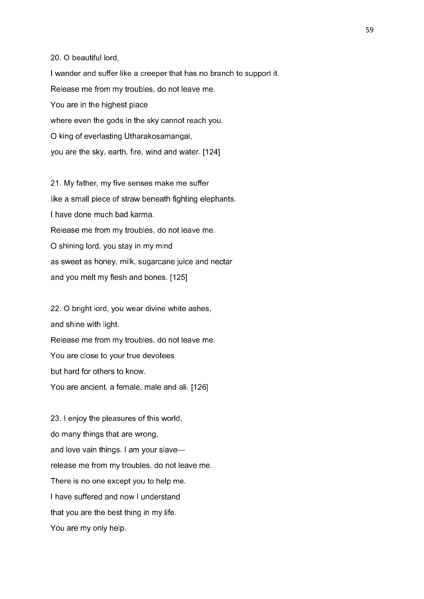20. O beautiful lord,

I wander and suffer like a creeper that has no branch to support it. Release me from my troubles, do not leave me. You are in the highest place where even the gods in the sky cannot reach you. O king of everlasting Utharakosamangai, you are the sky, earth, fire, wind and water. [124]

21. My father, my five senses make me suffer like a small piece of straw beneath fighting elephants. I have done much bad karma. Release me from my troubles, do not leave me. O shining lord, you stay in my mind as sweet as honey, milk, sugarcane juice and nectar and you melt my flesh and bones. [125]

22. O bright lord, you wear divine white ashes, and shine with light. Release me from my troubles, do not leave me. You are close to your true devotees but hard for others to know. You are ancient, a female, male and ali. [126]

23. I enjoy the pleasures of this world, do many things that are wrong, and love vain things. I am your slave release me from my troubles, do not leave me. There is no one except you to help me. I have suffered and now I understand that you are the best thing in my life. You are my only help.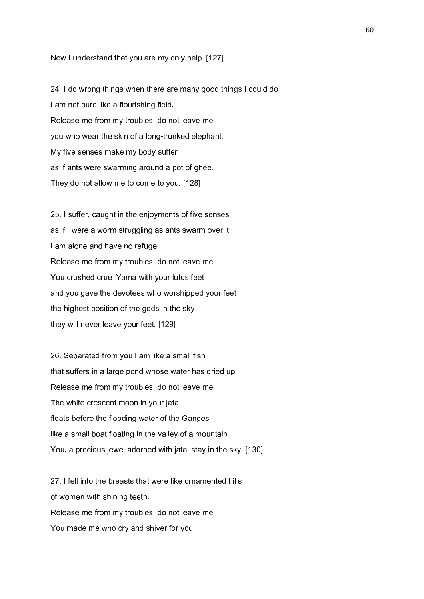Now I understand that you are my only help. [127]

24. I do wrong things when there are many good things I could do. I am not pure like a flourishing field. Release me from my troubles, do not leave me, you who wear the skin of a long-trunked elephant. My five senses make my body suffer as if ants were swarming around a pot of ghee. They do not allow me to come to you. [128]

25. I suffer, caught in the enjoyments of five senses as if I were a worm struggling as ants swarm over it. I am alone and have no refuge. Release me from my troubles, do not leave me. You crushed cruel Yama with your lotus feet and you gave the devotees who worshipped your feet the highest position of the gods in the sky they will never leave your feet. [129]

26. Separated from you I am like a small fish that suffers in a large pond whose water has dried up. Release me from my troubles, do not leave me. The white crescent moon in your jata floats before the flooding water of the Ganges like a small boat floating in the valley of a mountain. You, a precious jewel adorned with jata, stay in the sky. [130]

27. I fell into the breasts that were like ornamented hills of women with shining teeth. Release me from my troubles, do not leave me. You made me who cry and shiver for you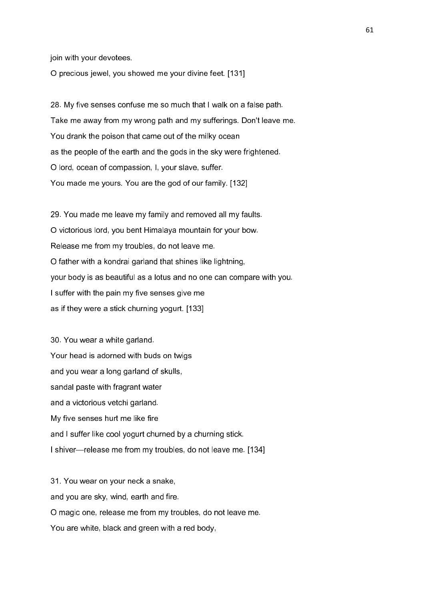join with your devotees.

O precious jewel, you showed me your divine feet. [131]

28. My five senses confuse me so much that I walk on a false path. Take me away from my wrong path and my sufferings. Don't leave me. You drank the poison that came out of the milky ocean as the people of the earth and the gods in the sky were frightened. O lord, ocean of compassion, I, your slave, suffer. You made me yours. You are the god of our family. [132]

29. You made me leave my family and removed all my faults. O victorious lord, you bent Himalaya mountain for your bow. Release me from my troubles, do not leave me. O father with a kondrai garland that shines like lightning, your body is as beautiful as a lotus and no one can compare with you. I suffer with the pain my five senses give me as if they were a stick churning yogurt. [133]

30. You wear a white garland. Your head is adorned with buds on twigs and you wear a long garland of skulls, sandal paste with fragrant water and a victorious vetchi garland. My five senses hurt me like fire and I suffer like cool yogurt churned by a churning stick. I shiver—release me from my troubles, do not leave me. [134]

31. You wear on your neck a snake, and you are sky, wind, earth and fire. O magic one, release me from my troubles, do not leave me. You are white, black and green with a red body,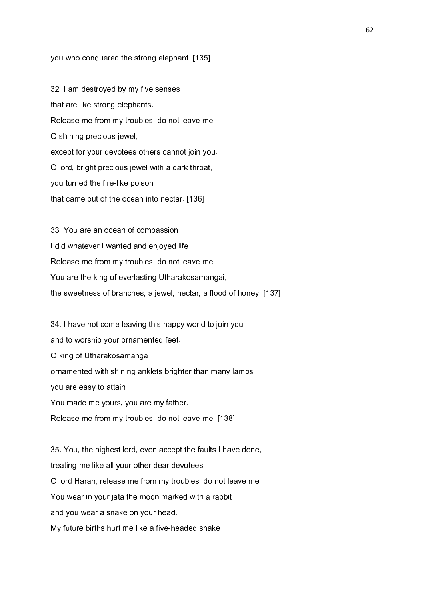### you who conquered the strong elephant. [135]

32. I am destroyed by my five senses that are like strong elephants. Release me from my troubles, do not leave me. O shining precious jewel, except for your devotees others cannot join you. O lord, bright precious jewel with a dark throat, you turned the fire-like poison that came out of the ocean into nectar. [136]

33. You are an ocean of compassion. I did whatever I wanted and enjoyed life. Release me from my troubles, do not leave me. You are the king of everlasting Utharakosamangai, the sweetness of branches, a jewel, nectar, a flood of honey. [137]

34. I have not come leaving this happy world to join you and to worship your ornamented feet. O king of Utharakosamangai ornamented with shining anklets brighter than many lamps, you are easy to attain. You made me yours, you are my father.

Release me from my troubles, do not leave me. [138]

35. You, the highest lord, even accept the faults I have done, treating me like all your other dear devotees. O lord Haran, release me from my troubles, do not leave me. You wear in your jata the moon marked with a rabbit and you wear a snake on your head. My future births hurt me like a five-headed snake.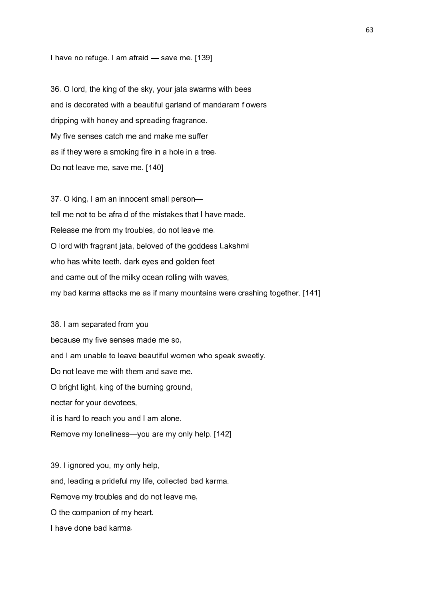I have no refuge. I am afraid — save me. [139]

36. O lord, the king of the sky, your jata swarms with bees and is decorated with a beautiful garland of mandaram flowers dripping with honey and spreading fragrance. My five senses catch me and make me suffer as if they were a smoking fire in a hole in a tree. Do not leave me, save me. [140]

37. O king, I am an innocent small person tell me not to be afraid of the mistakes that I have made. Release me from my troubles, do not leave me. O lord with fragrant jata, beloved of the goddess Lakshmi who has white teeth, dark eyes and golden feet and came out of the milky ocean rolling with waves, my bad karma attacks me as if many mountains were crashing together. [141]

38. I am separated from you because my five senses made me so, and I am unable to leave beautiful women who speak sweetly. Do not leave me with them and save me. O bright light, king of the burning ground, nectar for your devotees, it is hard to reach you and I am alone. Remove my loneliness—you are my only help. [142]

39. I ignored you, my only help, and, leading a prideful my life, collected bad karma. Remove my troubles and do not leave me, O the companion of my heart. I have done bad karma.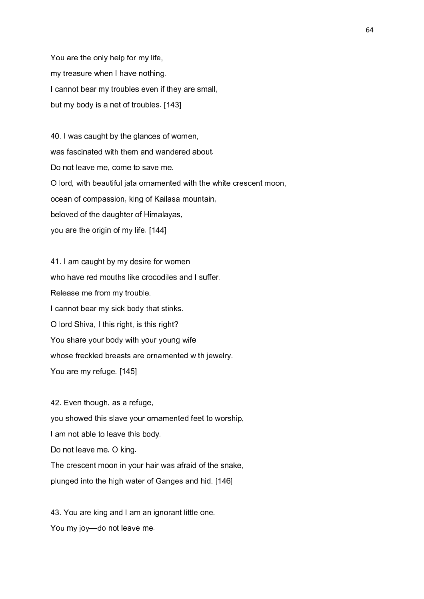You are the only help for my life, my treasure when I have nothing. I cannot bear my troubles even if they are small, but my body is a net of troubles. [143]

40. I was caught by the glances of women, was fascinated with them and wandered about. Do not leave me, come to save me. O lord, with beautiful jata ornamented with the white crescent moon, ocean of compassion, king of Kailasa mountain, beloved of the daughter of Himalayas, you are the origin of my life. [144]

41. I am caught by my desire for women who have red mouths like crocodiles and I suffer. Release me from my trouble. I cannot bear my sick body that stinks. O lord Shiva, I this right, is this right? You share your body with your young wife whose freckled breasts are ornamented with jewelry. You are my refuge. [145]

42. Even though, as a refuge, you showed this slave your ornamented feet to worship, I am not able to leave this body. Do not leave me, O king. The crescent moon in your hair was afraid of the snake, plunged into the high water of Ganges and hid. [146]

43. You are king and I am an ignorant little one. You my joy—do not leave me.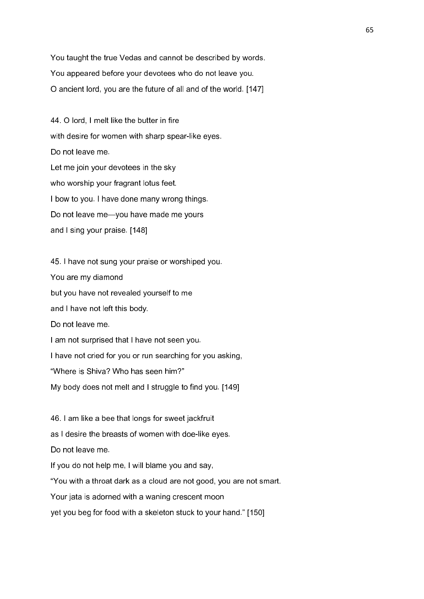You taught the true Vedas and cannot be described by words. You appeared before your devotees who do not leave you. O ancient lord, you are the future of all and of the world. [147]

44. O lord, I melt like the butter in fire with desire for women with sharp spear-like eyes. Do not leave me. Let me join your devotees in the sky who worship your fragrant lotus feet. I bow to you. I have done many wrong things. Do not leave me—you have made me yours and I sing your praise. [148]

45. I have not sung your praise or worshiped you. You are my diamond but you have not revealed yourself to me and I have not left this body. Do not leave me. I am not surprised that I have not seen you. I have not cried for you or run searching for you asking, "Where is Shiva? Who has seen him?" My body does not melt and I struggle to find you. [149]

46. I am like a bee that longs for sweet jackfruit as I desire the breasts of women with doe-like eyes. Do not leave me. If you do not help me, I will blame you and say, "You with a throat dark as a cloud are not good, you are not smart. Your jata is adorned with a waning crescent moon yet you beg for food with a skeleton stuck to your hand." [150]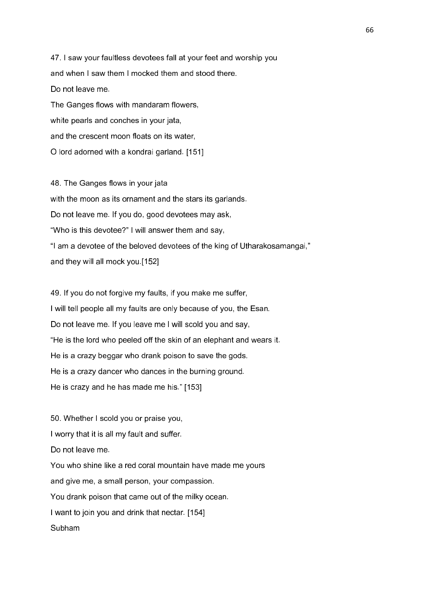47. I saw your faultless devotees fall at your feet and worship you and when I saw them I mocked them and stood there. Do not leave me. The Ganges flows with mandaram flowers, white pearls and conches in your jata, and the crescent moon floats on its water,

O lord adorned with a kondrai garland. [151]

48. The Ganges flows in your jata with the moon as its ornament and the stars its garlands. Do not leave me. If you do, good devotees may ask, "Who is this devotee?" I will answer them and say, "I am a devotee of the beloved devotees of the king of Utharakosamangai," and they will all mock you.[152]

49. If you do not forgive my faults, if you make me suffer, I will tell people all my faults are only because of you, the Esan. Do not leave me. If you leave me I will scold you and say, "He is the lord who peeled off the skin of an elephant and wears it. He is a crazy beggar who drank poison to save the gods. He is a crazy dancer who dances in the burning ground. He is crazy and he has made me his." [153]

50. Whether I scold you or praise you, I worry that it is all my fault and suffer. Do not leave me. You who shine like a red coral mountain have made me yours and give me, a small person, your compassion. You drank poison that came out of the milky ocean. I want to join you and drink that nectar. [154] Subham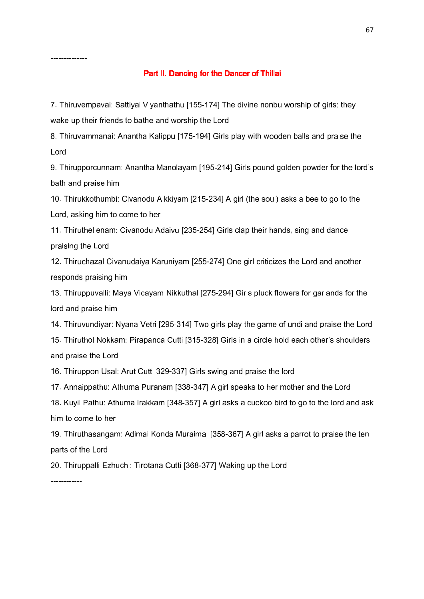#### --------------

# Part II. Dancing for the Dancer of Thillai

7. Thiruvempavai: Sattiyai Viyanthathu [155-174] The divine nonbu worship of girls: they wake up their friends to bathe and worship the Lord

8. Thiruvammanai: Anantha Kalippu [175-194] Girls play with wooden balls and praise the Lord

9. Thirupporcunnam: Anantha Manolayam [195-214] Girls pound golden powder for the lord's bath and praise him

10. Thirukkothumbi: Civanodu Aikkiyam [215-234] A girl (the soul) asks a bee to go to the Lord, asking him to come to her

11. Thiruthellenam: Civanodu Adaivu [235-254] Girls clap their hands, sing and dance praising the Lord

12. Thiruchazal Civanudaiya Karuniyam [255-274] One girl criticizes the Lord and another responds praising him

13. Thiruppuvalli: Maya Vicayam Nikkuthal [275-294] Girls pluck flowers for garlands for the lord and praise him

14. Thiruvundiyar: Nyana Vetri [295-314] Two girls play the game of undi and praise the Lord

15. Thiruthol Nokkam: Pirapanca Cutti [315-328] Girls in a circle hold each other's shoulders and praise the Lord

16. Thiruppon Usal: Arut Cutti 329-337] Girls swing and praise the lord

17. Annaippathu: Athuma Puranam [338-347] A girl speaks to her mother and the Lord

18. Kuyil Pathu: Athuma Irakkam [348-357] A girl asks a cuckoo bird to go to the lord and ask him to come to her

19. Thiruthasangam: Adimai Konda Muraimai [358-367] A girl asks a parrot to praise the ten parts of the Lord

20. Thiruppalli Ezhuchi: Tirotana Cutti [368-377] Waking up the Lord

------------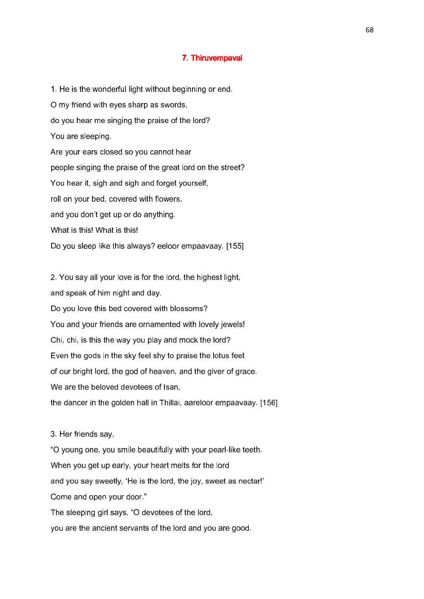## 7. Thiruvempavai 7. Thiruvempavai

1. He is the wonderful light without beginning or end. O my friend with eyes sharp as swords, do you hear me singing the praise of the lord? You are sleeping. Are your ears closed so you cannot hear people singing the praise of the great lord on the street? You hear it, sigh and sigh and forget yourself, roll on your bed, covered with flowers, and you don't get up or do anything. What is this! What is this! Do you sleep like this always? eeloor empaavaay. [155]

2. You say all your love is for the lord, the highest light, and speak of him night and day. Do you love this bed covered with blossoms? You and your friends are ornamented with lovely jewels! Chi, chi, is this the way you play and mock the lord? Even the gods in the sky feel shy to praise the lotus feet of our bright lord, the god of heaven, and the giver of grace. We are the beloved devotees of Isan. the dancer in the golden hall in Thillai, aareloor empaavaay. [156]

3. Her friends say, "O young one, you smile beautifully with your pearl-like teeth. When you get up early, your heart melts for the lord and you say sweetly, 'He is the lord, the joy, sweet as nectar!' Come and open your door." The sleeping girl says, "O devotees of the lord, you are the ancient servants of the lord and you are good.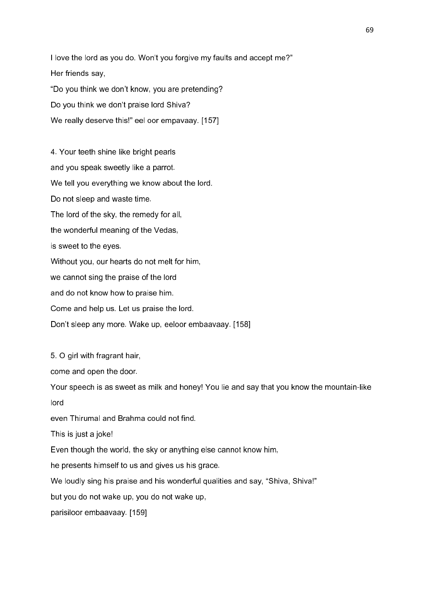I love the lord as you do. Won't you forgive my faults and accept me?" Her friends say, "Do you think we don't know, you are pretending? Do you think we don't praise lord Shiva? We really deserve this!" eel oor empavaay. [157]

4. Your teeth shine like bright pearls and you speak sweetly like a parrot. We tell you everything we know about the lord. Do not sleep and waste time. The lord of the sky, the remedy for all, the wonderful meaning of the Vedas, is sweet to the eyes. Without you, our hearts do not melt for him, we cannot sing the praise of the lord and do not know how to praise him. Come and help us. Let us praise the lord. Don't sleep any more. Wake up, eeloor embaavaay. [158]

5. O girl with fragrant hair, come and open the door. Your speech is as sweet as milk and honey! You lie and say that you know the mountain-like lord even Thirumal and Brahma could not find. This is just a joke! Even though the world, the sky or anything else cannot know him, he presents himself to us and gives us his grace. We loudly sing his praise and his wonderful qualities and say, "Shiva, Shiva!" but you do not wake up, you do not wake up, parisiloor embaavaay. [159]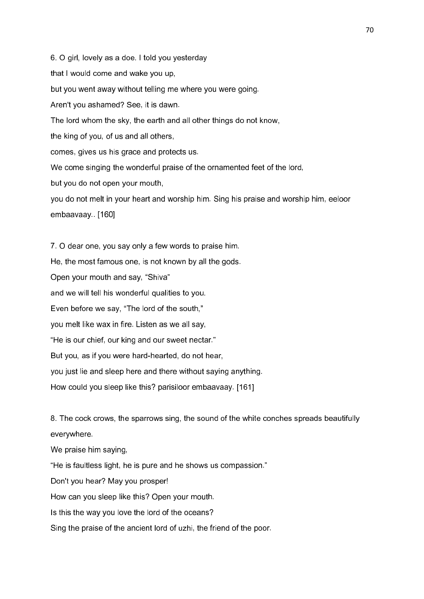6. O girl, lovely as a doe. I told you yesterday that I would come and wake you up, but you went away without telling me where you were going. Aren't you ashamed? See, it is dawn. The lord whom the sky, the earth and all other things do not know, the king of you, of us and all others, comes, gives us his grace and protects us. We come singing the wonderful praise of the ornamented feet of the lord, but you do not open your mouth, you do not melt in your heart and worship him. Sing his praise and worship him, eeloor embaavaay.. [160] 7. O dear one, you say only a few words to praise him. He, the most famous one, is not known by all the gods. Open your mouth and say, "Shiva"

and we will tell his wonderful qualities to you.

Even before we say, "The lord of the south,"

you melt like wax in fire. Listen as we all say,

"He is our chief, our king and our sweet nectar."

But you, as if you were hard-hearted, do not hear,

you just lie and sleep here and there without saying anything.

How could you sleep like this? parisiloor embaavaay. [161]

8. The cock crows, the sparrows sing, the sound of the white conches spreads beautifully everywhere.

We praise him saying,

"He is faultless light, he is pure and he shows us compassion."

Don't you hear? May you prosper!

How can you sleep like this? Open your mouth.

Is this the way you love the lord of the oceans?

Sing the praise of the ancient lord of uzhi, the friend of the poor.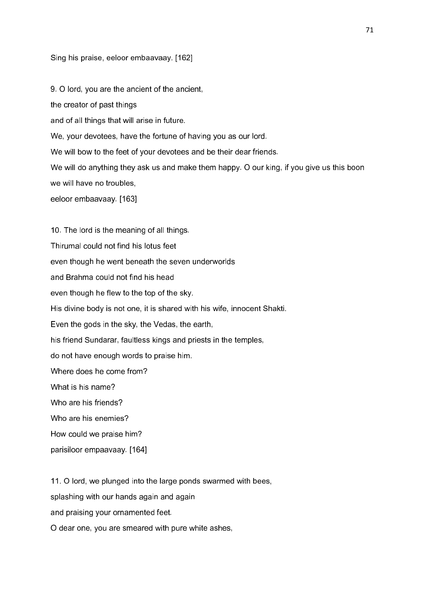### Sing his praise, eeloor embaavaay. [162]

9. O lord, you are the ancient of the ancient, the creator of past things and of all things that will arise in future. We, your devotees, have the fortune of having you as our lord. We will bow to the feet of your devotees and be their dear friends. We will do anything they ask us and make them happy. O our king, if you give us this boon we will have no troubles, eeloor embaavaay. [163]

10. The lord is the meaning of all things. Thirumal could not find his lotus feet even though he went beneath the seven underworlds and Brahma could not find his head even though he flew to the top of the sky. His divine body is not one, it is shared with his wife, innocent Shakti. Even the gods in the sky, the Vedas, the earth, his friend Sundarar, faultless kings and priests in the temples, do not have enough words to praise him. Where does he come from? What is his name? Who are his friends? Who are his enemies? How could we praise him? parisiloor empaavaay. [164]

11. O lord, we plunged into the large ponds swarmed with bees, splashing with our hands again and again and praising your ornamented feet. O dear one, you are smeared with pure white ashes,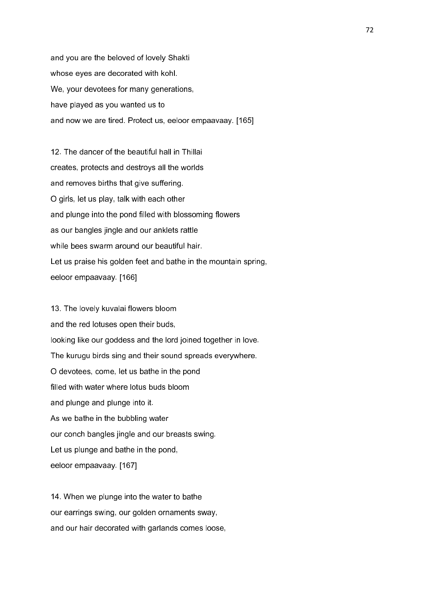and you are the beloved of lovely Shakti whose eyes are decorated with kohl. We, your devotees for many generations, have played as you wanted us to and now we are tired. Protect us, eeloor empaavaay. [165]

12. The dancer of the beautiful hall in Thillai creates, protects and destroys all the worlds and removes births that give suffering. O girls, let us play, talk with each other and plunge into the pond filled with blossoming flowers as our bangles jingle and our anklets rattle while bees swarm around our beautiful hair. Let us praise his golden feet and bathe in the mountain spring, eeloor empaavaay. [166]

13. The lovely kuvalai flowers bloom and the red lotuses open their buds, looking like our goddess and the lord joined together in love. The kurugu birds sing and their sound spreads everywhere. O devotees, come, let us bathe in the pond filled with water where lotus buds bloom and plunge and plunge into it. As we bathe in the bubbling water our conch bangles jingle and our breasts swing. Let us plunge and bathe in the pond, eeloor empaavaay. [167]

14. When we plunge into the water to bathe our earrings swing, our golden ornaments sway, and our hair decorated with garlands comes loose,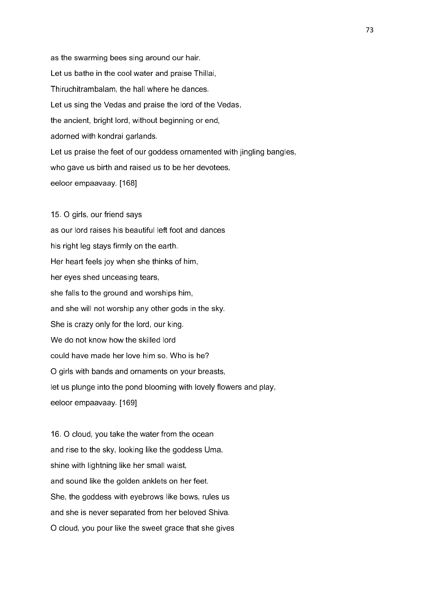as the swarming bees sing around our hair. Let us bathe in the cool water and praise Thillai, Thiruchitrambalam, the hall where he dances. Let us sing the Vedas and praise the lord of the Vedas, the ancient, bright lord, without beginning or end, adorned with kondrai garlands. Let us praise the feet of our goddess ornamented with jingling bangles, who gave us birth and raised us to be her devotees, eeloor empaavaay. [168]

15. O girls, our friend says as our lord raises his beautiful left foot and dances his right leg stays firmly on the earth. Her heart feels joy when she thinks of him, her eyes shed unceasing tears, she falls to the ground and worships him, and she will not worship any other gods in the sky. She is crazy only for the lord, our king. We do not know how the skilled lord could have made her love him so. Who is he? O girls with bands and ornaments on your breasts, let us plunge into the pond blooming with lovely flowers and play, eeloor empaavaay. [169]

16. O cloud, you take the water from the ocean and rise to the sky, looking like the goddess Uma, shine with lightning like her small waist, and sound like the golden anklets on her feet. She, the goddess with eyebrows like bows, rules us and she is never separated from her beloved Shiva. O cloud, you pour like the sweet grace that she gives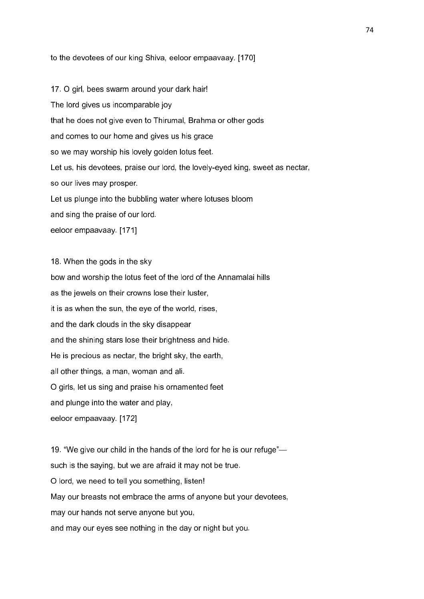to the devotees of our king Shiva, eeloor empaavaay. [170]

17. O girl, bees swarm around your dark hair! The lord gives us incomparable joy that he does not give even to Thirumal, Brahma or other gods and comes to our home and gives us his grace so we may worship his lovely golden lotus feet. Let us, his devotees, praise our lord, the lovely-eyed king, sweet as nectar, so our lives may prosper. Let us plunge into the bubbling water where lotuses bloom and sing the praise of our lord. eeloor empaavaay. [171]

18. When the gods in the sky bow and worship the lotus feet of the lord of the Annamalai hills as the jewels on their crowns lose their luster, it is as when the sun, the eye of the world, rises, and the dark clouds in the sky disappear and the shining stars lose their brightness and hide. He is precious as nectar, the bright sky, the earth, all other things, a man, woman and ali. O girls, let us sing and praise his ornamented feet and plunge into the water and play, eeloor empaavaay. [172]

19. "We give our child in the hands of the lord for he is our refuge" such is the saying, but we are afraid it may not be true. O lord, we need to tell you something, listen! May our breasts not embrace the arms of anyone but your devotees, may our hands not serve anyone but you, and may our eyes see nothing in the day or night but you.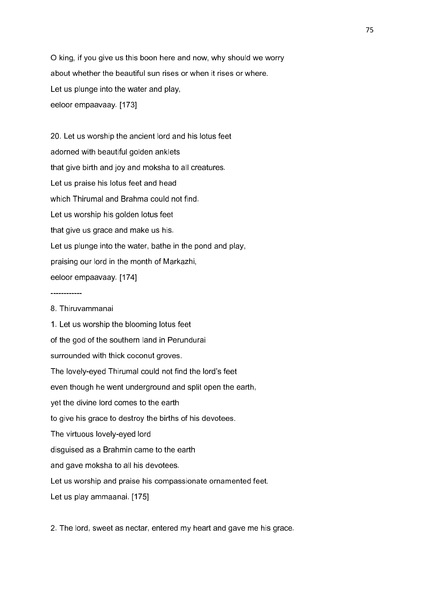O king, if you give us this boon here and now, why should we worry about whether the beautiful sun rises or when it rises or where. Let us plunge into the water and play, eeloor empaavaay. [173]

20. Let us worship the ancient lord and his lotus feet adorned with beautiful golden anklets that give birth and joy and moksha to all creatures. Let us praise his lotus feet and head which Thirumal and Brahma could not find. Let us worship his golden lotus feet that give us grace and make us his. Let us plunge into the water, bathe in the pond and play, praising our lord in the month of Markazhi, eeloor empaavaay. [174]

#### 8. Thiruvammanai

------------

1. Let us worship the blooming lotus feet of the god of the southern land in Perundurai surrounded with thick coconut groves. The lovely-eyed Thirumal could not find the lord's feet even though he went underground and split open the earth, yet the divine lord comes to the earth to give his grace to destroy the births of his devotees. The virtuous lovely-eyed lord disguised as a Brahmin came to the earth and gave moksha to all his devotees. Let us worship and praise his compassionate ornamented feet. Let us play ammaanai. [175]

2. The lord, sweet as nectar, entered my heart and gave me his grace.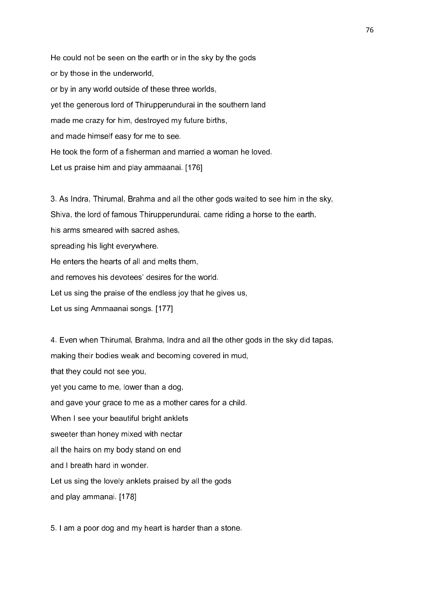He could not be seen on the earth or in the sky by the gods or by those in the underworld, or by in any world outside of these three worlds, yet the generous lord of Thirupperundurai in the southern land made me crazy for him, destroyed my future births, and made himself easy for me to see. He took the form of a fisherman and married a woman he loved. Let us praise him and play ammaanai. [176]

3. As Indra, Thirumal, Brahma and all the other gods waited to see him in the sky, Shiva, the lord of famous Thirupperundurai, came riding a horse to the earth, his arms smeared with sacred ashes. spreading his light everywhere. He enters the hearts of all and melts them, and removes his devotees' desires for the world. Let us sing the praise of the endless joy that he gives us, Let us sing Ammaanai songs. [177]

4. Even when Thirumal, Brahma, Indra and all the other gods in the sky did tapas, making their bodies weak and becoming covered in mud, that they could not see you, yet you came to me, lower than a dog, and gave your grace to me as a mother cares for a child. When I see your beautiful bright anklets sweeter than honey mixed with nectar all the hairs on my body stand on end and I breath hard in wonder. Let us sing the lovely anklets praised by all the gods and play ammanai. [178]

5. I am a poor dog and my heart is harder than a stone.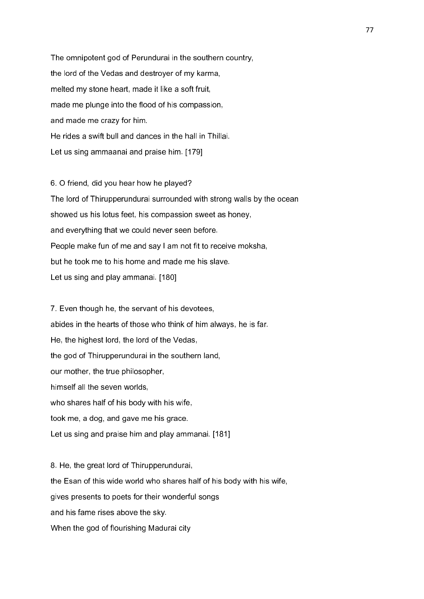The omnipotent god of Perundurai in the southern country, the lord of the Vedas and destroyer of my karma, melted my stone heart, made it like a soft fruit, made me plunge into the flood of his compassion, and made me crazy for him. He rides a swift bull and dances in the hall in Thillai. Let us sing ammaanai and praise him. [179]

6. O friend, did you hear how he played? The lord of Thirupperundurai surrounded with strong walls by the ocean showed us his lotus feet, his compassion sweet as honey, and everything that we could never seen before. People make fun of me and say I am not fit to receive moksha, but he took me to his home and made me his slave. Let us sing and play ammanai. [180]

7. Even though he, the servant of his devotees, abides in the hearts of those who think of him always, he is far. He, the highest lord, the lord of the Vedas, the god of Thirupperundurai in the southern land, our mother, the true philosopher, himself all the seven worlds, who shares half of his body with his wife, took me, a dog, and gave me his grace. Let us sing and praise him and play ammanai. [181]

8. He, the great lord of Thirupperundurai, the Esan of this wide world who shares half of his body with his wife, gives presents to poets for their wonderful songs and his fame rises above the sky. When the god of flourishing Madurai city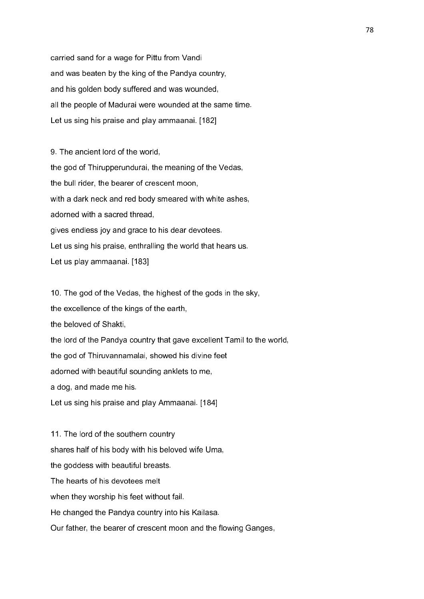carried sand for a wage for Pittu from Vandi and was beaten by the king of the Pandya country, and his golden body suffered and was wounded, all the people of Madurai were wounded at the same time. Let us sing his praise and play ammaanai. [182]

9. The ancient lord of the world, the god of Thirupperundurai, the meaning of the Vedas, the bull rider, the bearer of crescent moon, with a dark neck and red body smeared with white ashes, adorned with a sacred thread, gives endless joy and grace to his dear devotees. Let us sing his praise, enthralling the world that hears us. Let us play ammaanai. [183]

10. The god of the Vedas, the highest of the gods in the sky, the excellence of the kings of the earth, the beloved of Shakti, the lord of the Pandya country that gave excellent Tamil to the world, the god of Thiruvannamalai, showed his divine feet adorned with beautiful sounding anklets to me, a dog, and made me his. Let us sing his praise and play Ammaanai. [184]

11. The lord of the southern country shares half of his body with his beloved wife Uma, the goddess with beautiful breasts. The hearts of his devotees melt when they worship his feet without fail. He changed the Pandya country into his Kailasa. Our father, the bearer of crescent moon and the flowing Ganges,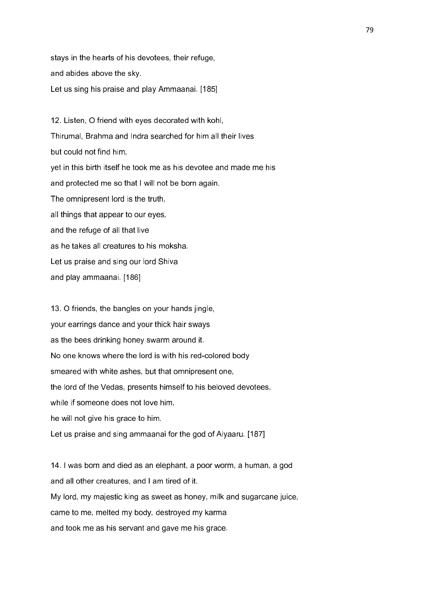stays in the hearts of his devotees, their refuge, and abides above the sky. Let us sing his praise and play Ammaanai. [185]

12. Listen, O friend with eyes decorated with kohl, Thirumal, Brahma and Indra searched for him all their lives but could not find him, yet in this birth itself he took me as his devotee and made me his and protected me so that I will not be born again. The omnipresent lord is the truth, all things that appear to our eyes, and the refuge of all that live as he takes all creatures to his moksha. Let us praise and sing our lord Shiva and play ammaanai. [186]

13. O friends, the bangles on your hands jingle, your earrings dance and your thick hair sways as the bees drinking honey swarm around it. No one knows where the lord is with his red-colored body smeared with white ashes, but that omnipresent one, the lord of the Vedas, presents himself to his beloved devotees, while if someone does not love him, he will not give his grace to him. Let us praise and sing ammaanai for the god of Aiyaaru. [187]

14. I was born and died as an elephant, a poor worm, a human, a god and all other creatures, and I am tired of it. My lord, my majestic king as sweet as honey, milk and sugarcane juice, came to me, melted my body, destroyed my karma and took me as his servant and gave me his grace.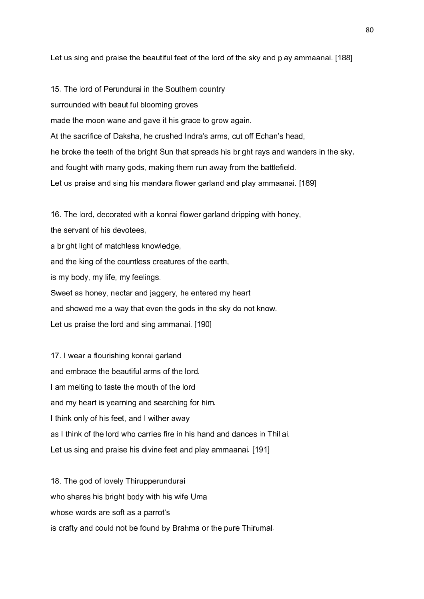Let us sing and praise the beautiful feet of the lord of the sky and play ammaanai. [188]

15. The lord of Perundurai in the Southern country surrounded with beautiful blooming groves made the moon wane and gave it his grace to grow again. At the sacrifice of Daksha, he crushed Indra's arms, cut off Echan's head, he broke the teeth of the bright Sun that spreads his bright rays and wanders in the sky, and fought with many gods, making them run away from the battlefield. Let us praise and sing his mandara flower garland and play ammaanai. [189]

16. The lord, decorated with a konrai flower garland dripping with honey, the servant of his devotees, a bright light of matchless knowledge, and the king of the countless creatures of the earth, is my body, my life, my feelings. Sweet as honey, nectar and jaggery, he entered my heart and showed me a way that even the gods in the sky do not know. Let us praise the lord and sing ammanai. [190]

17. I wear a flourishing konrai garland and embrace the beautiful arms of the lord. I am melting to taste the mouth of the lord and my heart is yearning and searching for him. I think only of his feet, and I wither away as I think of the lord who carries fire in his hand and dances in Thillai. Let us sing and praise his divine feet and play ammaanai. [191]

18. The god of lovely Thirupperundurai who shares his bright body with his wife Uma whose words are soft as a parrot's is crafty and could not be found by Brahma or the pure Thirumal.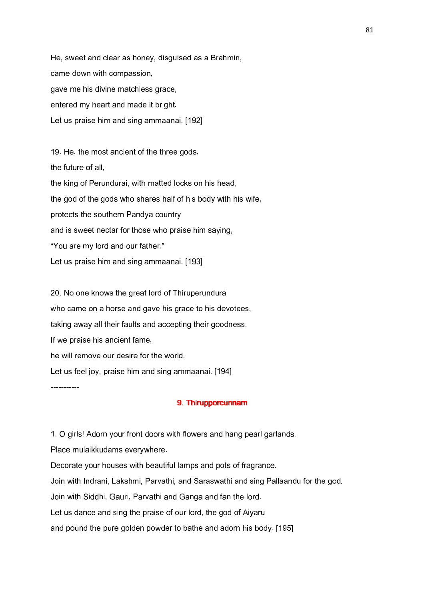He, sweet and clear as honey, disguised as a Brahmin, came down with compassion, gave me his divine matchless grace, entered my heart and made it bright. Let us praise him and sing ammaanai. [192]

19. He, the most ancient of the three gods, the future of all, the king of Perundurai, with matted locks on his head, the god of the gods who shares half of his body with his wife, protects the southern Pandya country and is sweet nectar for those who praise him saying, "You are my lord and our father." Let us praise him and sing ammaanai. [193]

20. No one knows the great lord of Thiruperundurai who came on a horse and gave his grace to his devotees, taking away all their faults and accepting their goodness. If we praise his ancient fame, he will remove our desire for the world. Let us feel joy, praise him and sing ammaanai. [194]

### 9. Thirupporcunnam

1. O girls! Adorn your front doors with flowers and hang pearl garlands.

Place mulaikkudams everywhere.

-----------

Decorate your houses with beautiful lamps and pots of fragrance.

Join with Indrani, Lakshmi, Parvathi, and Saraswathi and sing Pallaandu for the god.

Join with Siddhi, Gauri, Parvathi and Ganga and fan the lord.

Let us dance and sing the praise of our lord, the god of Aiyaru

and pound the pure golden powder to bathe and adorn his body. [195]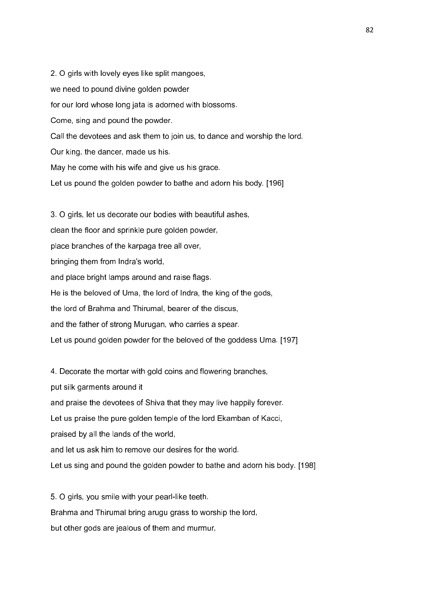2. O girls with lovely eyes like split mangoes, we need to pound divine golden powder for our lord whose long jata is adorned with blossoms. Come, sing and pound the powder. Call the devotees and ask them to join us, to dance and worship the lord. Our king, the dancer, made us his. May he come with his wife and give us his grace. Let us pound the golden powder to bathe and adorn his body. [196] 3. O girls, let us decorate our bodies with beautiful ashes,

clean the floor and sprinkle pure golden powder, place branches of the karpaga tree all over, bringing them from Indra's world, and place bright lamps around and raise flags. He is the beloved of Uma, the lord of Indra, the king of the gods, the lord of Brahma and Thirumal, bearer of the discus, and the father of strong Murugan, who carries a spear. Let us pound golden powder for the beloved of the goddess Uma. [197]

4. Decorate the mortar with gold coins and flowering branches, put silk garments around it and praise the devotees of Shiva that they may live happily forever. Let us praise the pure golden temple of the lord Ekamban of Kacci, praised by all the lands of the world, and let us ask him to remove our desires for the world. Let us sing and pound the golden powder to bathe and adorn his body. [198]

5. O girls, you smile with your pearl-like teeth. Brahma and Thirumal bring arugu grass to worship the lord, but other gods are jealous of them and murmur,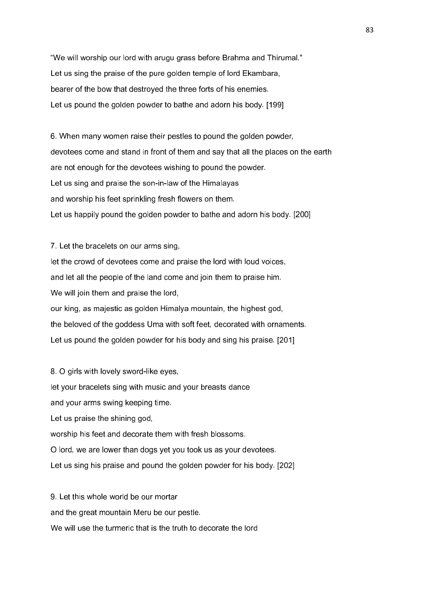"We will worship our lord with arugu grass before Brahma and Thirumal." Let us sing the praise of the pure golden temple of lord Ekambara, bearer of the bow that destroyed the three forts of his enemies. Let us pound the golden powder to bathe and adorn his body. [199]

6. When many women raise their pestles to pound the golden powder, devotees come and stand in front of them and say that all the places on the earth are not enough for the devotees wishing to pound the powder. Let us sing and praise the son-in-law of the Himalayas and worship his feet sprinkling fresh flowers on them. Let us happily pound the golden powder to bathe and adorn his body. [200]

7. Let the bracelets on our arms sing, let the crowd of devotees come and praise the lord with loud voices, and let all the people of the land come and join them to praise him. We will join them and praise the lord, our king, as majestic as golden Himalya mountain, the highest god, the beloved of the goddess Uma with soft feet, decorated with ornaments. Let us pound the golden powder for his body and sing his praise. [201]

8. O girls with lovely sword-like eyes, let your bracelets sing with music and your breasts dance and your arms swing keeping time. Let us praise the shining god, worship his feet and decorate them with fresh blossoms. O lord, we are lower than dogs yet you took us as your devotees. Let us sing his praise and pound the golden powder for his body. [202]

9. Let this whole world be our mortar and the great mountain Meru be our pestle. We will use the turmeric that is the truth to decorate the lord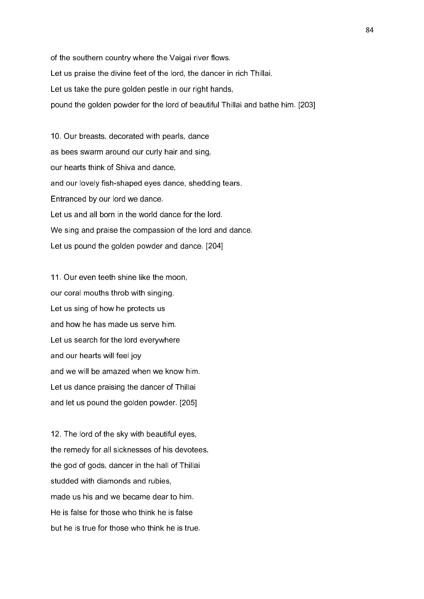of the southern country where the Vaigai river flows. Let us praise the divine feet of the lord, the dancer in rich Thillai. Let us take the pure golden pestle in our right hands, pound the golden powder for the lord of beautiful Thillai and bathe him. [203]

10. Our breasts, decorated with pearls, dance as bees swarm around our curly hair and sing, our hearts think of Shiva and dance, and our lovely fish-shaped eyes dance, shedding tears. Entranced by our lord we dance. Let us and all born in the world dance for the lord. We sing and praise the compassion of the lord and dance. Let us pound the golden powder and dance. [204]

11. Our even teeth shine like the moon, our coral mouths throb with singing. Let us sing of how he protects us and how he has made us serve him. Let us search for the lord everywhere and our hearts will feel joy and we will be amazed when we know him. Let us dance praising the dancer of Thillai and let us pound the golden powder. [205]

12. The lord of the sky with beautiful eyes, the remedy for all sicknesses of his devotees, the god of gods, dancer in the hall of Thillai studded with diamonds and rubies, made us his and we became dear to him. He is false for those who think he is false but he is true for those who think he is true.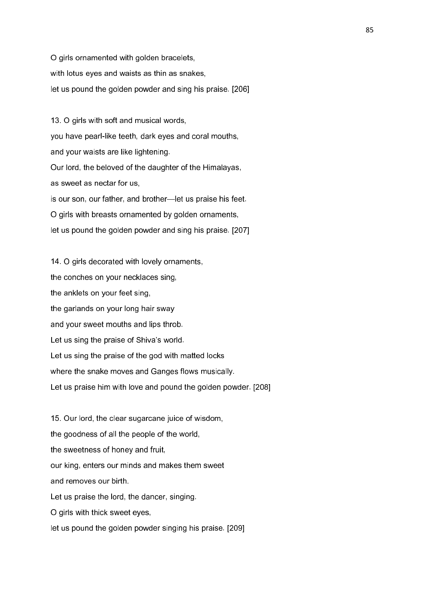O girls ornamented with golden bracelets, with lotus eyes and waists as thin as snakes, let us pound the golden powder and sing his praise. [206]

13. O girls with soft and musical words, you have pearl-like teeth, dark eyes and coral mouths, and your waists are like lightening. Our lord, the beloved of the daughter of the Himalayas, as sweet as nectar for us, is our son, our father, and brother—let us praise his feet. O girls with breasts ornamented by golden ornaments, let us pound the golden powder and sing his praise. [207]

14. O girls decorated with lovely ornaments, the conches on your necklaces sing, the anklets on your feet sing, the garlands on your long hair sway and your sweet mouths and lips throb. Let us sing the praise of Shiva's world. Let us sing the praise of the god with matted locks where the snake moves and Ganges flows musically. Let us praise him with love and pound the golden powder. [208]

15. Our lord, the clear sugarcane juice of wisdom, the goodness of all the people of the world, the sweetness of honey and fruit, our king, enters our minds and makes them sweet and removes our birth. Let us praise the lord, the dancer, singing. O girls with thick sweet eyes, let us pound the golden powder singing his praise. [209]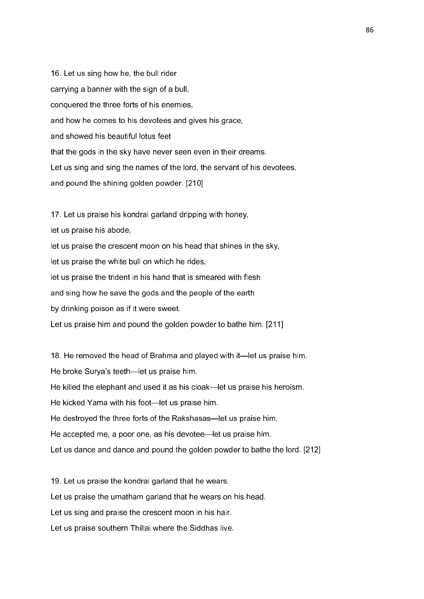16. Let us sing how he, the bull rider carrying a banner with the sign of a bull, conquered the three forts of his enemies, and how he comes to his devotees and gives his grace, and showed his beautiful lotus feet that the gods in the sky have never seen even in their dreams. Let us sing and sing the names of the lord, the servant of his devotees, and pound the shining golden powder. [210]

17. Let us praise his kondrai garland dripping with honey,

let us praise his abode,

let us praise the crescent moon on his head that shines in the sky,

let us praise the white bull on which he rides,

let us praise the trident in his hand that is smeared with flesh

and sing how he save the gods and the people of the earth

by drinking poison as if it were sweet.

Let us praise him and pound the golden powder to bathe him. [211]

18. He removed the head of Brahma and played with it—let us praise him. He broke Surya's teeth—let us praise him. He killed the elephant and used it as his cloak—let us praise his heroism. He kicked Yama with his foot—let us praise him. He destroyed the three forts of the Rakshasas—let us praise him. He accepted me, a poor one, as his devotee—let us praise him. Let us dance and dance and pound the golden powder to bathe the lord. [212]

19. Let us praise the kondrai garland that he wears. Let us praise the umatham garland that he wears on his head. Let us sing and praise the crescent moon in his hair. Let us praise southern Thillai where the Siddhas live.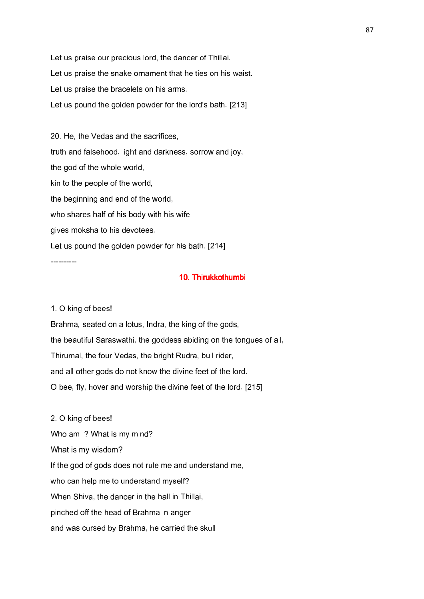Let us praise our precious lord, the dancer of Thillai. Let us praise the snake ornament that he ties on his waist. Let us praise the bracelets on his arms. Let us pound the golden powder for the lord's bath. [213]

20. He, the Vedas and the sacrifices, truth and falsehood, light and darkness, sorrow and joy, the god of the whole world, kin to the people of the world, the beginning and end of the world, who shares half of his body with his wife gives moksha to his devotees. Let us pound the golden powder for his bath. [214]

----------

### 10. Thirukkothumbi 10. Thirukkothumbi

### 1. O king of bees!

Brahma, seated on a lotus, Indra, the king of the gods, the beautiful Saraswathi, the goddess abiding on the tongues of all, Thirumal, the four Vedas, the bright Rudra, bull rider, and all other gods do not know the divine feet of the lord. O bee, fly, hover and worship the divine feet of the lord. [215]

2. O king of bees! Who am I? What is my mind? What is my wisdom? If the god of gods does not rule me and understand me, who can help me to understand myself? When Shiva, the dancer in the hall in Thillai, pinched off the head of Brahma in anger and was cursed by Brahma, he carried the skull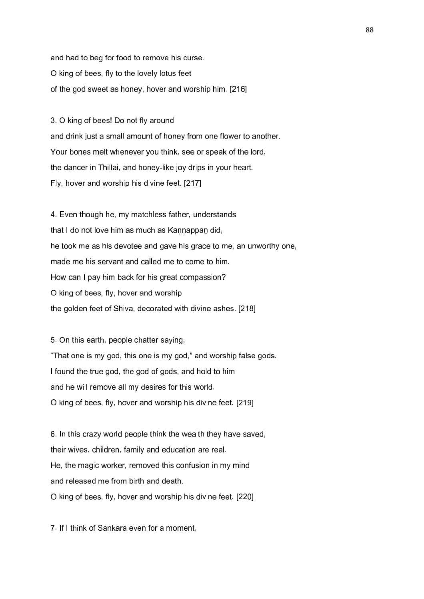and had to beg for food to remove his curse. O king of bees, fly to the lovely lotus feet of the god sweet as honey, hover and worship him. [216]

3. O king of bees! Do not fly around and drink just a small amount of honey from one flower to another. Your bones melt whenever you think, see or speak of the lord, the dancer in Thillai, and honey-like joy drips in your heart. Fly, hover and worship his divine feet. [217]

4. Even though he, my matchless father, understands that I do not love him as much as Kannappan did, he took me as his devotee and gave his grace to me, an unworthy one, made me his servant and called me to come to him. How can I pay him back for his great compassion? O king of bees, fly, hover and worship the golden feet of Shiva, decorated with divine ashes. [218]

5. On this earth, people chatter saying, "That one is my god, this one is my god," and worship false gods. I found the true god, the god of gods, and hold to him and he will remove all my desires for this world. O king of bees, fly, hover and worship his divine feet. [219]

6. In this crazy world people think the wealth they have saved, their wives, children, family and education are real. He, the magic worker, removed this confusion in my mind and released me from birth and death. O king of bees, fly, hover and worship his divine feet. [220]

7. If I think of Sankara even for a moment,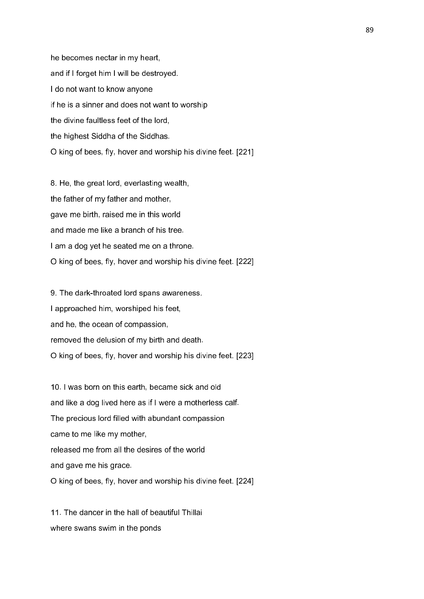he becomes nectar in my heart, and if I forget him I will be destroyed. I do not want to know anyone if he is a sinner and does not want to worship the divine faultless feet of the lord, the highest Siddha of the Siddhas. O king of bees, fly, hover and worship his divine feet. [221]

8. He, the great lord, everlasting wealth, the father of my father and mother, gave me birth, raised me in this world and made me like a branch of his tree. I am a dog yet he seated me on a throne. O king of bees, fly, hover and worship his divine feet. [222]

9. The dark-throated lord spans awareness. I approached him, worshiped his feet, and he, the ocean of compassion, removed the delusion of my birth and death. O king of bees, fly, hover and worship his divine feet. [223]

10. I was born on this earth, became sick and old and like a dog lived here as if I were a motherless calf. The precious lord filled with abundant compassion came to me like my mother, released me from all the desires of the world and gave me his grace. O king of bees, fly, hover and worship his divine feet. [224]

11. The dancer in the hall of beautiful Thillai where swans swim in the ponds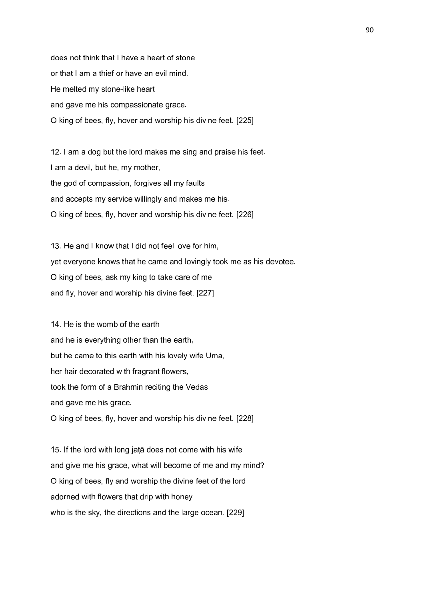does not think that I have a heart of stone or that I am a thief or have an evil mind. He melted my stone-like heart and gave me his compassionate grace. O king of bees, fly, hover and worship his divine feet. [225]

12. I am a dog but the lord makes me sing and praise his feet. I am a devil, but he, my mother, the god of compassion, forgives all my faults and accepts my service willingly and makes me his. O king of bees, fly, hover and worship his divine feet. [226]

13. He and I know that I did not feel love for him, yet everyone knows that he came and lovingly took me as his devotee. O king of bees, ask my king to take care of me and fly, hover and worship his divine feet. [227]

14. He is the womb of the earth and he is everything other than the earth, but he came to this earth with his lovely wife Uma, her hair decorated with fragrant flowers, took the form of a Brahmin reciting the Vedas and gave me his grace. O king of bees, fly, hover and worship his divine feet. [228]

15. If the lord with long jaṭā does not come with his wife and give me his grace, what will become of me and my mind? O king of bees, fly and worship the divine feet of the lord adorned with flowers that drip with honey who is the sky, the directions and the large ocean. [229]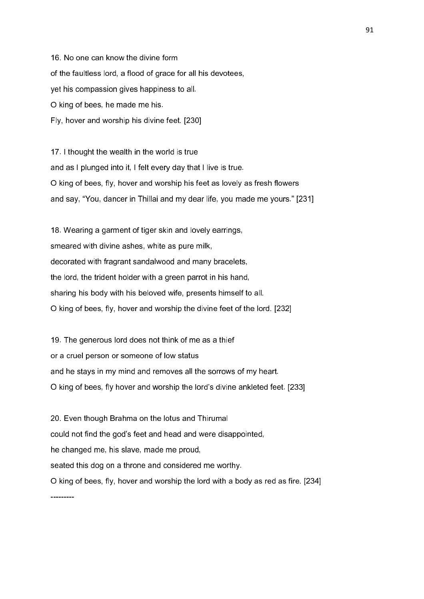16. No one can know the divine form of the faultless lord, a flood of grace for all his devotees, yet his compassion gives happiness to all. O king of bees, he made me his. Fly, hover and worship his divine feet. [230]

17. I thought the wealth in the world is true and as I plunged into it, I felt every day that I live is true. O king of bees, fly, hover and worship his feet as lovely as fresh flowers and say, "You, dancer in Thillai and my dear life, you made me yours." [231]

18. Wearing a garment of tiger skin and lovely earrings, smeared with divine ashes, white as pure milk, decorated with fragrant sandalwood and many bracelets, the lord, the trident holder with a green parrot in his hand, sharing his body with his beloved wife, presents himself to all. O king of bees, fly, hover and worship the divine feet of the lord. [232]

19. The generous lord does not think of me as a thief or a cruel person or someone of low status and he stays in my mind and removes all the sorrows of my heart. O king of bees, fly hover and worship the lord's divine ankleted feet. [233]

20. Even though Brahma on the lotus and Thirumal could not find the god's feet and head and were disappointed, he changed me, his slave, made me proud, seated this dog on a throne and considered me worthy. O king of bees, fly, hover and worship the lord with a body as red as fire. [234]

---------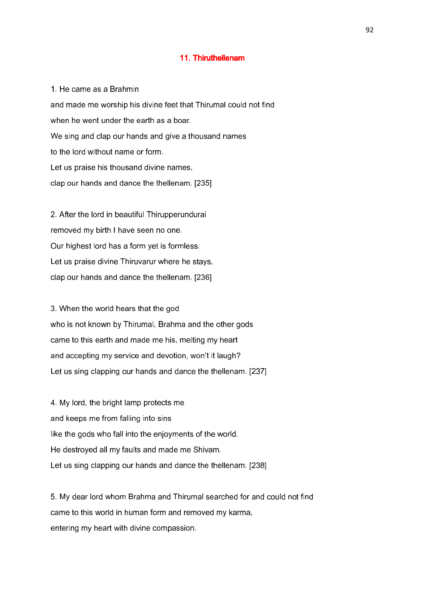#### 11. Thiruthellenam

1. He came as a Brahmin and made me worship his divine feet that Thirumal could not find when he went under the earth as a boar. We sing and clap our hands and give a thousand names to the lord without name or form. Let us praise his thousand divine names, clap our hands and dance the thellenam. [235]

2. After the lord in beautiful Thirupperundurai removed my birth I have seen no one. Our highest lord has a form yet is formless. Let us praise divine Thiruvarur where he stays, clap our hands and dance the thellenam. [236]

3. When the world hears that the god who is not known by Thirumal, Brahma and the other gods came to this earth and made me his, melting my heart and accepting my service and devotion, won't it laugh? Let us sing clapping our hands and dance the thellenam. [237]

4. My lord, the bright lamp protects me and keeps me from falling into sins like the gods who fall into the enjoyments of the world. He destroyed all my faults and made me Shivam. Let us sing clapping our hands and dance the thellenam. [238]

5. My dear lord whom Brahma and Thirumal searched for and could not find came to this world in human form and removed my karma, entering my heart with divine compassion.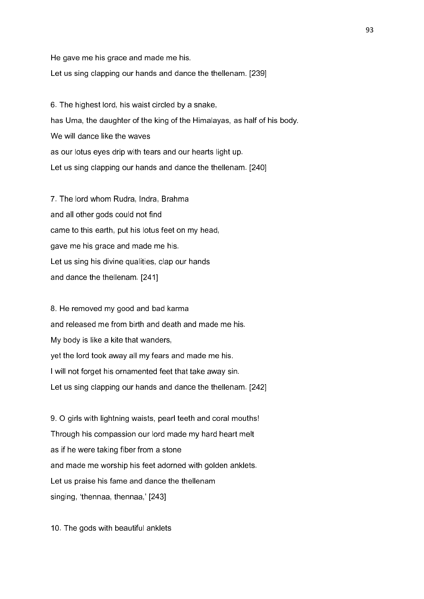He gave me his grace and made me his.

Let us sing clapping our hands and dance the thellenam. [239]

6. The highest lord, his waist circled by a snake, has Uma, the daughter of the king of the Himalayas, as half of his body. We will dance like the waves as our lotus eyes drip with tears and our hearts light up. Let us sing clapping our hands and dance the thellenam. [240]

7. The lord whom Rudra, Indra, Brahma and all other gods could not find came to this earth, put his lotus feet on my head, gave me his grace and made me his. Let us sing his divine qualities, clap our hands and dance the thellenam. [241]

8. He removed my good and bad karma and released me from birth and death and made me his. My body is like a kite that wanders, yet the lord took away all my fears and made me his. I will not forget his ornamented feet that take away sin. Let us sing clapping our hands and dance the thellenam. [242]

9. O girls with lightning waists, pearl teeth and coral mouths! Through his compassion our lord made my hard heart melt as if he were taking fiber from a stone and made me worship his feet adorned with golden anklets. Let us praise his fame and dance the thellenam singing, 'thennaa, thennaa,' [243]

10. The gods with beautiful anklets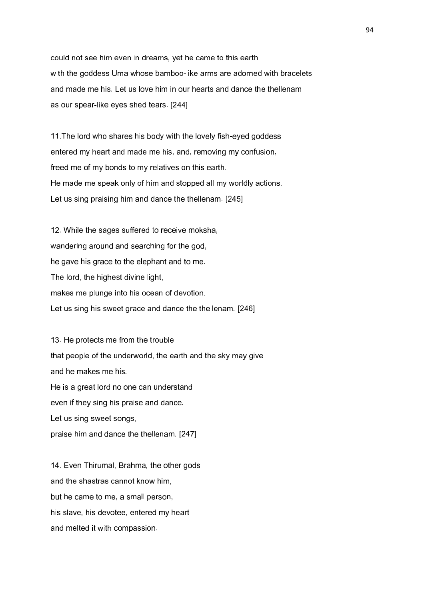could not see him even in dreams, yet he came to this earth with the goddess Uma whose bamboo-like arms are adorned with bracelets and made me his. Let us love him in our hearts and dance the thellenam as our spear-like eyes shed tears. [244]

11.The lord who shares his body with the lovely fish-eyed goddess entered my heart and made me his, and, removing my confusion, freed me of my bonds to my relatives on this earth. He made me speak only of him and stopped all my worldly actions. Let us sing praising him and dance the thellenam. [245]

12. While the sages suffered to receive moksha, wandering around and searching for the god, he gave his grace to the elephant and to me. The lord, the highest divine light, makes me plunge into his ocean of devotion. Let us sing his sweet grace and dance the thellenam. [246]

13. He protects me from the trouble that people of the underworld, the earth and the sky may give and he makes me his. He is a great lord no one can understand even if they sing his praise and dance. Let us sing sweet songs, praise him and dance the thellenam. [247]

14. Even Thirumal, Brahma, the other gods and the shastras cannot know him, but he came to me, a small person, his slave, his devotee, entered my heart and melted it with compassion.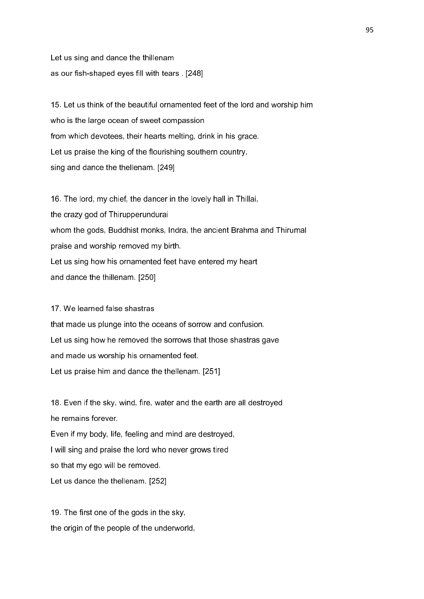Let us sing and dance the thillenam as our fish-shaped eyes fill with tears . [248]

15. Let us think of the beautiful ornamented feet of the lord and worship him who is the large ocean of sweet compassion from which devotees, their hearts melting, drink in his grace. Let us praise the king of the flourishing southern country, sing and dance the thellenam. [249]

16. The lord, my chief, the dancer in the lovely hall in Thillai, the crazy god of Thirupperundurai whom the gods, Buddhist monks, Indra, the ancient Brahma and Thirumal praise and worship removed my birth. Let us sing how his ornamented feet have entered my heart and dance the thillenam. [250]

# 17. We learned false shastras

that made us plunge into the oceans of sorrow and confusion. Let us sing how he removed the sorrows that those shastras gave and made us worship his ornamented feet. Let us praise him and dance the thellenam. [251]

18. Even if the sky, wind, fire, water and the earth are all destroyed he remains forever. Even if my body, life, feeling and mind are destroyed, I will sing and praise the lord who never grows tired so that my ego will be removed. Let us dance the thellenam. [252]

19. The first one of the gods in the sky, the origin of the people of the underworld,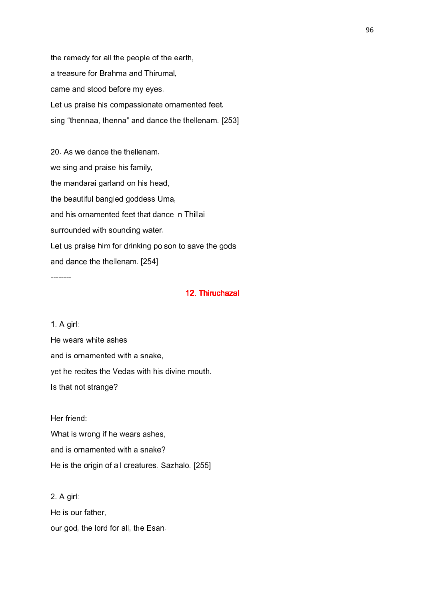the remedy for all the people of the earth, a treasure for Brahma and Thirumal, came and stood before my eyes. Let us praise his compassionate ornamented feet, sing "thennaa, thenna" and dance the thellenam. [253]

20. As we dance the thellenam, we sing and praise his family, the mandarai garland on his head, the beautiful bangled goddess Uma, and his ornamented feet that dance in Thillai surrounded with sounding water. Let us praise him for drinking poison to save the gods and dance the thellenam. [254]

### 12. Thiruchazal

1. A girl: He wears white ashes and is ornamented with a snake, yet he recites the Vedas with his divine mouth. Is that not strange?

--------

Her friend: What is wrong if he wears ashes, and is ornamented with a snake? He is the origin of all creatures. Sazhalo. [255]

2. A girl: He is our father, our god, the lord for all, the Esan.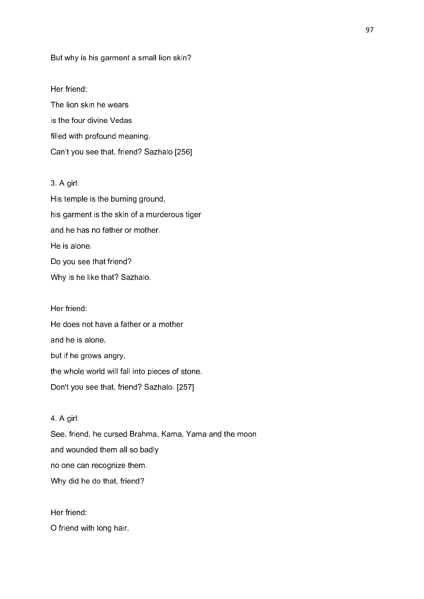#### But why is his garment a small lion skin?

#### Her friend:

The lion skin he wears is the four divine Vedas filled with profound meaning. Can't you see that, friend? Sazhalo [256]

### 3. A girl:

His temple is the burning ground, his garment is the skin of a murderous tiger and he has no father or mother. He is alone. Do you see that friend? Why is he like that? Sazhalo.

Her friend: He does not have a father or a mother and he is alone, but if he grows angry, the whole world will fall into pieces of stone. Don't you see that, friend? Sazhalo. [257]

# 4. A girl:

See, friend, he cursed Brahma, Kama, Yama and the moon and wounded them all so badly no one can recognize them. Why did he do that, friend?

Her friend: O friend with long hair,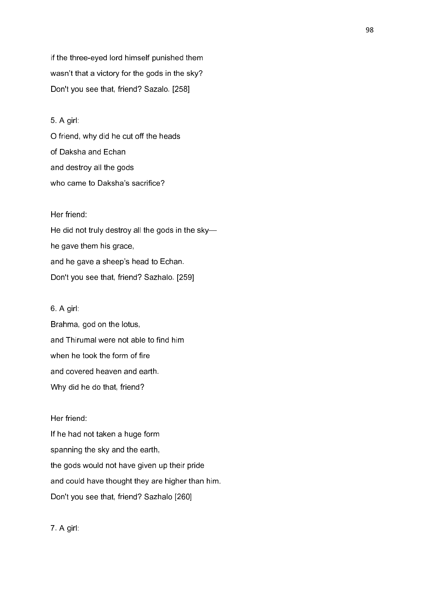if the three-eyed lord himself punished them wasn't that a victory for the gods in the sky? Don't you see that, friend? Sazalo. [258]

# 5. A girl:

O friend, why did he cut off the heads of Daksha and Echan and destroy all the gods who came to Daksha's sacrifice?

### Her friend:

He did not truly destroy all the gods in the sky he gave them his grace, and he gave a sheep's head to Echan. Don't you see that, friend? Sazhalo. [259]

### 6. A girl:

Brahma, god on the lotus, and Thirumal were not able to find him when he took the form of fire and covered heaven and earth. Why did he do that, friend?

### Her friend:

If he had not taken a huge form spanning the sky and the earth, the gods would not have given up their pride and could have thought they are higher than him. Don't you see that, friend? Sazhalo [260]

7. A girl: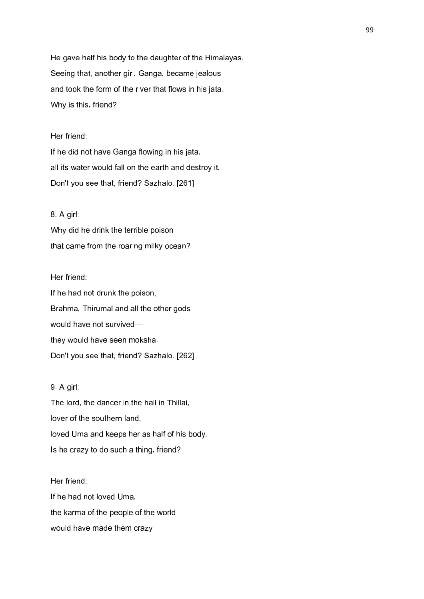He gave half his body to the daughter of the Himalayas. Seeing that, another girl, Ganga, became jealous and took the form of the river that flows in his jata. Why is this, friend?

### Her friend:

If he did not have Ganga flowing in his jata, all its water would fall on the earth and destroy it. Don't you see that, friend? Sazhalo. [261]

### 8. A girl:

Why did he drink the terrible poison that came from the roaring milky ocean?

#### Her friend:

If he had not drunk the poison, Brahma, Thirumal and all the other gods would have not survived they would have seen moksha. Don't you see that, friend? Sazhalo. [262]

## 9. A girl:

The lord, the dancer in the hall in Thillai, lover of the southern land, loved Uma and keeps her as half of his body. Is he crazy to do such a thing, friend?

Her friend: If he had not loved Uma, the karma of the people of the world would have made them crazy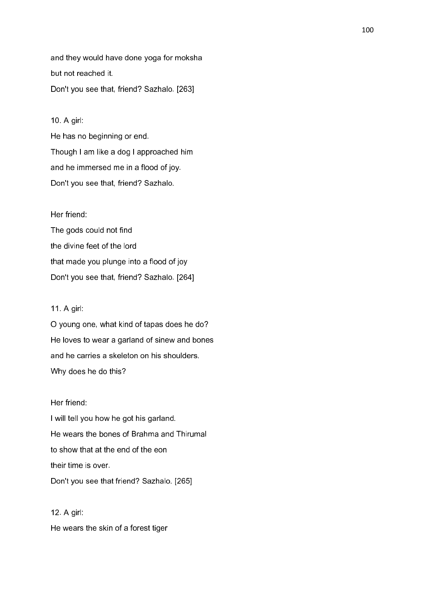and they would have done yoga for moksha but not reached it. Don't you see that, friend? Sazhalo. [263]

# 10. A girl:

He has no beginning or end. Though I am like a dog I approached him and he immersed me in a flood of joy. Don't you see that, friend? Sazhalo.

### Her friend:

The gods could not find the divine feet of the lord that made you plunge into a flood of joy Don't you see that, friend? Sazhalo. [264]

### 11. A girl:

O young one, what kind of tapas does he do? He loves to wear a garland of sinew and bones and he carries a skeleton on his shoulders. Why does he do this?

### Her friend:

I will tell you how he got his garland. He wears the bones of Brahma and Thirumal to show that at the end of the eon their time is over. Don't you see that friend? Sazhalo. [265]

12. A girl: He wears the skin of a forest tiger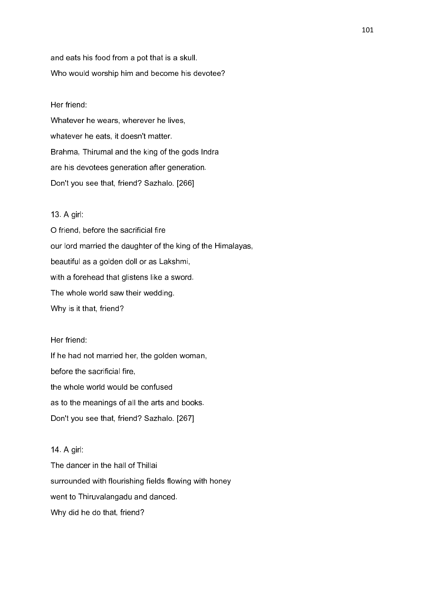and eats his food from a pot that is a skull. Who would worship him and become his devotee?

### Her friend:

Whatever he wears, wherever he lives, whatever he eats, it doesn't matter. Brahma, Thirumal and the king of the gods Indra are his devotees generation after generation. Don't you see that, friend? Sazhalo. [266]

#### 13. A girl:

O friend, before the sacrificial fire our lord married the daughter of the king of the Himalayas, beautiful as a golden doll or as Lakshmi, with a forehead that glistens like a sword. The whole world saw their wedding. Why is it that, friend?

### Her friend:

If he had not married her, the golden woman, before the sacrificial fire, the whole world would be confused as to the meanings of all the arts and books. Don't you see that, friend? Sazhalo. [267]

### 14. A girl:

The dancer in the hall of Thillai surrounded with flourishing fields flowing with honey went to Thiruvalangadu and danced. Why did he do that, friend?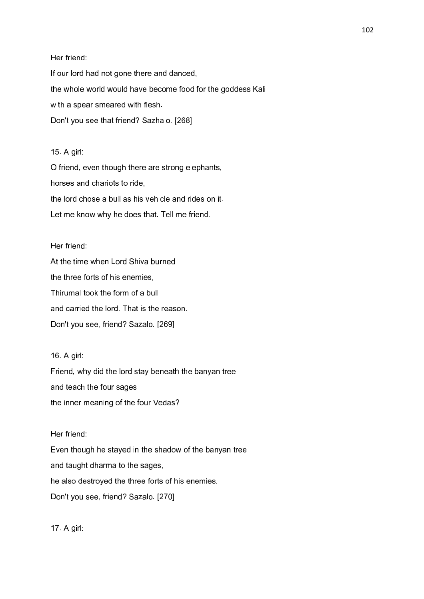Her friend: If our lord had not gone there and danced, the whole world would have become food for the goddess Kali with a spear smeared with flesh. Don't you see that friend? Sazhalo. [268]

# 15. A girl:

O friend, even though there are strong elephants, horses and chariots to ride, the lord chose a bull as his vehicle and rides on it. Let me know why he does that. Tell me friend.

## Her friend:

At the time when Lord Shiva burned the three forts of his enemies, Thirumal took the form of a bull and carried the lord. That is the reason. Don't you see, friend? Sazalo. [269]

# 16. A girl:

Friend, why did the lord stay beneath the banyan tree and teach the four sages the inner meaning of the four Vedas?

# Her friend:

Even though he stayed in the shadow of the banyan tree and taught dharma to the sages, he also destroyed the three forts of his enemies. Don't you see, friend? Sazalo. [270]

17. A girl: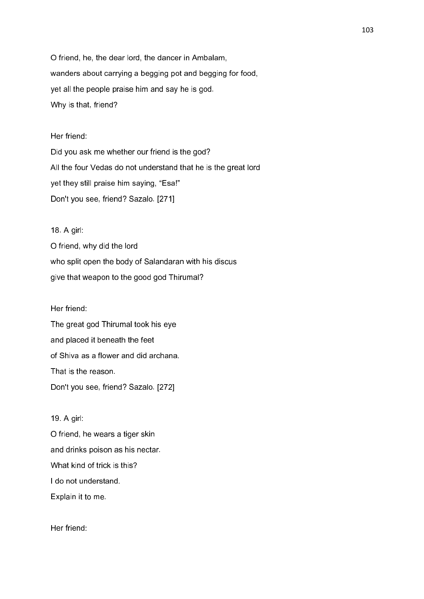O friend, he, the dear lord, the dancer in Ambalam, wanders about carrying a begging pot and begging for food, yet all the people praise him and say he is god. Why is that, friend?

#### Her friend:

Did you ask me whether our friend is the god? All the four Vedas do not understand that he is the great lord yet they still praise him saying, "Esa!" Don't you see, friend? Sazalo. [271]

### 18. A girl:

O friend, why did the lord who split open the body of Salandaran with his discus give that weapon to the good god Thirumal?

Her friend:

The great god Thirumal took his eye and placed it beneath the feet of Shiva as a flower and did archana. That is the reason. Don't you see, friend? Sazalo. [272]

#### 19. A girl:

O friend, he wears a tiger skin and drinks poison as his nectar. What kind of trick is this? I do not understand. Explain it to me.

Her friend: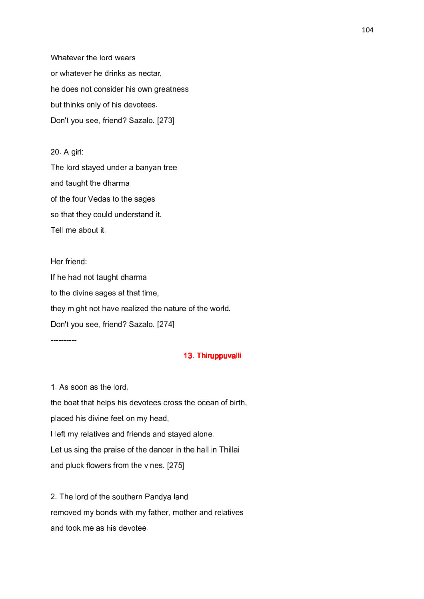Whatever the lord wears or whatever he drinks as nectar, he does not consider his own greatness but thinks only of his devotees. Don't you see, friend? Sazalo. [273]

20. A girl: The lord stayed under a banyan tree and taught the dharma of the four Vedas to the sages so that they could understand it. Tell me about it.

Her friend: If he had not taught dharma to the divine sages at that time, they might not have realized the nature of the world. Don't you see, friend? Sazalo. [274]

13. Thiruppuvalli

1. As soon as the lord,

----------

the boat that helps his devotees cross the ocean of birth, placed his divine feet on my head, I left my relatives and friends and stayed alone. Let us sing the praise of the dancer in the hall in Thillai and pluck flowers from the vines. [275]

2. The lord of the southern Pandya land removed my bonds with my father, mother and relatives and took me as his devotee.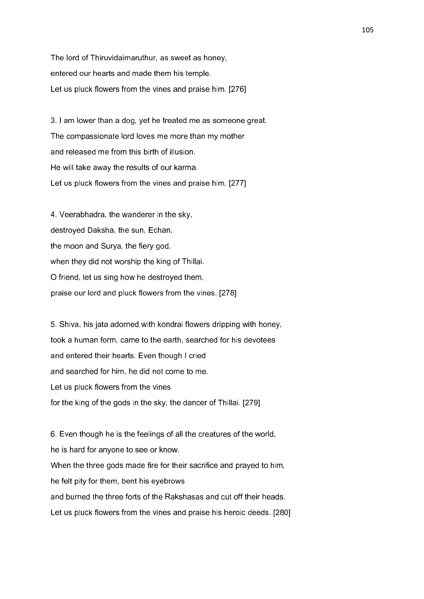The lord of Thiruvidaimaruthur, as sweet as honey, entered our hearts and made them his temple. Let us pluck flowers from the vines and praise him. [276]

3. I am lower than a dog, yet he treated me as someone great. The compassionate lord loves me more than my mother and released me from this birth of illusion. He will take away the results of our karma. Let us pluck flowers from the vines and praise him. [277]

4. Veerabhadra, the wanderer in the sky, destroyed Daksha, the sun, Echan, the moon and Surya, the fiery god, when they did not worship the king of Thillai. O friend, let us sing how he destroyed them, praise our lord and pluck flowers from the vines. [278]

5. Shiva, his jata adorned with kondrai flowers dripping with honey, took a human form, came to the earth, searched for his devotees and entered their hearts. Even though I cried and searched for him, he did not come to me. Let us pluck flowers from the vines for the king of the gods in the sky, the dancer of Thillai. [279]

6. Even though he is the feelings of all the creatures of the world, he is hard for anyone to see or know. When the three gods made fire for their sacrifice and prayed to him, he felt pity for them, bent his eyebrows and burned the three forts of the Rakshasas and cut off their heads. Let us pluck flowers from the vines and praise his heroic deeds. [280]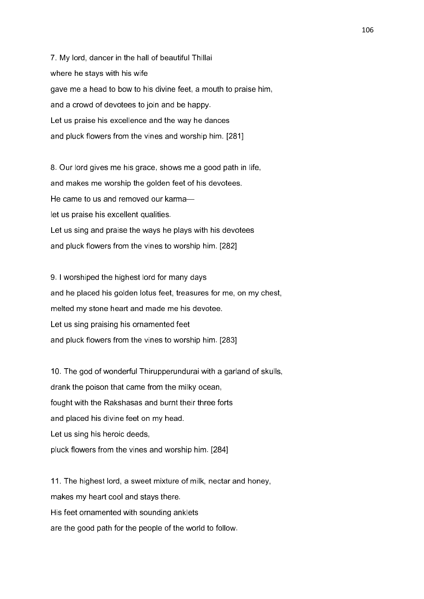7. My lord, dancer in the hall of beautiful Thillai where he stays with his wife gave me a head to bow to his divine feet, a mouth to praise him, and a crowd of devotees to join and be happy. Let us praise his excellence and the way he dances and pluck flowers from the vines and worship him. [281]

8. Our lord gives me his grace, shows me a good path in life, and makes me worship the golden feet of his devotees. He came to us and removed our karma let us praise his excellent qualities. Let us sing and praise the ways he plays with his devotees and pluck flowers from the vines to worship him. [282]

9. I worshiped the highest lord for many days and he placed his golden lotus feet, treasures for me, on my chest, melted my stone heart and made me his devotee. Let us sing praising his ornamented feet and pluck flowers from the vines to worship him. [283]

10. The god of wonderful Thirupperundurai with a garland of skulls, drank the poison that came from the milky ocean, fought with the Rakshasas and burnt their three forts and placed his divine feet on my head. Let us sing his heroic deeds, pluck flowers from the vines and worship him. [284]

11. The highest lord, a sweet mixture of milk, nectar and honey, makes my heart cool and stays there. His feet ornamented with sounding anklets are the good path for the people of the world to follow.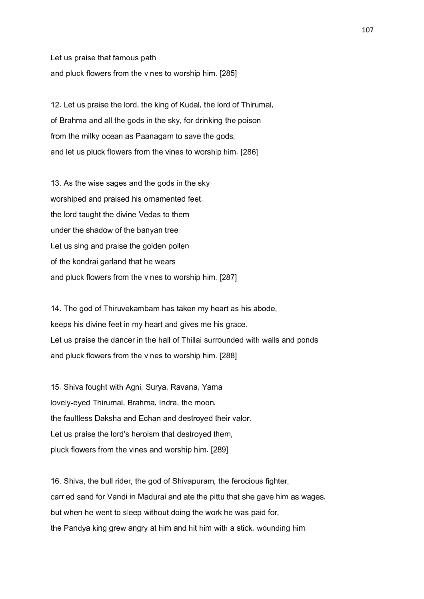Let us praise that famous path and pluck flowers from the vines to worship him. [285]

12. Let us praise the lord, the king of Kudal, the lord of Thirumal, of Brahma and all the gods in the sky, for drinking the poison from the milky ocean as Paanagam to save the gods, and let us pluck flowers from the vines to worship him. [286]

13. As the wise sages and the gods in the sky worshiped and praised his ornamented feet, the lord taught the divine Vedas to them under the shadow of the banyan tree. Let us sing and praise the golden pollen of the kondrai garland that he wears and pluck flowers from the vines to worship him. [287]

14. The god of Thiruvekambam has taken my heart as his abode, keeps his divine feet in my heart and gives me his grace. Let us praise the dancer in the hall of Thillai surrounded with walls and ponds and pluck flowers from the vines to worship him. [288]

15. Shiva fought with Agni, Surya, Ravana, Yama lovely-eyed Thirumal, Brahma, Indra, the moon, the faultless Daksha and Echan and destroyed their valor. Let us praise the lord's heroism that destroyed them, pluck flowers from the vines and worship him. [289]

16. Shiva, the bull rider, the god of Shivapuram, the ferocious fighter, carried sand for Vandi in Madurai and ate the pittu that she gave him as wages, but when he went to sleep without doing the work he was paid for, the Pandya king grew angry at him and hit him with a stick, wounding him.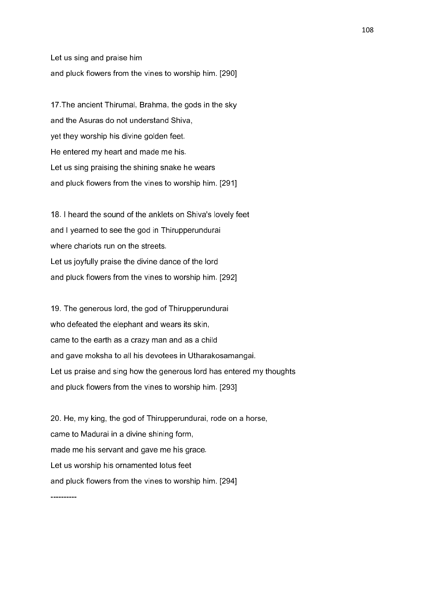Let us sing and praise him and pluck flowers from the vines to worship him. [290]

17.The ancient Thirumal, Brahma, the gods in the sky and the Asuras do not understand Shiva, yet they worship his divine golden feet. He entered my heart and made me his. Let us sing praising the shining snake he wears and pluck flowers from the vines to worship him. [291]

18. I heard the sound of the anklets on Shiva's lovely feet and I yearned to see the god in Thirupperundurai where chariots run on the streets. Let us joyfully praise the divine dance of the lord and pluck flowers from the vines to worship him. [292]

19. The generous lord, the god of Thirupperundurai who defeated the elephant and wears its skin, came to the earth as a crazy man and as a child and gave moksha to all his devotees in Utharakosamangai. Let us praise and sing how the generous lord has entered my thoughts and pluck flowers from the vines to worship him. [293]

20. He, my king, the god of Thirupperundurai, rode on a horse, came to Madurai in a divine shining form, made me his servant and gave me his grace. Let us worship his ornamented lotus feet and pluck flowers from the vines to worship him. [294]

----------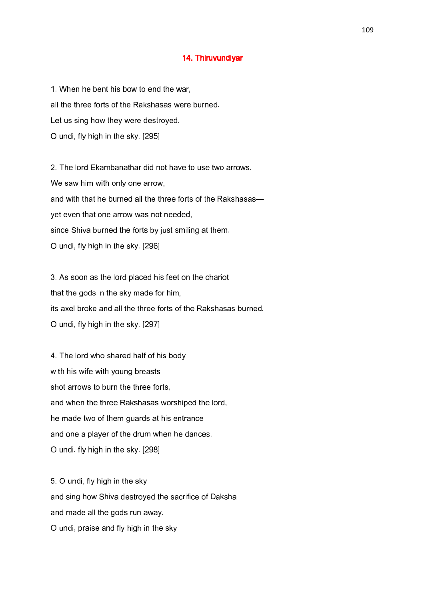### 14. Thiruvundiyar

1. When he bent his bow to end the war, all the three forts of the Rakshasas were burned. Let us sing how they were destroyed. O undi, fly high in the sky. [295]

2. The lord Ekambanathar did not have to use two arrows. We saw him with only one arrow, and with that he burned all the three forts of the Rakshasas yet even that one arrow was not needed, since Shiva burned the forts by just smiling at them. O undi, fly high in the sky. [296]

3. As soon as the lord placed his feet on the chariot that the gods in the sky made for him, its axel broke and all the three forts of the Rakshasas burned. O undi, fly high in the sky. [297]

4. The lord who shared half of his body with his wife with young breasts shot arrows to burn the three forts, and when the three Rakshasas worshiped the lord, he made two of them guards at his entrance and one a player of the drum when he dances. O undi, fly high in the sky. [298]

5. O undi, fly high in the sky and sing how Shiva destroyed the sacrifice of Daksha and made all the gods run away. O undi, praise and fly high in the sky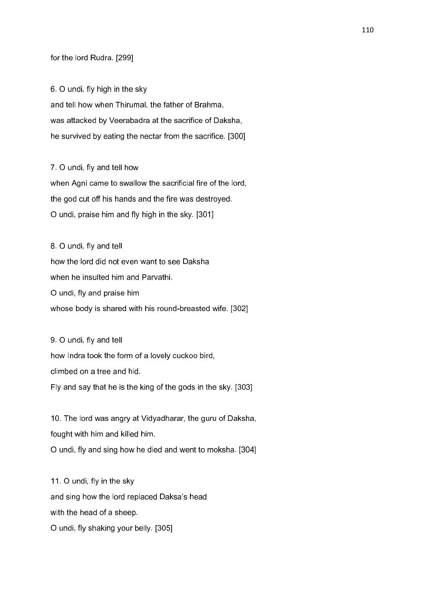for the lord Rudra. [299]

6. O undi, fly high in the sky and tell how when Thirumal, the father of Brahma, was attacked by Veerabadra at the sacrifice of Daksha, he survived by eating the nectar from the sacrifice. [300]

7. O undi, fly and tell how when Agni came to swallow the sacrificial fire of the lord, the god cut off his hands and the fire was destroyed. O undi, praise him and fly high in the sky. [301]

8. O undi, fly and tell how the lord did not even want to see Daksha when he insulted him and Parvathi. O undi, fly and praise him whose body is shared with his round-breasted wife. [302]

9. O undi, fly and tell how Indra took the form of a lovely cuckoo bird, climbed on a tree and hid. Fly and say that he is the king of the gods in the sky. [303]

10. The lord was angry at Vidyadharar, the guru of Daksha, fought with him and killed him. O undi, fly and sing how he died and went to moksha. [304]

11. O undi, fly in the sky and sing how the lord replaced Daksa's head with the head of a sheep. O undi, fly shaking your belly. [305]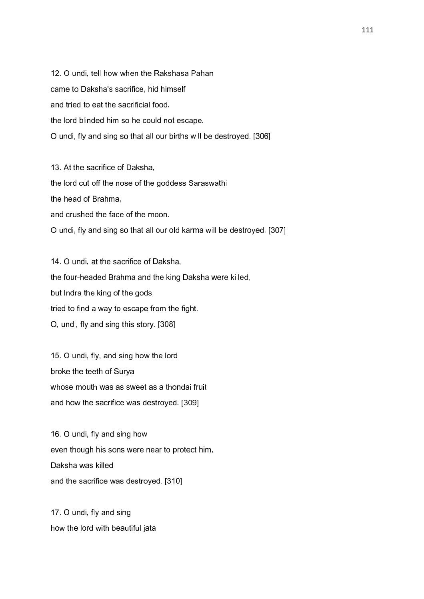12. O undi, tell how when the Rakshasa Pahan came to Daksha's sacrifice, hid himself and tried to eat the sacrificial food, the lord blinded him so he could not escape. O undi, fly and sing so that all our births will be destroyed. [306]

13. At the sacrifice of Daksha, the lord cut off the nose of the goddess Saraswathi the head of Brahma, and crushed the face of the moon. O undi, fly and sing so that all our old karma will be destroyed. [307]

14. O undi, at the sacrifice of Daksha, the four-headed Brahma and the king Daksha were killed, but Indra the king of the gods tried to find a way to escape from the fight. O, undi, fly and sing this story. [308]

15. O undi, fly, and sing how the lord broke the teeth of Surya whose mouth was as sweet as a thondai fruit and how the sacrifice was destroyed. [309]

16. O undi, fly and sing how even though his sons were near to protect him, Daksha was killed and the sacrifice was destroyed. [310]

17. O undi, fly and sing how the lord with beautiful jata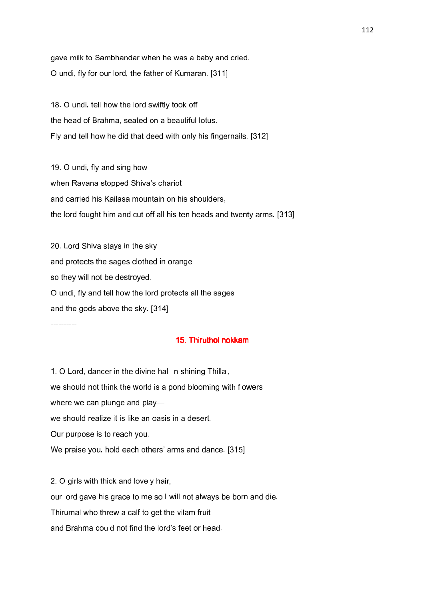gave milk to Sambhandar when he was a baby and cried. O undi, fly for our lord, the father of Kumaran. [311]

18. O undi, tell how the lord swiftly took off the head of Brahma, seated on a beautiful lotus. Fly and tell how he did that deed with only his fingernails. [312]

19. O undi, fly and sing how when Ravana stopped Shiva's chariot and carried his Kailasa mountain on his shoulders, the lord fought him and cut off all his ten heads and twenty arms. [313]

20. Lord Shiva stays in the sky and protects the sages clothed in orange so they will not be destroyed. O undi, fly and tell how the lord protects all the sages and the gods above the sky. [314]

----------

# 15. Thiruthol nokkam

1. O Lord, dancer in the divine hall in shining Thillai, we should not think the world is a pond blooming with flowers where we can plunge and play we should realize it is like an oasis in a desert. Our purpose is to reach you. We praise you, hold each others' arms and dance. [315]

2. O girls with thick and lovely hair,

our lord gave his grace to me so I will not always be born and die.

Thirumal who threw a calf to get the vilam fruit

and Brahma could not find the lord's feet or head.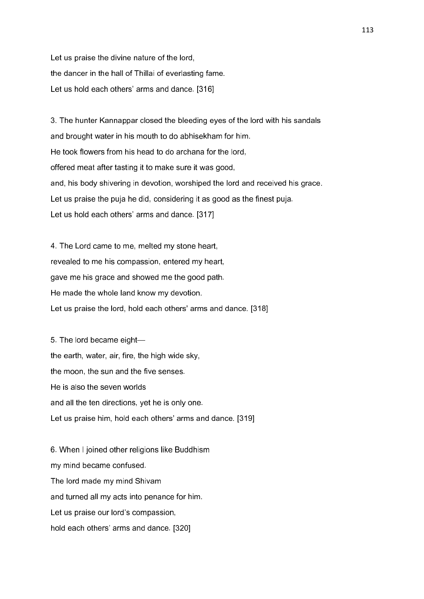Let us praise the divine nature of the lord, the dancer in the hall of Thillai of everlasting fame. Let us hold each others' arms and dance. [316]

3. The hunter Kannappar closed the bleeding eyes of the lord with his sandals and brought water in his mouth to do abhisekham for him. He took flowers from his head to do archana for the lord, offered meat after tasting it to make sure it was good, and, his body shivering in devotion, worshiped the lord and received his grace. Let us praise the puja he did, considering it as good as the finest puja. Let us hold each others' arms and dance. [317]

4. The Lord came to me, melted my stone heart, revealed to me his compassion, entered my heart, gave me his grace and showed me the good path. He made the whole land know my devotion. Let us praise the lord, hold each others' arms and dance. [318]

5. The lord became eight the earth, water, air, fire, the high wide sky, the moon, the sun and the five senses. He is also the seven worlds and all the ten directions, yet he is only one. Let us praise him, hold each others' arms and dance. [319]

6. When I joined other religions like Buddhism my mind became confused. The lord made my mind Shivam and turned all my acts into penance for him. Let us praise our lord's compassion, hold each others' arms and dance. [320]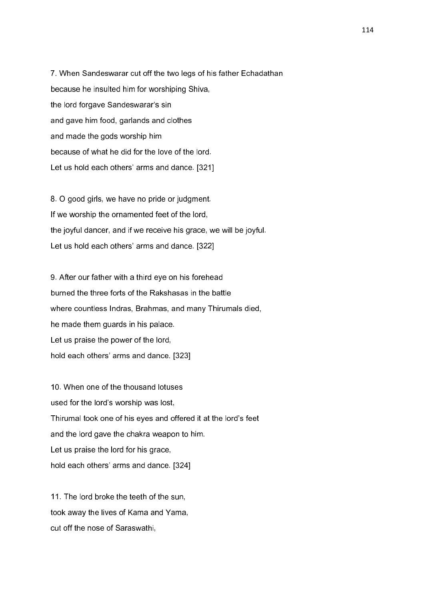7. When Sandeswarar cut off the two legs of his father Echadathan because he insulted him for worshiping Shiva, the lord forgave Sandeswarar's sin and gave him food, garlands and clothes and made the gods worship him because of what he did for the love of the lord. Let us hold each others' arms and dance. [321]

8. O good girls, we have no pride or judgment. If we worship the ornamented feet of the lord, the joyful dancer, and if we receive his grace, we will be joyful. Let us hold each others' arms and dance. [322]

9. After our father with a third eye on his forehead burned the three forts of the Rakshasas in the battle where countless Indras, Brahmas, and many Thirumals died, he made them guards in his palace. Let us praise the power of the lord, hold each others' arms and dance. [323]

10. When one of the thousand lotuses used for the lord's worship was lost, Thirumal took one of his eyes and offered it at the lord's feet and the lord gave the chakra weapon to him. Let us praise the lord for his grace, hold each others' arms and dance. [324]

11. The lord broke the teeth of the sun, took away the lives of Kama and Yama, cut off the nose of Saraswathi,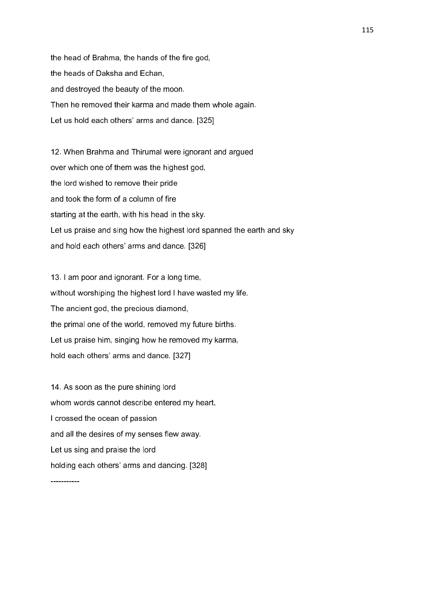the head of Brahma, the hands of the fire god, the heads of Daksha and Echan, and destroyed the beauty of the moon. Then he removed their karma and made them whole again. Let us hold each others' arms and dance. [325]

12. When Brahma and Thirumal were ignorant and argued over which one of them was the highest god, the lord wished to remove their pride and took the form of a column of fire starting at the earth, with his head in the sky. Let us praise and sing how the highest lord spanned the earth and sky and hold each others' arms and dance. [326]

13. I am poor and ignorant. For a long time, without worshiping the highest lord I have wasted my life. The ancient god, the precious diamond, the primal one of the world, removed my future births. Let us praise him, singing how he removed my karma, hold each others' arms and dance. [327]

14. As soon as the pure shining lord whom words cannot describe entered my heart, I crossed the ocean of passion and all the desires of my senses flew away. Let us sing and praise the lord holding each others' arms and dancing. [328]

-----------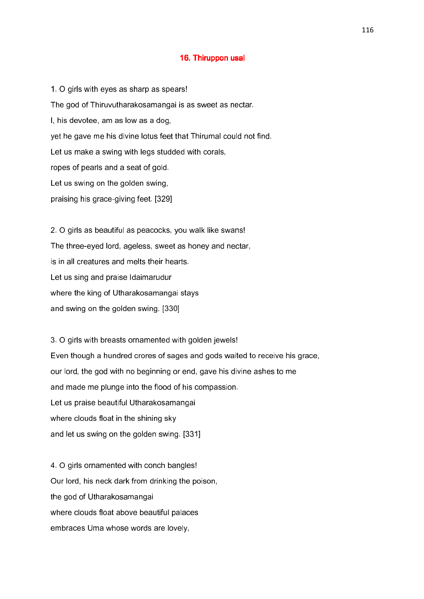#### 16. Thiruppon usal

1. O girls with eyes as sharp as spears! The god of Thiruvutharakosamangai is as sweet as nectar. I, his devotee, am as low as a dog, yet he gave me his divine lotus feet that Thirumal could not find. Let us make a swing with legs studded with corals, ropes of pearls and a seat of gold. Let us swing on the golden swing, praising his grace-giving feet. [329]

2. O girls as beautiful as peacocks, you walk like swans! The three-eyed lord, ageless, sweet as honey and nectar, is in all creatures and melts their hearts. Let us sing and praise Idaimarudur where the king of Utharakosamangai stays and swing on the golden swing. [330]

3. O girls with breasts ornamented with golden jewels! Even though a hundred crores of sages and gods waited to receive his grace, our lord, the god with no beginning or end, gave his divine ashes to me and made me plunge into the flood of his compassion. Let us praise beautiful Utharakosamangai where clouds float in the shining sky and let us swing on the golden swing. [331]

4. O girls ornamented with conch bangles! Our lord, his neck dark from drinking the poison, the god of Utharakosamangai where clouds float above beautiful palaces embraces Uma whose words are lovely,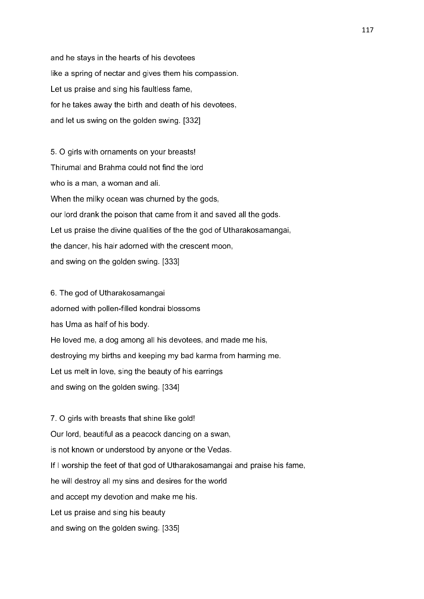and he stays in the hearts of his devotees like a spring of nectar and gives them his compassion. Let us praise and sing his faultless fame, for he takes away the birth and death of his devotees, and let us swing on the golden swing. [332]

5. O girls with ornaments on your breasts! Thirumal and Brahma could not find the lord who is a man, a woman and ali. When the milky ocean was churned by the gods, our lord drank the poison that came from it and saved all the gods. Let us praise the divine qualities of the the god of Utharakosamangai, the dancer, his hair adorned with the crescent moon, and swing on the golden swing. [333]

6. The god of Utharakosamangai adorned with pollen-filled kondrai blossoms has Uma as half of his body. He loved me, a dog among all his devotees, and made me his, destroying my births and keeping my bad karma from harming me. Let us melt in love, sing the beauty of his earrings and swing on the golden swing. [334]

7. O girls with breasts that shine like gold! Our lord, beautiful as a peacock dancing on a swan, is not known or understood by anyone or the Vedas. If I worship the feet of that god of Utharakosamangai and praise his fame, he will destroy all my sins and desires for the world and accept my devotion and make me his. Let us praise and sing his beauty and swing on the golden swing. [335]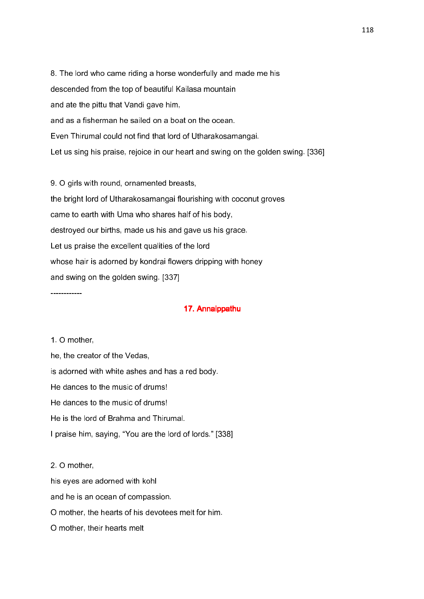8. The lord who came riding a horse wonderfully and made me his descended from the top of beautiful Kailasa mountain and ate the pittu that Vandi gave him, and as a fisherman he sailed on a boat on the ocean. Even Thirumal could not find that lord of Utharakosamangai. Let us sing his praise, rejoice in our heart and swing on the golden swing. [336]

9. O girls with round, ornamented breasts, the bright lord of Utharakosamangai flourishing with coconut groves came to earth with Uma who shares half of his body, destroyed our births, made us his and gave us his grace. Let us praise the excellent qualities of the lord whose hair is adorned by kondrai flowers dripping with honey and swing on the golden swing. [337]

# 17. Annaippathu

1. O mother,

------------

he, the creator of the Vedas, is adorned with white ashes and has a red body. He dances to the music of drums! He dances to the music of drums! He is the lord of Brahma and Thirumal. I praise him, saying, "You are the lord of lords." [338]

2. O mother, his eyes are adorned with kohl and he is an ocean of compassion. O mother, the hearts of his devotees melt for him. O mother, their hearts melt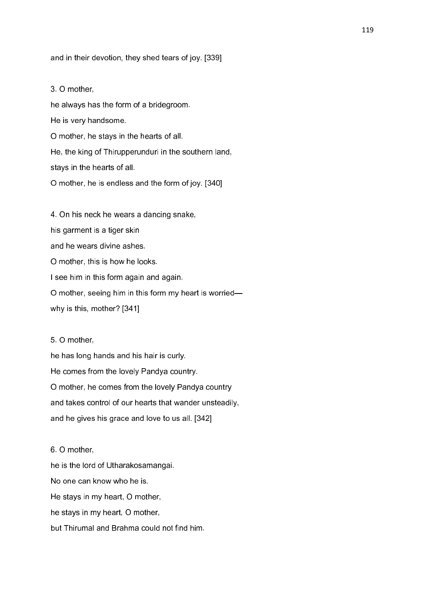#### and in their devotion, they shed tears of joy. [339]

#### 3. O mother,

he always has the form of a bridegroom. He is very handsome. O mother, he stays in the hearts of all. He, the king of Thirupperunduri in the southern land, stays in the hearts of all. O mother, he is endless and the form of joy. [340]

4. On his neck he wears a dancing snake, his garment is a tiger skin and he wears divine ashes. O mother, this is how he looks. I see him in this form again and again. O mother, seeing him in this form my heart is worried why is this, mother? [341]

### 5. O mother,

he has long hands and his hair is curly. He comes from the lovely Pandya country. O mother, he comes from the lovely Pandya country and takes control of our hearts that wander unsteadily, and he gives his grace and love to us all. [342]

# 6. O mother,

he is the lord of Utharakosamangai. No one can know who he is. He stays in my heart, O mother, he stays in my heart, O mother, but Thirumal and Brahma could not find him.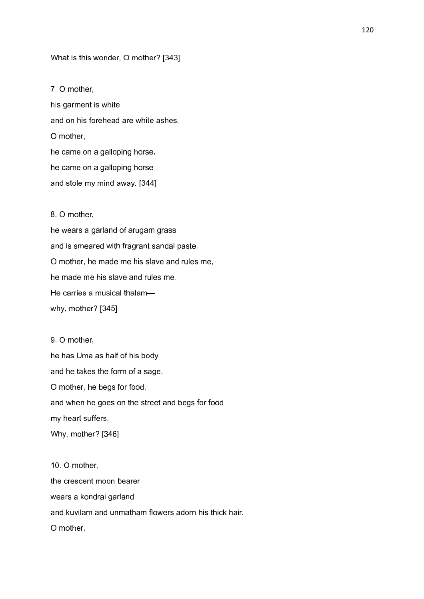What is this wonder, O mother? [343]

7. O mother, his garment is white and on his forehead are white ashes. O mother, he came on a galloping horse, he came on a galloping horse and stole my mind away. [344]

# 8. O mother,

he wears a garland of arugam grass and is smeared with fragrant sandal paste. O mother, he made me his slave and rules me, he made me his slave and rules me. He carries a musical thalam why, mother? [345]

9. O mother, he has Uma as half of his body and he takes the form of a sage. O mother, he begs for food, and when he goes on the street and begs for food my heart suffers. Why, mother? [346]

10. O mother, the crescent moon bearer wears a kondrai garland and kuvilam and unmatham flowers adorn his thick hair. O mother,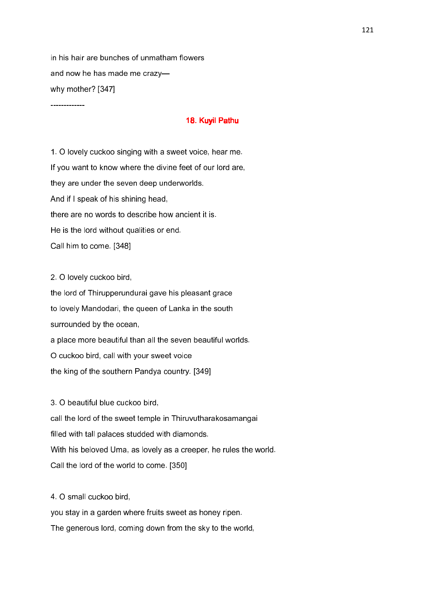in his hair are bunches of unmatham flowers and now he has made me crazy why mother? [347]

#### 18. Kuyil Pathu

1. O lovely cuckoo singing with a sweet voice, hear me. If you want to know where the divine feet of our lord are, they are under the seven deep underworlds. And if I speak of his shining head, there are no words to describe how ancient it is. He is the lord without qualities or end. Call him to come. [348]

2. O lovely cuckoo bird,

-------------

the lord of Thirupperundurai gave his pleasant grace to lovely Mandodari, the queen of Lanka in the south surrounded by the ocean, a place more beautiful than all the seven beautiful worlds. O cuckoo bird, call with your sweet voice the king of the southern Pandya country. [349]

3. O beautiful blue cuckoo bird,

call the lord of the sweet temple in Thiruvutharakosamangai filled with tall palaces studded with diamonds. With his beloved Uma, as lovely as a creeper, he rules the world. Call the lord of the world to come. [350]

4. O small cuckoo bird,

you stay in a garden where fruits sweet as honey ripen. The generous lord, coming down from the sky to the world,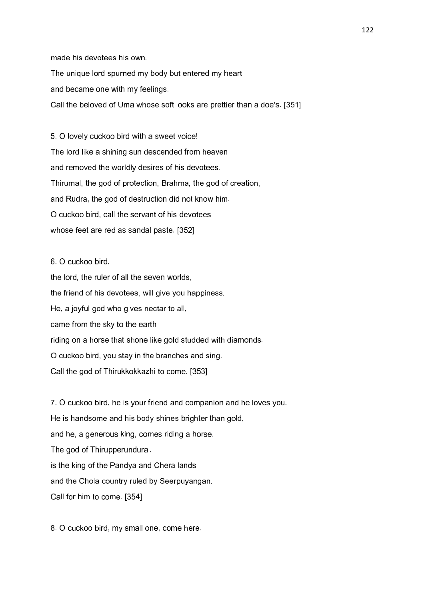made his devotees his own.

The unique lord spurned my body but entered my heart

and became one with my feelings.

Call the beloved of Uma whose soft looks are prettier than a doe's. [351]

5. O lovely cuckoo bird with a sweet voice! The lord like a shining sun descended from heaven and removed the worldly desires of his devotees. Thirumal, the god of protection, Brahma, the god of creation, and Rudra, the god of destruction did not know him. O cuckoo bird, call the servant of his devotees whose feet are red as sandal paste. [352]

# 6. O cuckoo bird,

the lord, the ruler of all the seven worlds, the friend of his devotees, will give you happiness. He, a joyful god who gives nectar to all, came from the sky to the earth riding on a horse that shone like gold studded with diamonds. O cuckoo bird, you stay in the branches and sing. Call the god of Thirukkokkazhi to come. [353]

7. O cuckoo bird, he is your friend and companion and he loves you. He is handsome and his body shines brighter than gold, and he, a generous king, comes riding a horse. The god of Thirupperundurai, is the king of the Pandya and Chera lands and the Chola country ruled by Seerpuyangan. Call for him to come. [354]

8. O cuckoo bird, my small one, come here.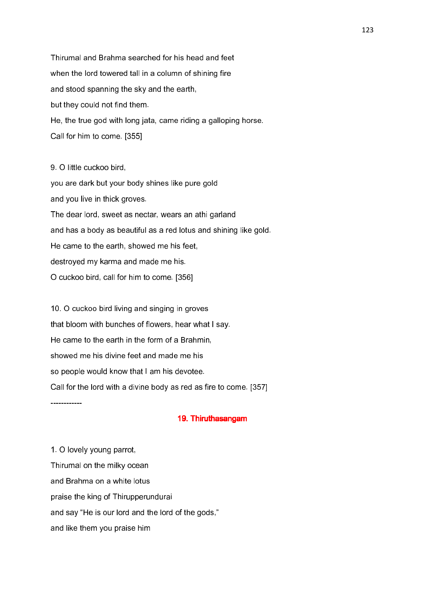Thirumal and Brahma searched for his head and feet when the lord towered tall in a column of shining fire and stood spanning the sky and the earth, but they could not find them. He, the true god with long jata, came riding a galloping horse. Call for him to come. [355]

9. O little cuckoo bird, you are dark but your body shines like pure gold and you live in thick groves. The dear lord, sweet as nectar, wears an athi garland and has a body as beautiful as a red lotus and shining like gold. He came to the earth, showed me his feet, destroyed my karma and made me his. O cuckoo bird, call for him to come. [356]

10. O cuckoo bird living and singing in groves that bloom with bunches of flowers, hear what I say. He came to the earth in the form of a Brahmin, showed me his divine feet and made me his so people would know that I am his devotee. Call for the lord with a divine body as red as fire to come. [357]

19. Thiruthasangam

1. O lovely young parrot, Thirumal on the milky ocean and Brahma on a white lotus praise the king of Thirupperundurai and say "He is our lord and the lord of the gods," and like them you praise him

------------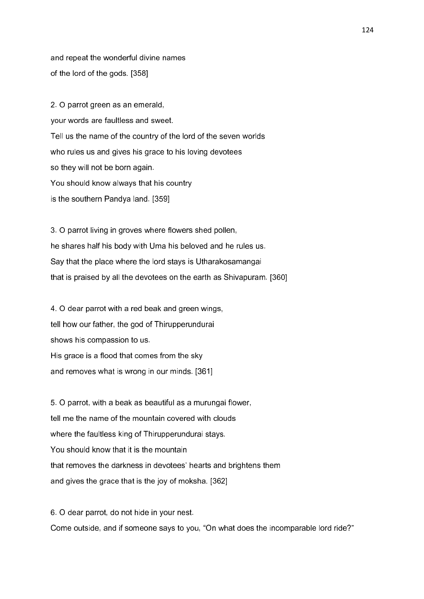and repeat the wonderful divine names of the lord of the gods. [358]

2. O parrot green as an emerald, your words are faultless and sweet. Tell us the name of the country of the lord of the seven worlds who rules us and gives his grace to his loving devotees so they will not be born again. You should know always that his country is the southern Pandya land. [359]

3. O parrot living in groves where flowers shed pollen, he shares half his body with Uma his beloved and he rules us. Say that the place where the lord stays is Utharakosamangai that is praised by all the devotees on the earth as Shivapuram. [360]

4. O dear parrot with a red beak and green wings, tell how our father, the god of Thirupperundurai shows his compassion to us. His grace is a flood that comes from the sky and removes what is wrong in our minds. [361]

5. O parrot, with a beak as beautiful as a murungai flower, tell me the name of the mountain covered with clouds where the faultless king of Thirupperundurai stays. You should know that it is the mountain that removes the darkness in devotees' hearts and brightens them and gives the grace that is the joy of moksha. [362]

6. O dear parrot, do not hide in your nest. Come outside, and if someone says to you, "On what does the incomparable lord ride?"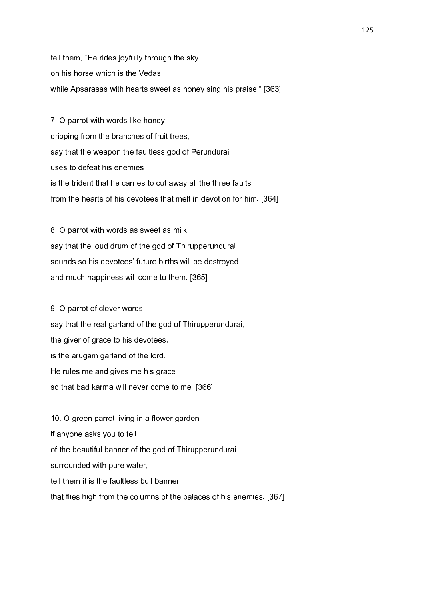tell them, "He rides joyfully through the sky on his horse which is the Vedas while Apsarasas with hearts sweet as honey sing his praise." [363]

7. O parrot with words like honey dripping from the branches of fruit trees, say that the weapon the faultless god of Perundurai uses to defeat his enemies is the trident that he carries to cut away all the three faults from the hearts of his devotees that melt in devotion for him. [364]

8. O parrot with words as sweet as milk, say that the loud drum of the god of Thirupperundurai sounds so his devotees' future births will be destroyed and much happiness will come to them. [365]

9. O parrot of clever words, say that the real garland of the god of Thirupperundurai, the giver of grace to his devotees, is the arugam garland of the lord. He rules me and gives me his grace so that bad karma will never come to me. [366]

10. O green parrot living in a flower garden, if anyone asks you to tell of the beautiful banner of the god of Thirupperundurai surrounded with pure water, tell them it is the faultless bull banner that flies high from the columns of the palaces of his enemies. [367]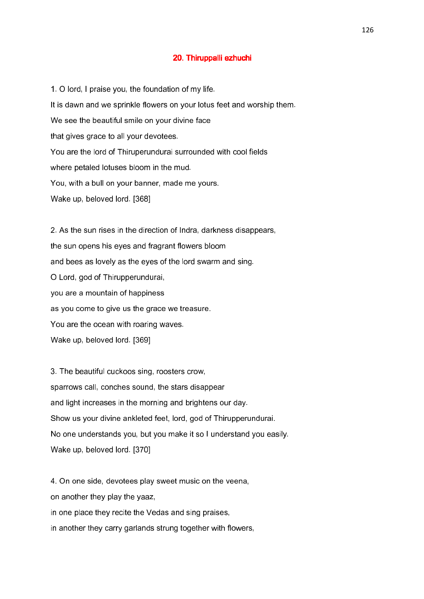### 20. Thiruppalli ezhuchi

1. O lord, I praise you, the foundation of my life. It is dawn and we sprinkle flowers on your lotus feet and worship them. We see the beautiful smile on your divine face that gives grace to all your devotees. You are the lord of Thiruperundurai surrounded with cool fields where petaled lotuses bloom in the mud. You, with a bull on your banner, made me yours. Wake up, beloved lord. [368]

2. As the sun rises in the direction of Indra, darkness disappears, the sun opens his eyes and fragrant flowers bloom and bees as lovely as the eyes of the lord swarm and sing. O Lord, god of Thirupperundurai, you are a mountain of happiness as you come to give us the grace we treasure. You are the ocean with roaring waves. Wake up, beloved lord. [369]

3. The beautiful cuckoos sing, roosters crow, sparrows call, conches sound, the stars disappear and light increases in the morning and brightens our day. Show us your divine ankleted feet, lord, god of Thirupperundurai. No one understands you, but you make it so I understand you easily. Wake up, beloved lord. [370]

4. On one side, devotees play sweet music on the veena, on another they play the yaaz, in one place they recite the Vedas and sing praises, in another they carry garlands strung together with flowers,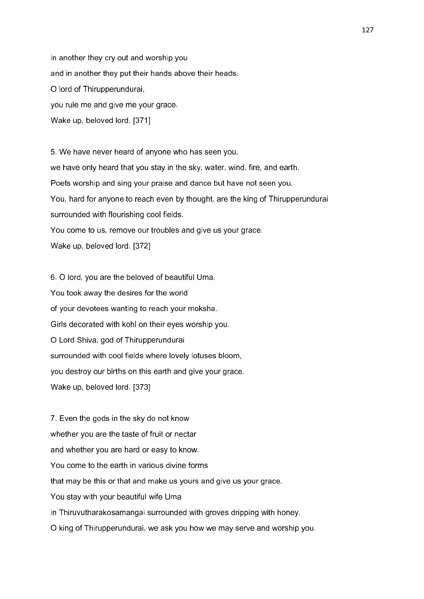in another they cry out and worship you and in another they put their hands above their heads. O lord of Thirupperundurai, you rule me and give me your grace. Wake up, beloved lord. [371]

5. We have never heard of anyone who has seen you, we have only heard that you stay in the sky, water, wind, fire, and earth. Poets worship and sing your praise and dance but have not seen you. You, hard for anyone to reach even by thought, are the king of Thirupperundurai surrounded with flourishing cool fields. You come to us, remove our troubles and give us your grace. Wake up, beloved lord. [372]

6. O lord, you are the beloved of beautiful Uma. You took away the desires for the world of your devotees wanting to reach your moksha. Girls decorated with kohl on their eyes worship you. O Lord Shiva, god of Thirupperundurai surrounded with cool fields where lovely lotuses bloom, you destroy our births on this earth and give your grace. Wake up, beloved lord. [373]

7. Even the gods in the sky do not know whether you are the taste of fruit or nectar and whether you are hard or easy to know. You come to the earth in various divine forms that may be this or that and make us yours and give us your grace. You stay with your beautiful wife Uma in Thiruvutharakosamangai surrounded with groves dripping with honey. O king of Thirupperundurai, we ask you how we may serve and worship you.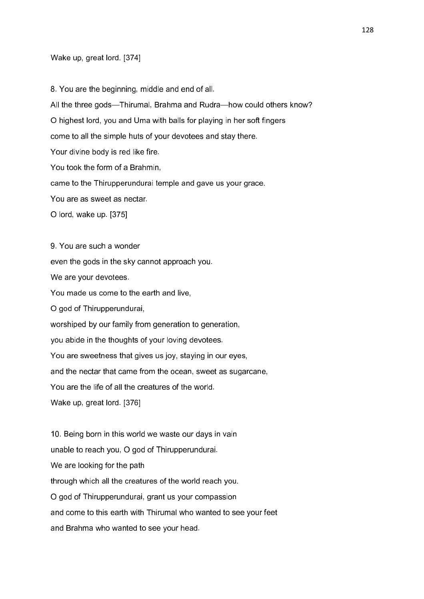#### Wake up, great lord. [374]

9. You are such a wonder

8. You are the beginning, middle and end of all. All the three gods—Thirumal, Brahma and Rudra—how could others know? O highest lord, you and Uma with balls for playing in her soft fingers come to all the simple huts of your devotees and stay there. Your divine body is red like fire. You took the form of a Brahmin, came to the Thirupperundurai temple and gave us your grace. You are as sweet as nectar. O lord, wake up. [375]

even the gods in the sky cannot approach you. We are your devotees. You made us come to the earth and live, O god of Thirupperundurai, worshiped by our family from generation to generation, you abide in the thoughts of your loving devotees. You are sweetness that gives us joy, staying in our eyes, and the nectar that came from the ocean, sweet as sugarcane, You are the life of all the creatures of the world. Wake up, great lord. [376]

10. Being born in this world we waste our days in vain unable to reach you, O god of Thirupperundurai. We are looking for the path through which all the creatures of the world reach you. O god of Thirupperundurai, grant us your compassion and come to this earth with Thirumal who wanted to see your feet and Brahma who wanted to see your head.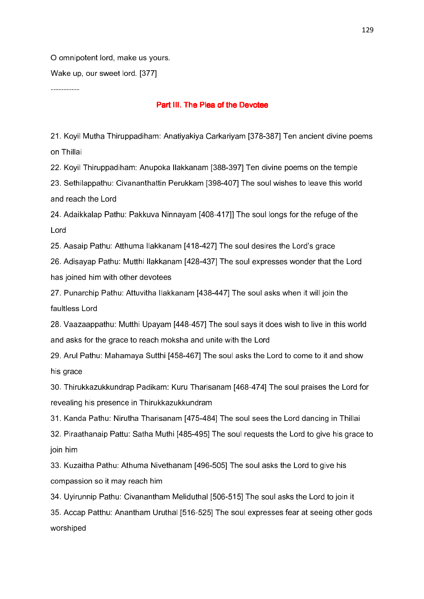O omnipotent lord, make us yours.

Wake up, our sweet lord. [377]

# -----------

# Part III. The Plea of the Devotee

21. Koyil Mutha Thiruppadiham: Anatiyakiya Carkariyam [378-387] Ten ancient divine poems on Thillai

22. Koyil Thiruppadiham: Anupoka Ilakkanam [388-397] Ten divine poems on the temple

23. Sethilappathu: Civananthattin Perukkam [398-407] The soul wishes to leave this world and reach the Lord

24. Adaikkalap Pathu: Pakkuva Ninnayam [408-417]] The soul longs for the refuge of the Lord

25. Aasaip Pathu: Atthuma Ilakkanam [418-427] The soul desires the Lord's grace

26. Adisayap Pathu: Mutthi Ilakkanam [428-437] The soul expresses wonder that the Lord has joined him with other devotees

27. Punarchip Pathu: Attuvitha Ilakkanam [438-447] The soul asks when it will join the faultless Lord

28. Vaazaappathu: Mutthi Upayam [448-457] The soul says it does wish to live in this world and asks for the grace to reach moksha and unite with the Lord

29. Arul Pathu: Mahamaya Sutthi [458-467] The soul asks the Lord to come to it and show his grace

30. Thirukkazukkundrap Padikam: Kuru Tharisanam [468-474] The soul praises the Lord for revealing his presence in Thirukkazukkundram

31. Kanda Pathu: Nirutha Tharisanam [475-484] The soul sees the Lord dancing in Thillai

32. Piraathanaip Pattu: Satha Muthi [485-495] The soul requests the Lord to give his grace to join him

33. Kuzaitha Pathu: Athuma Nivethanam [496-505] The soul asks the Lord to give his compassion so it may reach him

34. Uyirunnip Pathu: Civanantham Meliduthal [506-515] The soul asks the Lord to join it

35. Accap Patthu: Anantham Uruthal [516-525] The soul expresses fear at seeing other gods worshiped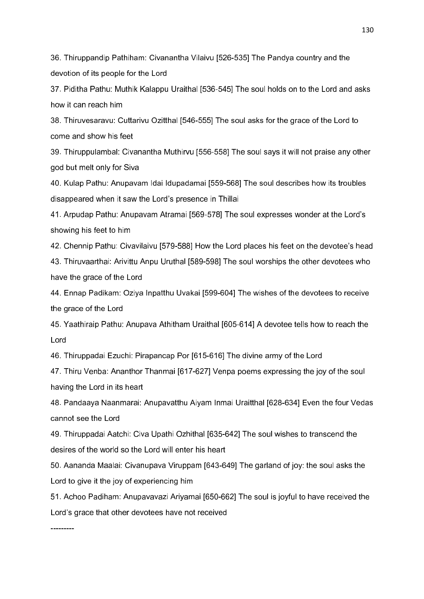36. Thiruppandip Pathiham: Civanantha Vilaivu [526-535] The Pandya country and the devotion of its people for the Lord

37. Piditha Pathu: Muthik Kalappu Uraithal [536-545] The soul holds on to the Lord and asks how it can reach him

38. Thiruvesaravu: Cuttarivu Ozitthal [546-555] The soul asks for the grace of the Lord to come and show his feet

39. Thiruppulambal: Civanantha Muthirvu [556-558] The soul says it will not praise any other god but melt only for Siva

40. Kulap Pathu: Anupavam Idai Idupadamai [559-568] The soul describes how its troubles disappeared when it saw the Lord's presence in Thillai

41. Arpudap Pathu: Anupavam Atramai [569-578] The soul expresses wonder at the Lord's showing his feet to him

42. Chennip Pathu: Civavilaivu [579-588] How the Lord places his feet on the devotee's head 43. Thiruvaarthai: Arivittu Anpu Uruthal [589-598] The soul worships the other devotees who have the grace of the Lord

44. Ennap Padikam: Oziya Inpatthu Uvakai [599-604] The wishes of the devotees to receive the grace of the Lord

45. Yaathiraip Pathu: Anupava Athitham Uraithal [605-614] A devotee tells how to reach the Lord

46. Thiruppadai Ezuchi: Pirapancap Por [615-616] The divine army of the Lord

47. Thiru Venba: Ananthor Thanmai [617-627] Venpa poems expressing the joy of the soul having the Lord in its heart

48. Pandaaya Naanmarai: Anupavatthu Aiyam Inmai Uraitthal [628-634] Even the four Vedas cannot see the Lord

49. Thiruppadai Aatchi: Civa Upathi Ozhithal [635-642] The soul wishes to transcend the desires of the world so the Lord will enter his heart

50. Aananda Maalai: Civanupava Viruppam [643-649] The garland of joy: the soul asks the Lord to give it the joy of experiencing him

51. Achoo Padiham: Anupavavazi Ariyamai [650-662] The soul is joyful to have received the Lord's grace that other devotees have not received

---------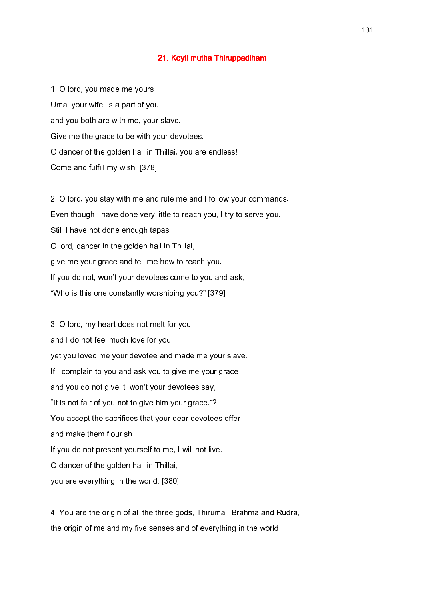#### 21. Koyil mutha Thiruppadiham

1. O lord, you made me yours. Uma, your wife, is a part of you and you both are with me, your slave. Give me the grace to be with your devotees. O dancer of the golden hall in Thillai, you are endless! Come and fulfill my wish. [378]

2. O lord, you stay with me and rule me and I follow your commands. Even though I have done very little to reach you, I try to serve you. Still I have not done enough tapas. O lord, dancer in the golden hall in Thillai, give me your grace and tell me how to reach you. If you do not, won't your devotees come to you and ask, "Who is this one constantly worshiping you?" [379]

3. O lord, my heart does not melt for you and I do not feel much love for you, yet you loved me your devotee and made me your slave. If I complain to you and ask you to give me your grace and you do not give it, won't your devotees say, "It is not fair of you not to give him your grace."? You accept the sacrifices that your dear devotees offer and make them flourish. If you do not present yourself to me, I will not live. O dancer of the golden hall in Thillai, you are everything in the world. [380]

4. You are the origin of all the three gods, Thirumal, Brahma and Rudra, the origin of me and my five senses and of everything in the world.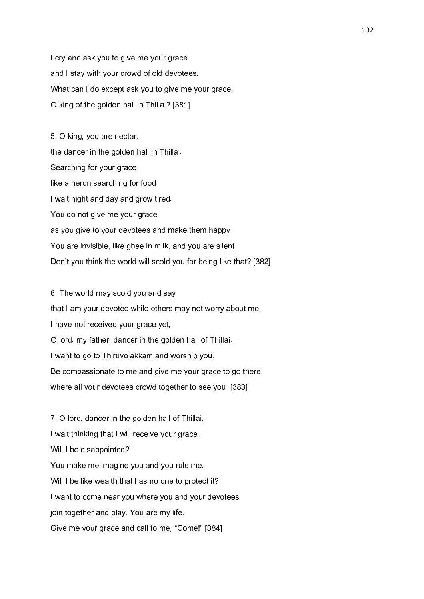I cry and ask you to give me your grace and I stay with your crowd of old devotees. What can I do except ask you to give me your grace, O king of the golden hall in Thillai? [381]

5. O king, you are nectar, the dancer in the golden hall in Thillai. Searching for your grace like a heron searching for food I wait night and day and grow tired. You do not give me your grace as you give to your devotees and make them happy. You are invisible, like ghee in milk, and you are silent. Don't you think the world will scold you for being like that? [382]

6. The world may scold you and say that I am your devotee while others may not worry about me. I have not received your grace yet, O lord, my father, dancer in the golden hall of Thillai. I want to go to Thiruvolakkam and worship you. Be compassionate to me and give me your grace to go there where all your devotees crowd together to see you. [383]

7. O lord, dancer in the golden hall of Thillai, I wait thinking that I will receive your grace. Will I be disappointed? You make me imagine you and you rule me. Will I be like wealth that has no one to protect it? I want to come near you where you and your devotees join together and play. You are my life. Give me your grace and call to me, "Come!" [384]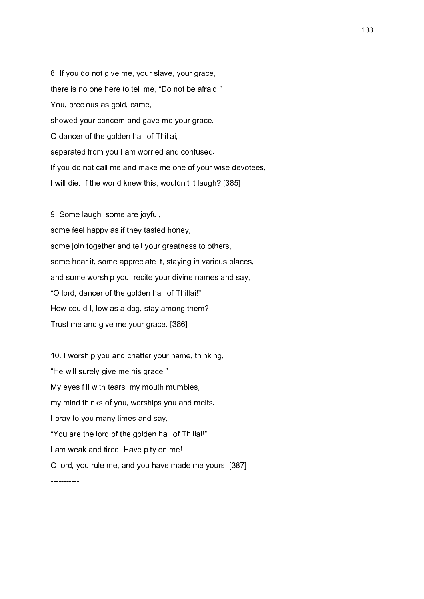8. If you do not give me, your slave, your grace, there is no one here to tell me, "Do not be afraid!" You, precious as gold, came, showed your concern and gave me your grace. O dancer of the golden hall of Thillai, separated from you I am worried and confused. If you do not call me and make me one of your wise devotees, I will die. If the world knew this, wouldn't it laugh? [385]

9. Some laugh, some are joyful, some feel happy as if they tasted honey, some join together and tell your greatness to others, some hear it, some appreciate it, staying in various places, and some worship you, recite your divine names and say, "O lord, dancer of the golden hall of Thillai!" How could I, low as a dog, stay among them? Trust me and give me your grace. [386]

10. I worship you and chatter your name, thinking, "He will surely give me his grace." My eyes fill with tears, my mouth mumbles, my mind thinks of you, worships you and melts. I pray to you many times and say, "You are the lord of the golden hall of Thillai!" I am weak and tired. Have pity on me! O lord, you rule me, and you have made me yours. [387]

-----------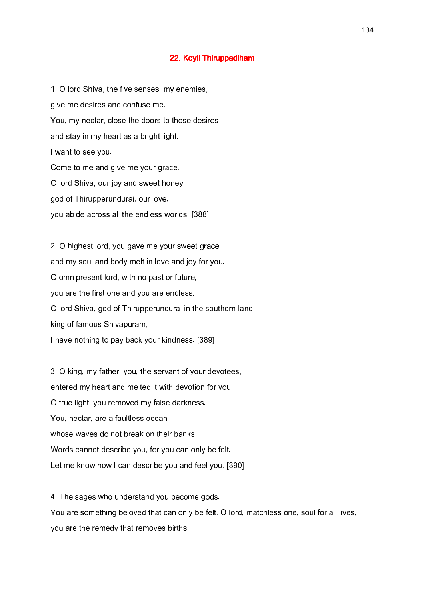#### 22. Koyil Thiruppadiham

1. O lord Shiva, the five senses, my enemies, give me desires and confuse me. You, my nectar, close the doors to those desires and stay in my heart as a bright light. I want to see you. Come to me and give me your grace. O lord Shiva, our joy and sweet honey, god of Thirupperundurai, our love, you abide across all the endless worlds. [388]

2. O highest lord, you gave me your sweet grace and my soul and body melt in love and joy for you. O omnipresent lord, with no past or future, you are the first one and you are endless. O lord Shiva, god of Thirupperundurai in the southern land, king of famous Shivapuram, I have nothing to pay back your kindness. [389]

3. O king, my father, you, the servant of your devotees, entered my heart and melted it with devotion for you. O true light, you removed my false darkness. You, nectar, are a faultless ocean whose waves do not break on their banks. Words cannot describe you, for you can only be felt. Let me know how I can describe you and feel you. [390]

4. The sages who understand you become gods. You are something beloved that can only be felt. O lord, matchless one, soul for all lives, you are the remedy that removes births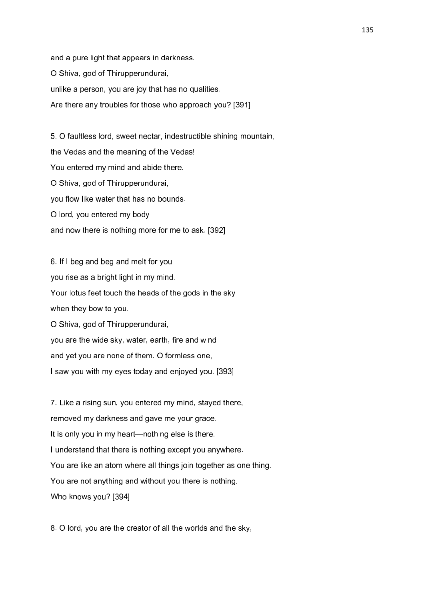and a pure light that appears in darkness. O Shiva, god of Thirupperundurai, unlike a person, you are joy that has no qualities. Are there any troubles for those who approach you? [391]

5. O faultless lord, sweet nectar, indestructible shining mountain, the Vedas and the meaning of the Vedas! You entered my mind and abide there. O Shiva, god of Thirupperundurai, you flow like water that has no bounds. O lord, you entered my body and now there is nothing more for me to ask. [392]

6. If I beg and beg and melt for you you rise as a bright light in my mind. Your lotus feet touch the heads of the gods in the sky when they bow to you. O Shiva, god of Thirupperundurai, you are the wide sky, water, earth, fire and wind and yet you are none of them. O formless one, I saw you with my eyes today and enjoyed you. [393]

7. Like a rising sun, you entered my mind, stayed there, removed my darkness and gave me your grace. It is only you in my heart—nothing else is there. I understand that there is nothing except you anywhere. You are like an atom where all things join together as one thing. You are not anything and without you there is nothing. Who knows you? [394]

8. O lord, you are the creator of all the worlds and the sky,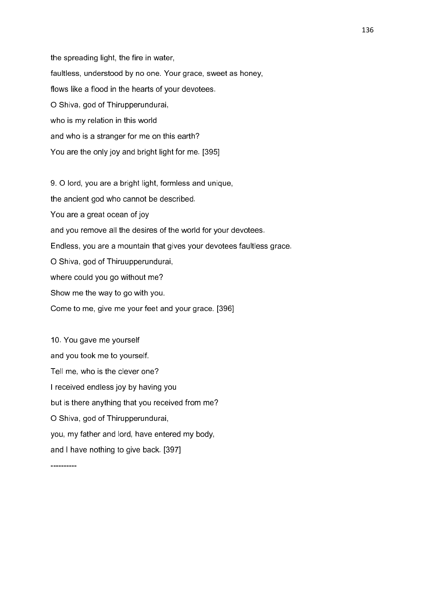the spreading light, the fire in water, faultless, understood by no one. Your grace, sweet as honey, flows like a flood in the hearts of your devotees. O Shiva, god of Thirupperundurai, who is my relation in this world and who is a stranger for me on this earth? You are the only joy and bright light for me. [395]

9. O lord, you are a bright light, formless and unique, the ancient god who cannot be described. You are a great ocean of joy and you remove all the desires of the world for your devotees. Endless, you are a mountain that gives your devotees faultless grace. O Shiva, god of Thiruupperundurai, where could you go without me? Show me the way to go with you. Come to me, give me your feet and your grace. [396]

10. You gave me yourself and you took me to yourself. Tell me, who is the clever one? I received endless joy by having you but is there anything that you received from me? O Shiva, god of Thirupperundurai, you, my father and lord, have entered my body, and I have nothing to give back. [397]

----------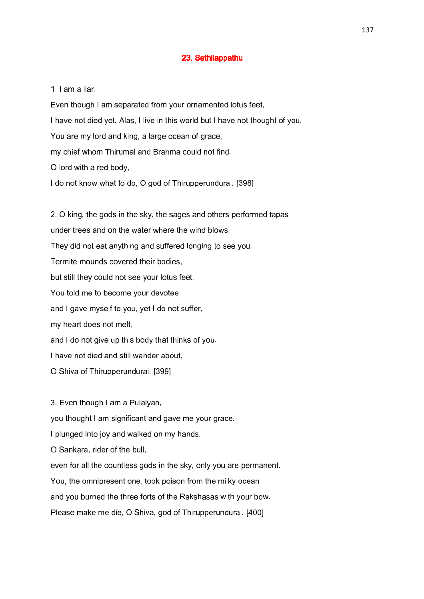### 23. Sethilappathu 23. Sethilappathu

1. I am a liar.

Even though I am separated from your ornamented lotus feet, I have not died yet. Alas, I live in this world but I have not thought of you. You are my lord and king, a large ocean of grace, my chief whom Thirumal and Brahma could not find. O lord with a red body, I do not know what to do, O god of Thirupperundurai. [398]

2. O king, the gods in the sky, the sages and others performed tapas under trees and on the water where the wind blows. They did not eat anything and suffered longing to see you. Termite mounds covered their bodies, but still they could not see your lotus feet. You told me to become your devotee and I gave myself to you, yet I do not suffer, my heart does not melt, and I do not give up this body that thinks of you. I have not died and still wander about, O Shiva of Thirupperundurai. [399]

3. Even though I am a Pulaiyan, you thought I am significant and gave me your grace. I plunged into joy and walked on my hands. O Sankara, rider of the bull, even for all the countless gods in the sky, only you are permanent. You, the omnipresent one, took poison from the milky ocean and you burned the three forts of the Rakshasas with your bow. Please make me die, O Shiva, god of Thirupperundurai. [400]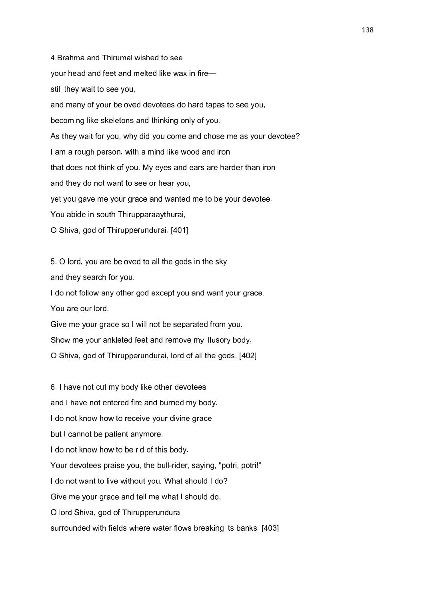4.Brahma and Thirumal wished to see your head and feet and melted like wax in fire still they wait to see you, and many of your beloved devotees do hard tapas to see you, becoming like skeletons and thinking only of you. As they wait for you, why did you come and chose me as your devotee? I am a rough person, with a mind like wood and iron that does not think of you. My eyes and ears are harder than iron and they do not want to see or hear you, yet you gave me your grace and wanted me to be your devotee. You abide in south Thirupparaaythurai, O Shiva, god of Thirupperundurai. [401]

5. O lord, you are beloved to all the gods in the sky

and they search for you.

I do not follow any other god except you and want your grace. You are our lord.

Give me your grace so I will not be separated from you. Show me your ankleted feet and remove my illusory body, O Shiva, god of Thirupperundurai, lord of all the gods. [402]

6. I have not cut my body like other devotees and I have not entered fire and burned my body. I do not know how to receive your divine grace but I cannot be patient anymore. I do not know how to be rid of this body. Your devotees praise you, the bull-rider, saying, "potri, potri!" I do not want to live without you. What should I do? Give me your grace and tell me what I should do, O lord Shiva, god of Thirupperundurai surrounded with fields where water flows breaking its banks. [403]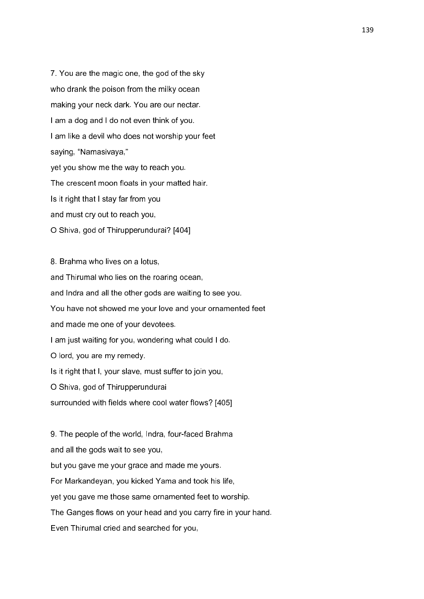7. You are the magic one, the god of the sky who drank the poison from the milky ocean making your neck dark. You are our nectar. I am a dog and I do not even think of you. I am like a devil who does not worship your feet saying, "Namasivaya," yet you show me the way to reach you. The crescent moon floats in your matted hair. Is it right that I stay far from you and must cry out to reach you, O Shiva, god of Thirupperundurai? [404]

8. Brahma who lives on a lotus, and Thirumal who lies on the roaring ocean, and Indra and all the other gods are waiting to see you. You have not showed me your love and your ornamented feet and made me one of your devotees. I am just waiting for you, wondering what could I do. O lord, you are my remedy. Is it right that I, your slave, must suffer to join you, O Shiva, god of Thirupperundurai surrounded with fields where cool water flows? [405] 9. The people of the world, Indra, four-faced Brahma

and all the gods wait to see you,

but you gave me your grace and made me yours.

For Markandeyan, you kicked Yama and took his life,

yet you gave me those same ornamented feet to worship.

The Ganges flows on your head and you carry fire in your hand.

Even Thirumal cried and searched for you,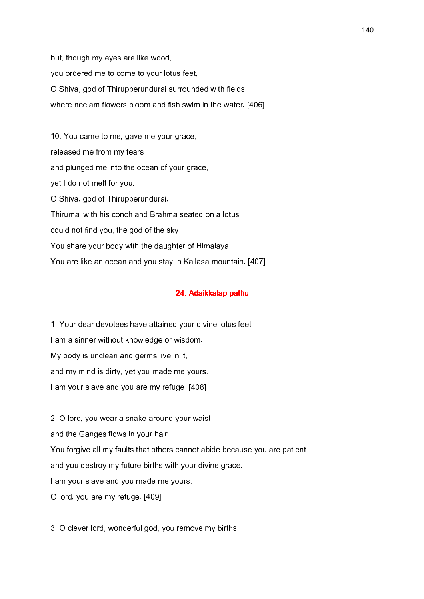but, though my eyes are like wood, you ordered me to come to your lotus feet, O Shiva, god of Thirupperundurai surrounded with fields where neelam flowers bloom and fish swim in the water. [406]

10. You came to me, gave me your grace, released me from my fears and plunged me into the ocean of your grace, yet I do not melt for you. O Shiva, god of Thirupperundurai, Thirumal with his conch and Brahma seated on a lotus could not find you, the god of the sky. You share your body with the daughter of Himalaya. You are like an ocean and you stay in Kailasa mountain. [407] ---------------

# 24. Adaikkalap pathu

1. Your dear devotees have attained your divine lotus feet.

I am a sinner without knowledge or wisdom.

My body is unclean and germs live in it,

and my mind is dirty, yet you made me yours.

I am your slave and you are my refuge. [408]

2. O lord, you wear a snake around your waist and the Ganges flows in your hair. You forgive all my faults that others cannot abide because you are patient and you destroy my future births with your divine grace. I am your slave and you made me yours.

O lord, you are my refuge. [409]

3. O clever lord, wonderful god, you remove my births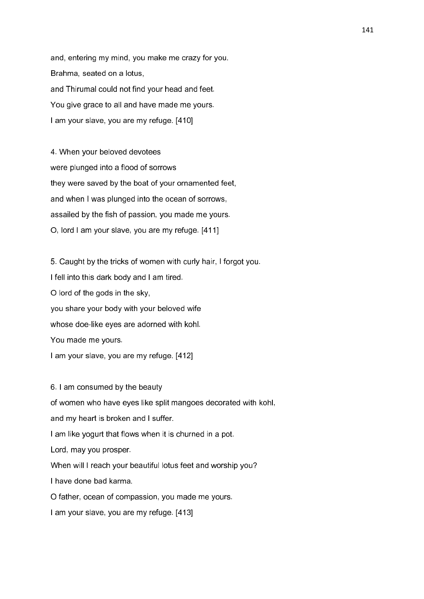and, entering my mind, you make me crazy for you. Brahma, seated on a lotus, and Thirumal could not find your head and feet. You give grace to all and have made me yours. I am your slave, you are my refuge. [410]

4. When your beloved devotees were plunged into a flood of sorrows they were saved by the boat of your ornamented feet, and when I was plunged into the ocean of sorrows, assailed by the fish of passion, you made me yours. O, lord I am your slave, you are my refuge. [411]

5. Caught by the tricks of women with curly hair, I forgot you. I fell into this dark body and I am tired. O lord of the gods in the sky, you share your body with your beloved wife whose doe-like eyes are adorned with kohl. You made me yours. I am your slave, you are my refuge. [412]

6. I am consumed by the beauty of women who have eyes like split mangoes decorated with kohl, and my heart is broken and I suffer. I am like yogurt that flows when it is churned in a pot. Lord, may you prosper. When will I reach your beautiful lotus feet and worship you? I have done bad karma. O father, ocean of compassion, you made me yours.

I am your slave, you are my refuge. [413]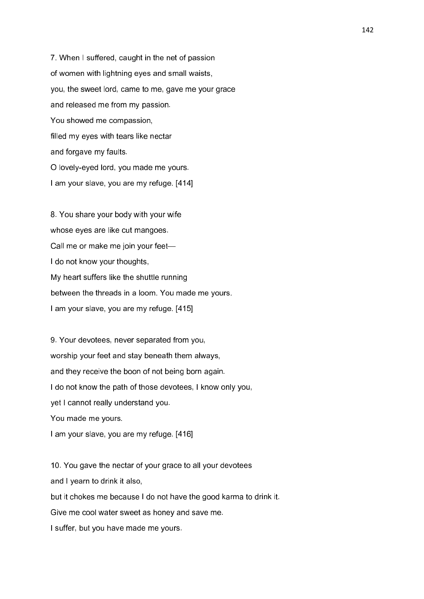7. When I suffered, caught in the net of passion of women with lightning eyes and small waists, you, the sweet lord, came to me, gave me your grace and released me from my passion. You showed me compassion, filled my eyes with tears like nectar and forgave my faults. O lovely-eyed lord, you made me yours. I am your slave, you are my refuge. [414]

8. You share your body with your wife whose eyes are like cut mangoes. Call me or make me join your feet— I do not know your thoughts, My heart suffers like the shuttle running between the threads in a loom. You made me yours. I am your slave, you are my refuge. [415]

9. Your devotees, never separated from you, worship your feet and stay beneath them always, and they receive the boon of not being born again. I do not know the path of those devotees, I know only you, yet I cannot really understand you. You made me yours. I am your slave, you are my refuge. [416]

10. You gave the nectar of your grace to all your devotees and I yearn to drink it also, but it chokes me because I do not have the good karma to drink it. Give me cool water sweet as honey and save me. I suffer, but you have made me yours.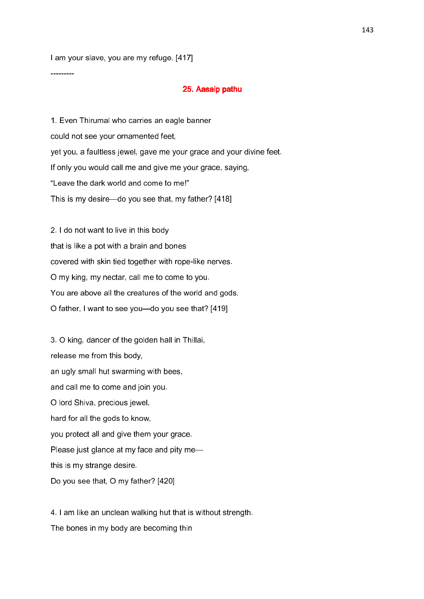I am your slave, you are my refuge. [417]

---------

### 25. Aasaip pathu

1. Even Thirumal who carries an eagle banner could not see your ornamented feet, yet you, a faultless jewel, gave me your grace and your divine feet. If only you would call me and give me your grace, saying, "Leave the dark world and come to me!" This is my desire—do you see that, my father? [418]

2. I do not want to live in this body that is like a pot with a brain and bones covered with skin tied together with rope-like nerves. O my king, my nectar, call me to come to you. You are above all the creatures of the world and gods. O father, I want to see you—do you see that? [419]

3. O king, dancer of the golden hall in Thillai, release me from this body, an ugly small hut swarming with bees, and call me to come and join you. O lord Shiva, precious jewel, hard for all the gods to know, you protect all and give them your grace. Please just glance at my face and pity me this is my strange desire. Do you see that, O my father? [420]

4. I am like an unclean walking hut that is without strength. The bones in my body are becoming thin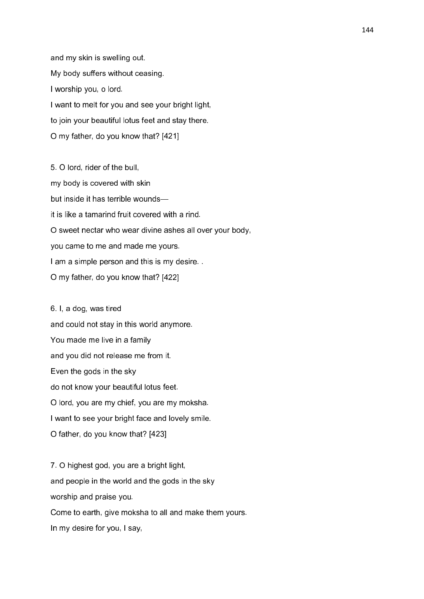and my skin is swelling out. My body suffers without ceasing. I worship you, o lord. I want to melt for you and see your bright light, to join your beautiful lotus feet and stay there. O my father, do you know that? [421]

5. O lord, rider of the bull, my body is covered with skin but inside it has terrible wounds it is like a tamarind fruit covered with a rind. O sweet nectar who wear divine ashes all over your body, you came to me and made me yours. I am a simple person and this is my desire. O my father, do you know that? [422]

6. I, a dog, was tired and could not stay in this world anymore. You made me live in a family and you did not release me from it. Even the gods in the sky do not know your beautiful lotus feet. O lord, you are my chief, you are my moksha. I want to see your bright face and lovely smile. O father, do you know that? [423]

7. O highest god, you are a bright light, and people in the world and the gods in the sky worship and praise you. Come to earth, give moksha to all and make them yours. In my desire for you, I say,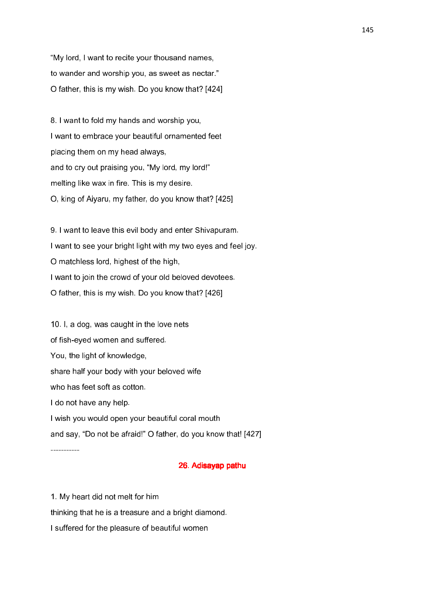"My lord, I want to recite your thousand names, to wander and worship you, as sweet as nectar." O father, this is my wish. Do you know that? [424]

8. I want to fold my hands and worship you, I want to embrace your beautiful ornamented feet placing them on my head always, and to cry out praising you, "My lord, my lord!" melting like wax in fire. This is my desire. O, king of Aiyaru, my father, do you know that? [425]

9. I want to leave this evil body and enter Shivapuram. I want to see your bright light with my two eyes and feel joy. O matchless lord, highest of the high, I want to join the crowd of your old beloved devotees. O father, this is my wish. Do you know that? [426]

10. I, a dog, was caught in the love nets of fish-eyed women and suffered. You, the light of knowledge, share half your body with your beloved wife who has feet soft as cotton. I do not have any help. I wish you would open your beautiful coral mouth and say, "Do not be afraid!" O father, do you know that! [427]

# 26. Adisayap pathu 26. Adisayap pathu

1. My heart did not melt for him thinking that he is a treasure and a bright diamond. I suffered for the pleasure of beautiful women

-----------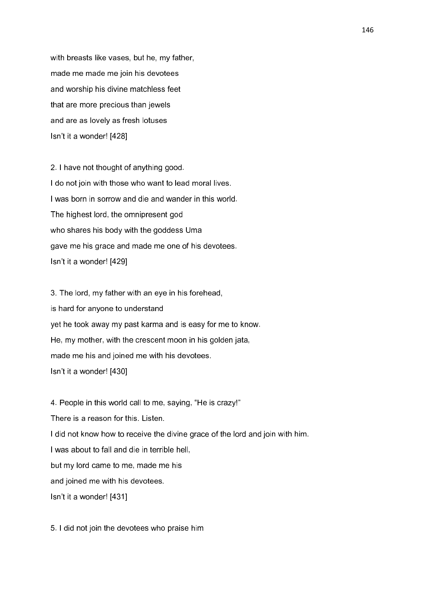with breasts like vases, but he, my father, made me made me join his devotees and worship his divine matchless feet that are more precious than jewels and are as lovely as fresh lotuses Isn't it a wonder! [428]

2. I have not thought of anything good. I do not join with those who want to lead moral lives. I was born in sorrow and die and wander in this world. The highest lord, the omnipresent god who shares his body with the goddess Uma gave me his grace and made me one of his devotees. Isn't it a wonder! [429]

3. The lord, my father with an eye in his forehead, is hard for anyone to understand yet he took away my past karma and is easy for me to know. He, my mother, with the crescent moon in his golden jata, made me his and joined me with his devotees. Isn't it a wonder! [430]

4. People in this world call to me, saying, "He is crazy!" There is a reason for this. Listen. I did not know how to receive the divine grace of the lord and join with him. I was about to fall and die in terrible hell, but my lord came to me, made me his and joined me with his devotees. Isn't it a wonder! [431]

5. I did not join the devotees who praise him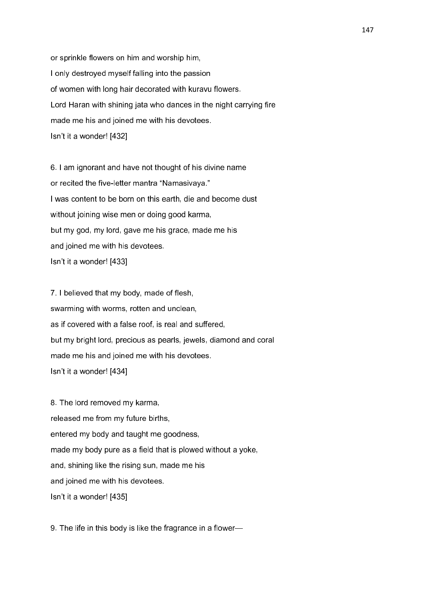or sprinkle flowers on him and worship him, I only destroyed myself falling into the passion of women with long hair decorated with kuravu flowers. Lord Haran with shining jata who dances in the night carrying fire made me his and joined me with his devotees. Isn't it a wonder! [432]

6. I am ignorant and have not thought of his divine name or recited the five-letter mantra "Namasivaya." I was content to be born on this earth, die and become dust without joining wise men or doing good karma, but my god, my lord, gave me his grace, made me his and joined me with his devotees. Isn't it a wonder! [433]

7. I believed that my body, made of flesh, swarming with worms, rotten and unclean, as if covered with a false roof, is real and suffered, but my bright lord, precious as pearls, jewels, diamond and coral made me his and joined me with his devotees. Isn't it a wonder! [434]

8. The lord removed my karma, released me from my future births, entered my body and taught me goodness, made my body pure as a field that is plowed without a yoke, and, shining like the rising sun, made me his and joined me with his devotees. Isn't it a wonder! [435]

9. The life in this body is like the fragrance in a flower—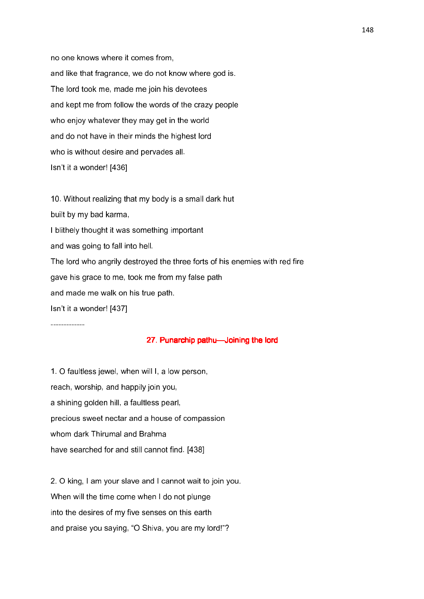no one knows where it comes from, and like that fragrance, we do not know where god is. The lord took me, made me join his devotees and kept me from follow the words of the crazy people who enjoy whatever they may get in the world and do not have in their minds the highest lord who is without desire and pervades all. Isn't it a wonder! [436]

10. Without realizing that my body is a small dark hut built by my bad karma, I blithely thought it was something important and was going to fall into hell. The lord who angrily destroyed the three forts of his enemies with red fire gave his grace to me, took me from my false path and made me walk on his true path.

Isn't it a wonder! [437]

-------------

## 27. Punarchip pathu—Joining the lord

1. O faultless jewel, when will I, a low person, reach, worship, and happily join you, a shining golden hill, a faultless pearl, precious sweet nectar and a house of compassion whom dark Thirumal and Brahma have searched for and still cannot find. [438]

2. O king, I am your slave and I cannot wait to join you. When will the time come when I do not plunge into the desires of my five senses on this earth and praise you saying, "O Shiva, you are my lord!"?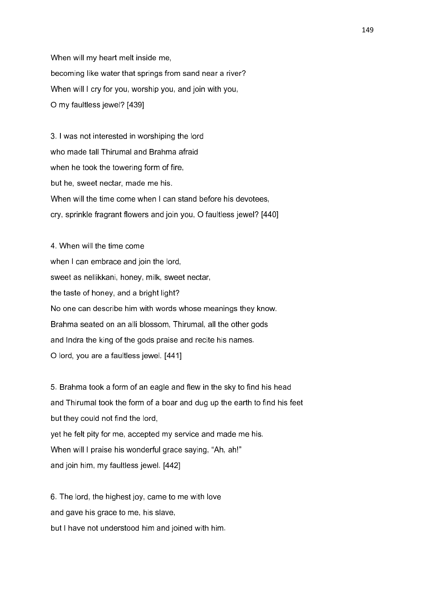When will my heart melt inside me, becoming like water that springs from sand near a river? When will I cry for you, worship you, and join with you, O my faultless jewel? [439]

3. I was not interested in worshiping the lord who made tall Thirumal and Brahma afraid when he took the towering form of fire, but he, sweet nectar, made me his. When will the time come when I can stand before his devotees, cry, sprinkle fragrant flowers and join you, O faultless jewel? [440]

4. When will the time come when I can embrace and join the lord, sweet as nellikkani, honey, milk, sweet nectar, the taste of honey, and a bright light? No one can describe him with words whose meanings they know. Brahma seated on an alli blossom, Thirumal, all the other gods and Indra the king of the gods praise and recite his names. O lord, you are a faultless jewel. [441]

5. Brahma took a form of an eagle and flew in the sky to find his head and Thirumal took the form of a boar and dug up the earth to find his feet but they could not find the lord, yet he felt pity for me, accepted my service and made me his. When will I praise his wonderful grace saying, "Ah, ah!"

and join him, my faultless jewel. [442]

6. The lord, the highest joy, came to me with love and gave his grace to me, his slave, but I have not understood him and joined with him.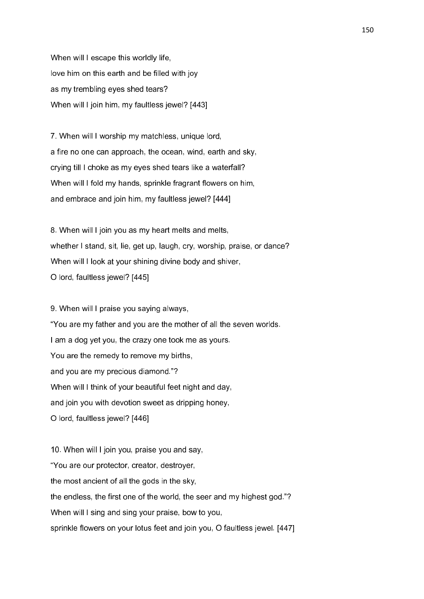When will I escape this worldly life, love him on this earth and be filled with joy as my trembling eyes shed tears? When will I join him, my faultless jewel? [443]

7. When will I worship my matchless, unique lord, a fire no one can approach, the ocean, wind, earth and sky, crying till I choke as my eyes shed tears like a waterfall? When will I fold my hands, sprinkle fragrant flowers on him, and embrace and join him, my faultless jewel? [444]

8. When will I join you as my heart melts and melts, whether I stand, sit, lie, get up, laugh, cry, worship, praise, or dance? When will I look at your shining divine body and shiver, O lord, faultless jewel? [445]

9. When will I praise you saying always, "You are my father and you are the mother of all the seven worlds. I am a dog yet you, the crazy one took me as yours. You are the remedy to remove my births, and you are my precious diamond."? When will I think of your beautiful feet night and day, and join you with devotion sweet as dripping honey, O lord, faultless jewel? [446]

10. When will I join you, praise you and say, "You are our protector, creator, destroyer, the most ancient of all the gods in the sky, the endless, the first one of the world, the seer and my highest god."? When will I sing and sing your praise, bow to you, sprinkle flowers on your lotus feet and join you, O faultless jewel. [447]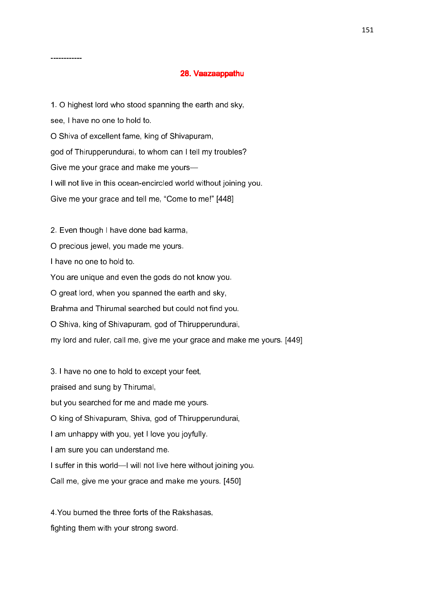# 28. Vaazaappathu

1. O highest lord who stood spanning the earth and sky, see, I have no one to hold to. O Shiva of excellent fame, king of Shivapuram, god of Thirupperundurai, to whom can I tell my troubles? Give me your grace and make me yours— I will not live in this ocean-encircled world without joining you. Give me your grace and tell me, "Come to me!" [448]

2. Even though I have done bad karma,

O precious jewel, you made me yours.

I have no one to hold to.

------------

You are unique and even the gods do not know you.

O great lord, when you spanned the earth and sky,

Brahma and Thirumal searched but could not find you.

O Shiva, king of Shivapuram, god of Thirupperundurai,

my lord and ruler, call me, give me your grace and make me yours. [449]

3. I have no one to hold to except your feet, praised and sung by Thirumal, but you searched for me and made me yours. O king of Shivapuram, Shiva, god of Thirupperundurai, I am unhappy with you, yet I love you joyfully. I am sure you can understand me. I suffer in this world—I will not live here without joining you. Call me, give me your grace and make me yours. [450]

4.You burned the three forts of the Rakshasas, fighting them with your strong sword.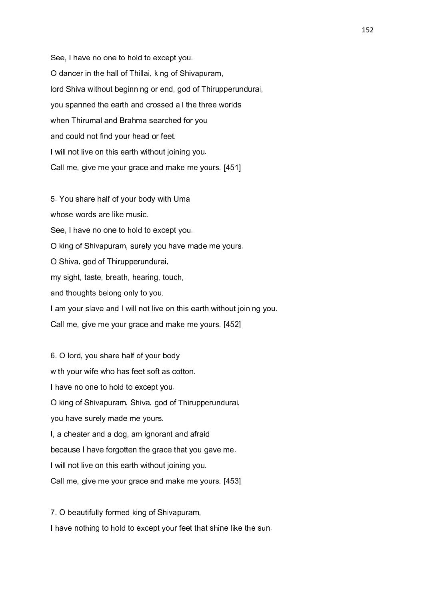See, I have no one to hold to except you. O dancer in the hall of Thillai, king of Shivapuram, lord Shiva without beginning or end, god of Thirupperundurai, you spanned the earth and crossed all the three worlds when Thirumal and Brahma searched for you and could not find your head or feet. I will not live on this earth without joining you. Call me, give me your grace and make me yours. [451]

5. You share half of your body with Uma whose words are like music. See, I have no one to hold to except you. O king of Shivapuram, surely you have made me yours. O Shiva, god of Thirupperundurai, my sight, taste, breath, hearing, touch, and thoughts belong only to you. I am your slave and I will not live on this earth without joining you. Call me, give me your grace and make me yours. [452]

6. O lord, you share half of your body with your wife who has feet soft as cotton. I have no one to hold to except you. O king of Shivapuram, Shiva, god of Thirupperundurai, you have surely made me yours. I, a cheater and a dog, am ignorant and afraid because I have forgotten the grace that you gave me. I will not live on this earth without joining you. Call me, give me your grace and make me yours. [453]

7. O beautifully-formed king of Shivapuram, I have nothing to hold to except your feet that shine like the sun.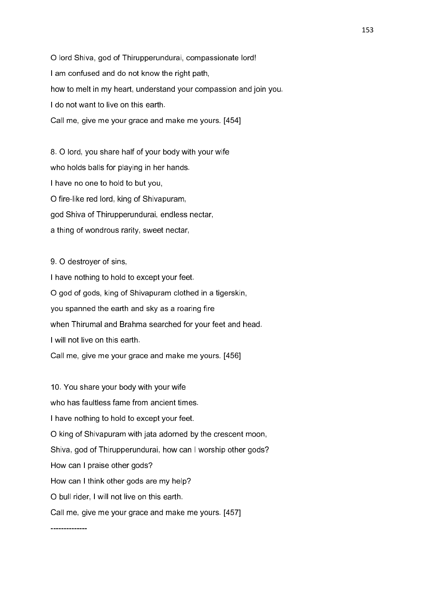O lord Shiva, god of Thirupperundurai, compassionate lord! I am confused and do not know the right path, how to melt in my heart, understand your compassion and join you. I do not want to live on this earth. Call me, give me your grace and make me yours. [454]

8. O lord, you share half of your body with your wife who holds balls for playing in her hands. I have no one to hold to but you, O fire-like red lord, king of Shivapuram, god Shiva of Thirupperundurai, endless nectar, a thing of wondrous rarity, sweet nectar,

9. O destroyer of sins,

I have nothing to hold to except your feet. O god of gods, king of Shivapuram clothed in a tigerskin, you spanned the earth and sky as a roaring fire when Thirumal and Brahma searched for your feet and head. I will not live on this earth. Call me, give me your grace and make me yours. [456]

10. You share your body with your wife who has faultless fame from ancient times. I have nothing to hold to except your feet. O king of Shivapuram with jata adorned by the crescent moon, Shiva, god of Thirupperundurai, how can I worship other gods? How can I praise other gods? How can I think other gods are my help? O bull rider, I will not live on this earth. Call me, give me your grace and make me yours. [457]

--------------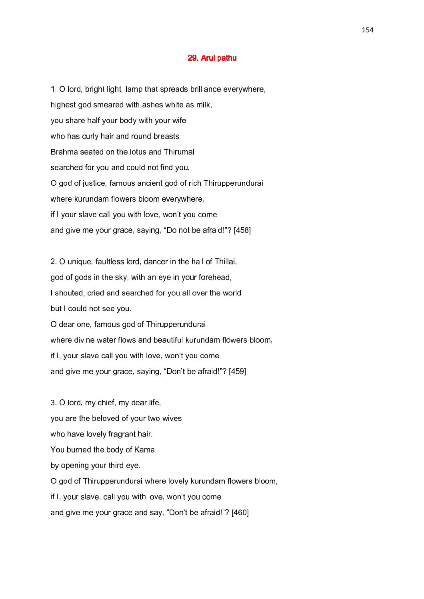#### 29. Arul pathu

1. O lord, bright light, lamp that spreads brilliance everywhere, highest god smeared with ashes white as milk, you share half your body with your wife who has curly hair and round breasts. Brahma seated on the lotus and Thirumal searched for you and could not find you. O god of justice, famous ancient god of rich Thirupperundurai where kurundam flowers bloom everywhere, if I your slave call you with love, won't you come and give me your grace, saying, "Do not be afraid!"? [458]

2. O unique, faultless lord, dancer in the hall of Thillai, god of gods in the sky, with an eye in your forehead, I shouted, cried and searched for you all over the world but I could not see you. O dear one, famous god of Thirupperundurai where divine water flows and beautiful kurundam flowers bloom, if I, your slave call you with love, won't you come and give me your grace, saying, "Don't be afraid!"? [459]

3. O lord, my chief, my dear life, you are the beloved of your two wives who have lovely fragrant hair. You burned the body of Kama by opening your third eye. O god of Thirupperundurai where lovely kurundam flowers bloom, if I, your slave, call you with love, won't you come and give me your grace and say, "Don't be afraid!"? [460]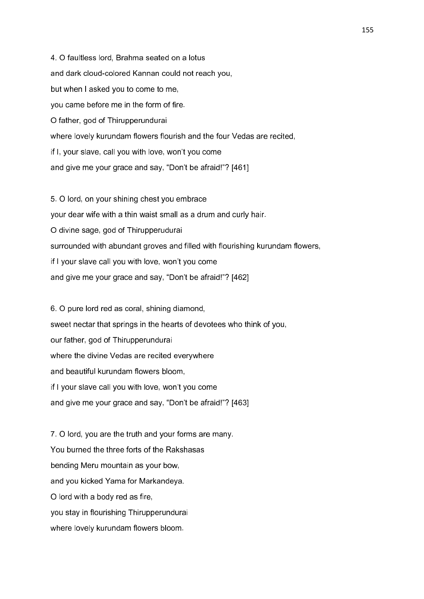4. O faultless lord, Brahma seated on a lotus and dark cloud-colored Kannan could not reach you, but when I asked you to come to me, you came before me in the form of fire. O father, god of Thirupperundurai where lovely kurundam flowers flourish and the four Vedas are recited, if I, your slave, call you with love, won't you come and give me your grace and say, "Don't be afraid!"? [461]

5. O lord, on your shining chest you embrace your dear wife with a thin waist small as a drum and curly hair. O divine sage, god of Thirupperudurai surrounded with abundant groves and filled with flourishing kurundam flowers, if I your slave call you with love, won't you come and give me your grace and say, "Don't be afraid!"? [462]

6. O pure lord red as coral, shining diamond, sweet nectar that springs in the hearts of devotees who think of you, our father, god of Thirupperundurai where the divine Vedas are recited everywhere and beautiful kurundam flowers bloom, if I your slave call you with love, won't you come and give me your grace and say, "Don't be afraid!"? [463]

7. O lord, you are the truth and your forms are many. You burned the three forts of the Rakshasas bending Meru mountain as your bow, and you kicked Yama for Markandeya. O lord with a body red as fire, you stay in flourishing Thirupperundurai where lovely kurundam flowers bloom.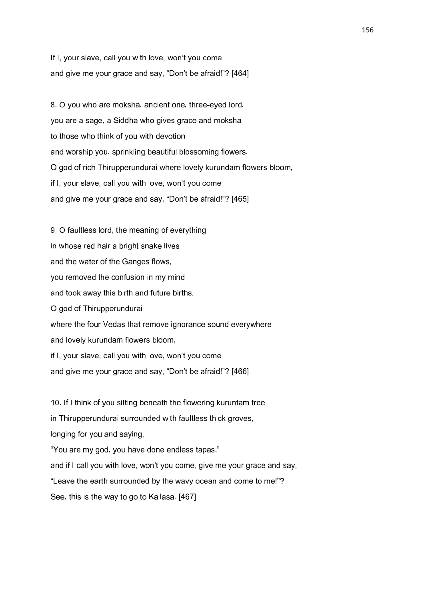If I, your slave, call you with love, won't you come and give me your grace and say, "Don't be afraid!"? [464]

8. O you who are moksha, ancient one, three-eyed lord, you are a sage, a Siddha who gives grace and moksha to those who think of you with devotion and worship you, sprinkling beautiful blossoming flowers. O god of rich Thirupperundurai where lovely kurundam flowers bloom, if I, your slave, call you with love, won't you come and give me your grace and say, "Don't be afraid!"? [465]

9. O faultless lord, the meaning of everything in whose red hair a bright snake lives and the water of the Ganges flows, you removed the confusion in my mind and took away this birth and future births. O god of Thirupperundurai where the four Vedas that remove ignorance sound everywhere and lovely kurundam flowers bloom, if I, your slave, call you with love, won't you come and give me your grace and say, "Don't be afraid!"? [466]

10. If I think of you sitting beneath the flowering kuruntam tree in Thirupperundurai surrounded with faultless thick groves, longing for you and saying, "You are my god, you have done endless tapas," and if I call you with love, won't you come, give me your grace and say, "Leave the earth surrounded by the wavy ocean and come to me!"? See, this is the way to go to Kailasa. [467]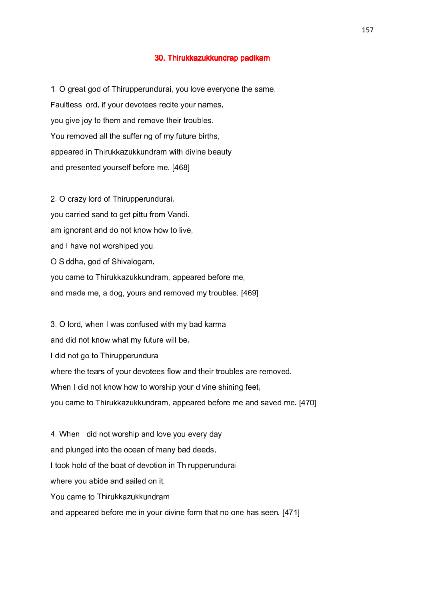#### 30. Thirukkazukkundrap padikam

1. O great god of Thirupperundurai, you love everyone the same. Faultless lord, if your devotees recite your names, you give joy to them and remove their troubles. You removed all the suffering of my future births, appeared in Thirukkazukkundram with divine beauty and presented yourself before me. [468]

2. O crazy lord of Thirupperundurai, you carried sand to get pittu from Vandi. am ignorant and do not know how to live, and I have not worshiped you. O Siddha, god of Shivalogam, you came to Thirukkazukkundram, appeared before me, and made me, a dog, yours and removed my troubles. [469]

3. O lord, when I was confused with my bad karma and did not know what my future will be, I did not go to Thirupperundurai where the tears of your devotees flow and their troubles are removed. When I did not know how to worship your divine shining feet, you came to Thirukkazukkundram, appeared before me and saved me. [470]

4. When I did not worship and love you every day and plunged into the ocean of many bad deeds, I took hold of the boat of devotion in Thirupperundurai where you abide and sailed on it. You came to Thirukkazukkundram and appeared before me in your divine form that no one has seen. [471]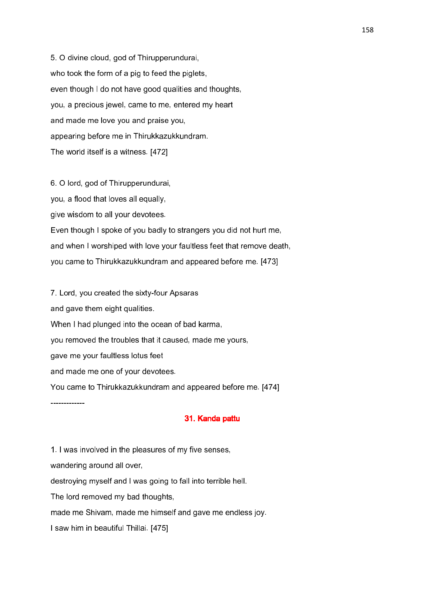5. O divine cloud, god of Thirupperundurai, who took the form of a pig to feed the piglets, even though I do not have good qualities and thoughts, you, a precious jewel, came to me, entered my heart and made me love you and praise you, appearing before me in Thirukkazukkundram. The world itself is a witness. [472]

6. O lord, god of Thirupperundurai, you, a flood that loves all equally, give wisdom to all your devotees. Even though I spoke of you badly to strangers you did not hurt me, and when I worshiped with love your faultless feet that remove death, you came to Thirukkazukkundram and appeared before me. [473]

7. Lord, you created the sixty-four Apsaras and gave them eight qualities. When I had plunged into the ocean of bad karma, you removed the troubles that it caused, made me yours, gave me your faultless lotus feet and made me one of your devotees. You came to Thirukkazukkundram and appeared before me. [474]

## 31. Kanda pattu

1. I was involved in the pleasures of my five senses, wandering around all over, destroying myself and I was going to fall into terrible hell. The lord removed my bad thoughts, made me Shivam, made me himself and gave me endless joy. I saw him in beautiful Thillai. [475]

-------------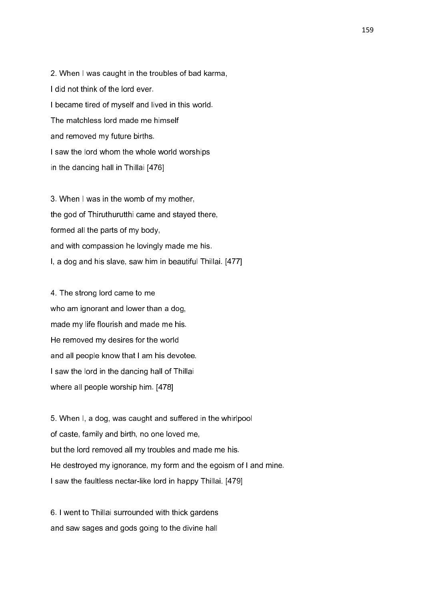2. When I was caught in the troubles of bad karma, I did not think of the lord ever. I became tired of myself and lived in this world. The matchless lord made me himself and removed my future births. I saw the lord whom the whole world worships in the dancing hall in Thillai [476]

3. When I was in the womb of my mother, the god of Thiruthurutthi came and stayed there, formed all the parts of my body, and with compassion he lovingly made me his. I, a dog and his slave, saw him in beautiful Thillai. [477]

4. The strong lord came to me who am ignorant and lower than a dog, made my life flourish and made me his. He removed my desires for the world and all people know that I am his devotee. I saw the lord in the dancing hall of Thillai where all people worship him. [478]

5. When I, a dog, was caught and suffered in the whirlpool of caste, family and birth, no one loved me, but the lord removed all my troubles and made me his. He destroyed my ignorance, my form and the egoism of I and mine. I saw the faultless nectar-like lord in happy Thillai. [479]

6. I went to Thillai surrounded with thick gardens and saw sages and gods going to the divine hall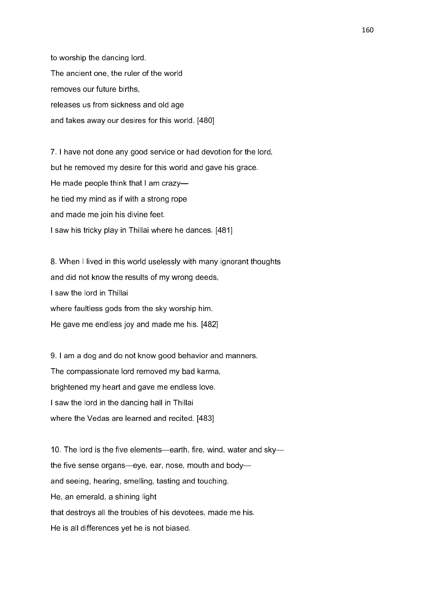to worship the dancing lord. The ancient one, the ruler of the world removes our future births, releases us from sickness and old age and takes away our desires for this world. [480]

7. I have not done any good service or had devotion for the lord, but he removed my desire for this world and gave his grace. He made people think that I am crazy he tied my mind as if with a strong rope and made me join his divine feet. I saw his tricky play in Thillai where he dances. [481]

8. When I lived in this world uselessly with many ignorant thoughts and did not know the results of my wrong deeds, I saw the lord in Thillai where faultless gods from the sky worship him. He gave me endless joy and made me his. [482]

9. I am a dog and do not know good behavior and manners. The compassionate lord removed my bad karma, brightened my heart and gave me endless love. I saw the lord in the dancing hall in Thillai where the Vedas are learned and recited. [483]

10. The lord is the five elements—earth, fire, wind, water and sky the five sense organs—eye, ear, nose, mouth and body and seeing, hearing, smelling, tasting and touching. He, an emerald, a shining light that destroys all the troubles of his devotees, made me his. He is all differences yet he is not biased.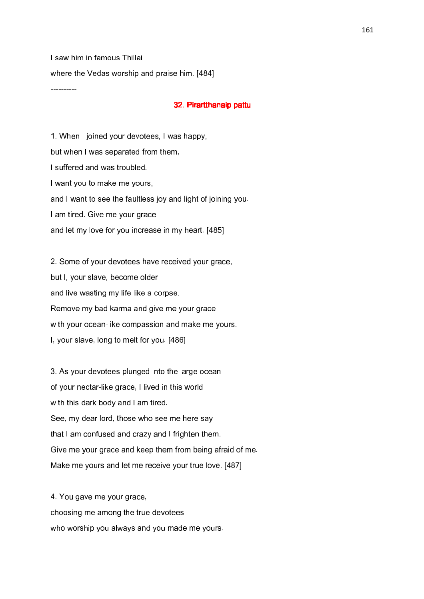I saw him in famous Thillai where the Vedas worship and praise him. [484]

----------

### 32. Pirartthanaip pattu

1. When I joined your devotees, I was happy, but when I was separated from them, I suffered and was troubled. I want you to make me yours, and I want to see the faultless joy and light of joining you. I am tired. Give me your grace and let my love for you increase in my heart. [485]

2. Some of your devotees have received your grace, but I, your slave, become older and live wasting my life like a corpse. Remove my bad karma and give me your grace with your ocean-like compassion and make me yours. I, your slave, long to melt for you. [486]

3. As your devotees plunged into the large ocean of your nectar-like grace, I lived in this world with this dark body and I am tired. See, my dear lord, those who see me here say that I am confused and crazy and I frighten them. Give me your grace and keep them from being afraid of me. Make me yours and let me receive your true love. [487]

4. You gave me your grace, choosing me among the true devotees who worship you always and you made me yours.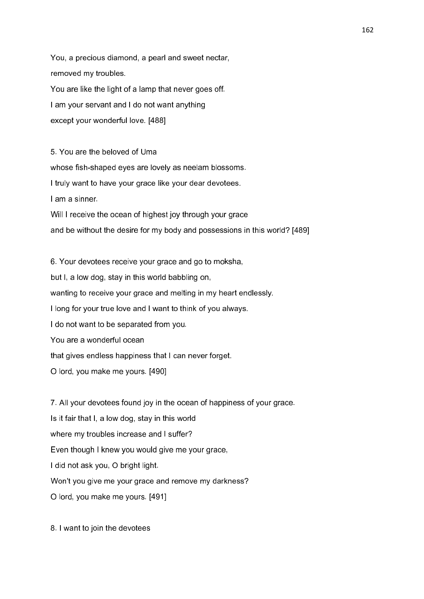You, a precious diamond, a pearl and sweet nectar, removed my troubles. You are like the light of a lamp that never goes off. I am your servant and I do not want anything except your wonderful love. [488]

5. You are the beloved of Uma whose fish-shaped eyes are lovely as neelam blossoms. I truly want to have your grace like your dear devotees. I am a sinner. Will I receive the ocean of highest joy through your grace

and be without the desire for my body and possessions in this world? [489]

6. Your devotees receive your grace and go to moksha, but I, a low dog, stay in this world babbling on, wanting to receive your grace and melting in my heart endlessly. I long for your true love and I want to think of you always. I do not want to be separated from you. You are a wonderful ocean that gives endless happiness that I can never forget. O lord, you make me yours. [490]

7. All your devotees found joy in the ocean of happiness of your grace. Is it fair that I, a low dog, stay in this world where my troubles increase and I suffer? Even though I knew you would give me your grace, I did not ask you, O bright light. Won't you give me your grace and remove my darkness? O lord, you make me yours. [491]

8. I want to join the devotees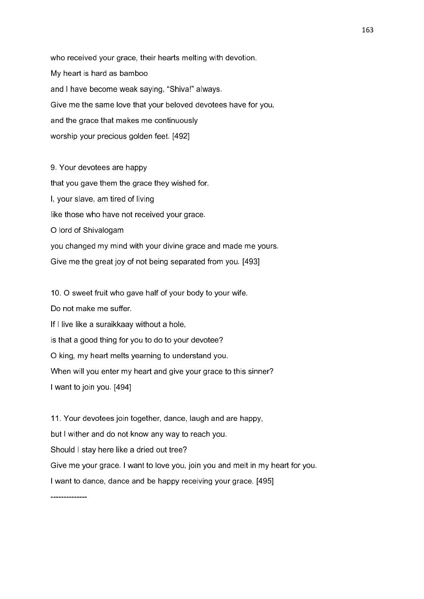who received your grace, their hearts melting with devotion. My heart is hard as bamboo and I have become weak saying, "Shiva!" always. Give me the same love that your beloved devotees have for you, and the grace that makes me continuously worship your precious golden feet. [492]

9. Your devotees are happy that you gave them the grace they wished for. I, your slave, am tired of living like those who have not received your grace. O lord of Shivalogam you changed my mind with your divine grace and made me yours. Give me the great joy of not being separated from you. [493]

10. O sweet fruit who gave half of your body to your wife.

Do not make me suffer.

If I live like a suraikkaay without a hole,

is that a good thing for you to do to your devotee?

O king, my heart melts yearning to understand you.

When will you enter my heart and give your grace to this sinner?

I want to join you. [494]

11. Your devotees join together, dance, laugh and are happy, but I wither and do not know any way to reach you. Should I stay here like a dried out tree? Give me your grace. I want to love you, join you and melt in my heart for you. I want to dance, dance and be happy receiving your grace. [495]

--------------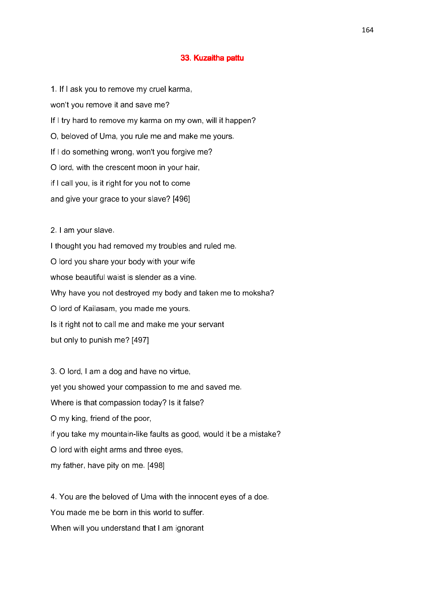## 33. Kuzaitha pattu

1. If I ask you to remove my cruel karma, won't you remove it and save me? If I try hard to remove my karma on my own, will it happen? O, beloved of Uma, you rule me and make me yours. If I do something wrong, won't you forgive me? O lord, with the crescent moon in your hair, if I call you, is it right for you not to come and give your grace to your slave? [496]

2. I am your slave.

I thought you had removed my troubles and ruled me. O lord you share your body with your wife whose beautiful waist is slender as a vine. Why have you not destroyed my body and taken me to moksha? O lord of Kailasam, you made me yours. Is it right not to call me and make me your servant but only to punish me? [497]

3. O lord, I am a dog and have no virtue, yet you showed your compassion to me and saved me. Where is that compassion today? Is it false? O my king, friend of the poor, if you take my mountain-like faults as good, would it be a mistake? O lord with eight arms and three eyes, my father, have pity on me. [498]

4. You are the beloved of Uma with the innocent eyes of a doe. You made me be born in this world to suffer. When will you understand that I am ignorant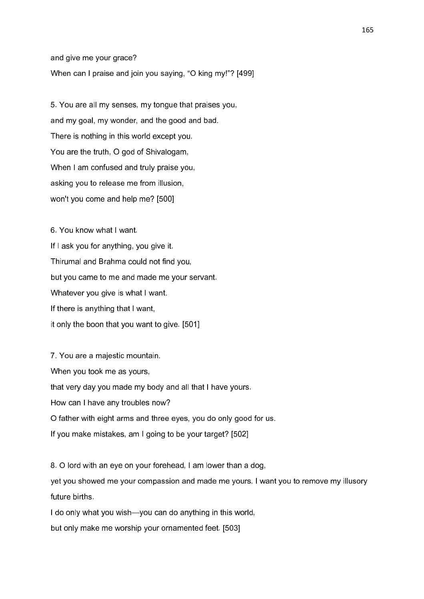and give me your grace? When can I praise and join you saying, "O king my!"? [499]

5. You are all my senses, my tongue that praises you, and my goal, my wonder, and the good and bad. There is nothing in this world except you. You are the truth, O god of Shivalogam, When I am confused and truly praise you, asking you to release me from illusion, won't you come and help me? [500]

6. You know what I want. If I ask you for anything, you give it. Thirumal and Brahma could not find you, but you came to me and made me your servant. Whatever you give is what I want. If there is anything that I want, it only the boon that you want to give. [501]

7. You are a majestic mountain. When you took me as yours, that very day you made my body and all that I have yours. How can I have any troubles now? O father with eight arms and three eyes, you do only good for us. If you make mistakes, am I going to be your target? [502]

8. O lord with an eye on your forehead, I am lower than a dog, yet you showed me your compassion and made me yours. I want you to remove my illusory future births.

I do only what you wish—you can do anything in this world, but only make me worship your ornamented feet. [503]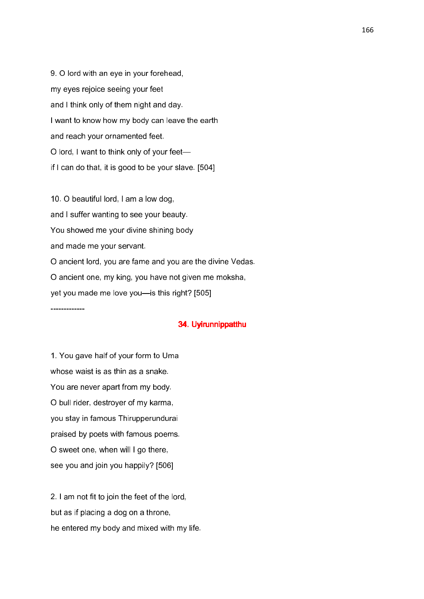9. O lord with an eye in your forehead, my eyes rejoice seeing your feet and I think only of them night and day. I want to know how my body can leave the earth and reach your ornamented feet. O lord, I want to think only of your feet if I can do that, it is good to be your slave. [504]

10. O beautiful lord, I am a low dog, and I suffer wanting to see your beauty. You showed me your divine shining body and made me your servant. O ancient lord, you are fame and you are the divine Vedas. O ancient one, my king, you have not given me moksha, yet you made me love you—is this right? [505]

## 34. Uyirunnippatthu 34. Uyirunnippatthu

1. You gave half of your form to Uma whose waist is as thin as a snake. You are never apart from my body. O bull rider, destroyer of my karma, you stay in famous Thirupperundurai praised by poets with famous poems. O sweet one, when will I go there, see you and join you happily? [506]

-------------

2. I am not fit to join the feet of the lord, but as if placing a dog on a throne, he entered my body and mixed with my life.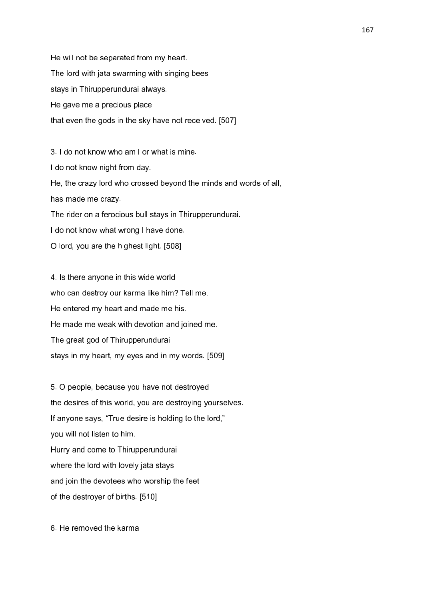He will not be separated from my heart. The lord with jata swarming with singing bees stays in Thirupperundurai always. He gave me a precious place that even the gods in the sky have not received. [507]

3. I do not know who am I or what is mine. I do not know night from day. He, the crazy lord who crossed beyond the minds and words of all, has made me crazy. The rider on a ferocious bull stays in Thirupperundurai. I do not know what wrong I have done. O lord, you are the highest light. [508]

4. Is there anyone in this wide world who can destroy our karma like him? Tell me. He entered my heart and made me his. He made me weak with devotion and joined me. The great god of Thirupperundurai stays in my heart, my eyes and in my words. [509]

5. O people, because you have not destroyed the desires of this world, you are destroying yourselves. If anyone says, "True desire is holding to the lord," you will not listen to him. Hurry and come to Thirupperundurai where the lord with lovely jata stays and join the devotees who worship the feet of the destroyer of births. [510]

6. He removed the karma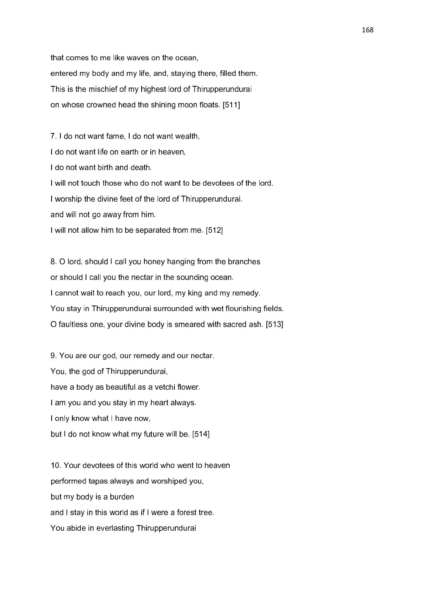that comes to me like waves on the ocean, entered my body and my life, and, staying there, filled them. This is the mischief of my highest lord of Thirupperundurai on whose crowned head the shining moon floats. [511]

7. I do not want fame, I do not want wealth, I do not want life on earth or in heaven, I do not want birth and death. I will not touch those who do not want to be devotees of the lord. I worship the divine feet of the lord of Thirupperundurai. and will not go away from him. I will not allow him to be separated from me. [512]

8. O lord, should I call you honey hanging from the branches or should I call you the nectar in the sounding ocean. I cannot wait to reach you, our lord, my king and my remedy. You stay in Thirupperundurai surrounded with wet flourishing fields. O faultless one, your divine body is smeared with sacred ash. [513]

9. You are our god, our remedy and our nectar. You, the god of Thirupperundurai, have a body as beautiful as a vetchi flower. I am you and you stay in my heart always. I only know what I have now, but I do not know what my future will be. [514]

10. Your devotees of this world who went to heaven performed tapas always and worshiped you, but my body is a burden and I stay in this world as if I were a forest tree. You abide in everlasting Thirupperundurai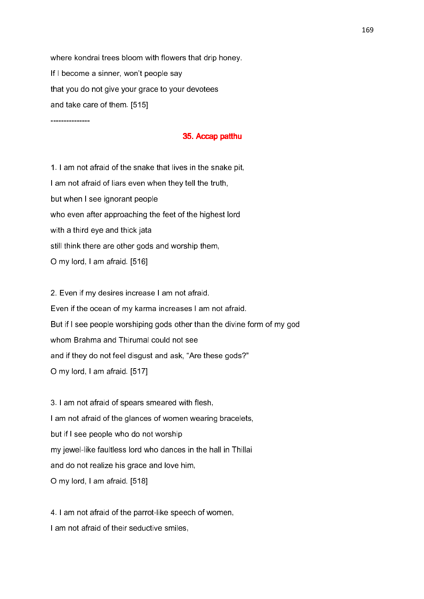where kondrai trees bloom with flowers that drip honey. If I become a sinner, won't people say that you do not give your grace to your devotees and take care of them. [515]

---------------

### 35. Accap patthu

1. I am not afraid of the snake that lives in the snake pit, I am not afraid of liars even when they tell the truth, but when I see ignorant people who even after approaching the feet of the highest lord with a third eye and thick jata still think there are other gods and worship them, O my lord, I am afraid. [516]

2. Even if my desires increase I am not afraid. Even if the ocean of my karma increases I am not afraid. But if I see people worshiping gods other than the divine form of my god whom Brahma and Thirumal could not see and if they do not feel disgust and ask, "Are these gods?" O my lord, I am afraid. [517]

3. I am not afraid of spears smeared with flesh, I am not afraid of the glances of women wearing bracelets, but if I see people who do not worship my jewel-like faultless lord who dances in the hall in Thillai and do not realize his grace and love him, O my lord, I am afraid. [518]

4. I am not afraid of the parrot-like speech of women, I am not afraid of their seductive smiles,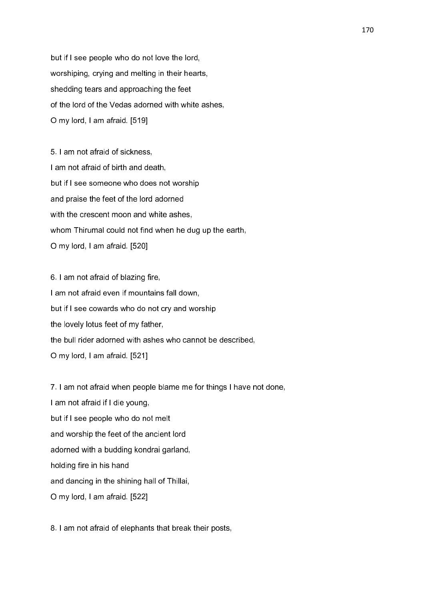but if I see people who do not love the lord, worshiping, crying and melting in their hearts, shedding tears and approaching the feet of the lord of the Vedas adorned with white ashes, O my lord, I am afraid. [519]

5. I am not afraid of sickness, I am not afraid of birth and death, but if I see someone who does not worship and praise the feet of the lord adorned with the crescent moon and white ashes, whom Thirumal could not find when he dug up the earth. O my lord, I am afraid. [520]

6. I am not afraid of blazing fire, I am not afraid even if mountains fall down, but if I see cowards who do not cry and worship the lovely lotus feet of my father, the bull rider adorned with ashes who cannot be described, O my lord, I am afraid. [521]

7. I am not afraid when people blame me for things I have not done, I am not afraid if I die young, but if I see people who do not melt and worship the feet of the ancient lord adorned with a budding kondrai garland, holding fire in his hand and dancing in the shining hall of Thillai, O my lord, I am afraid. [522]

8. I am not afraid of elephants that break their posts,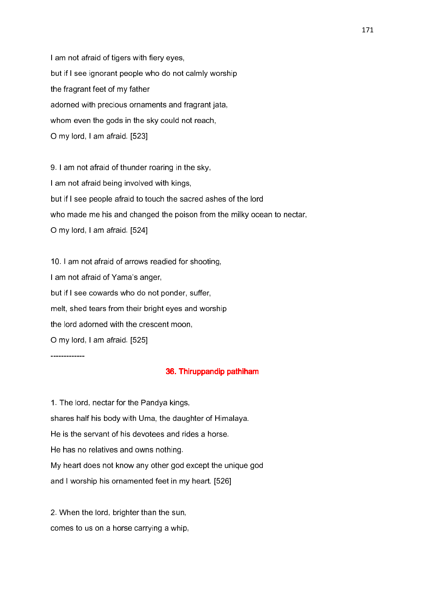I am not afraid of tigers with fiery eyes, but if I see ignorant people who do not calmly worship the fragrant feet of my father adorned with precious ornaments and fragrant jata, whom even the gods in the sky could not reach, O my lord, I am afraid. [523]

9. I am not afraid of thunder roaring in the sky, I am not afraid being involved with kings, but if I see people afraid to touch the sacred ashes of the lord who made me his and changed the poison from the milky ocean to nectar, O my lord, I am afraid. [524]

10. I am not afraid of arrows readied for shooting, I am not afraid of Yama's anger, but if I see cowards who do not ponder, suffer, melt, shed tears from their bright eyes and worship the lord adorned with the crescent moon, O my lord, I am afraid. [525]

-------------

### 36. Thiruppandip pathiham

1. The lord, nectar for the Pandya kings, shares half his body with Uma, the daughter of Himalaya. He is the servant of his devotees and rides a horse. He has no relatives and owns nothing. My heart does not know any other god except the unique god and I worship his ornamented feet in my heart. [526]

2. When the lord, brighter than the sun, comes to us on a horse carrying a whip,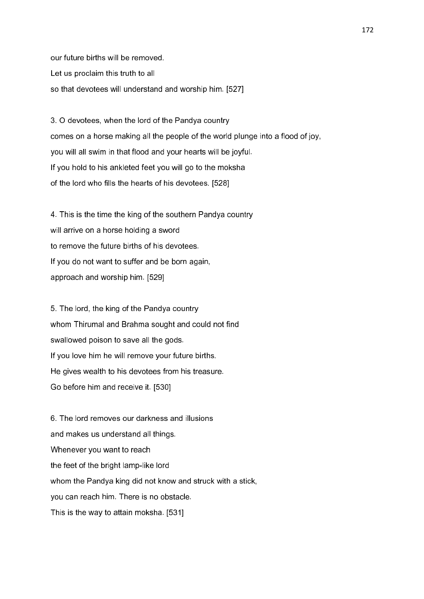our future births will be removed. Let us proclaim this truth to all so that devotees will understand and worship him. [527]

3. O devotees, when the lord of the Pandya country comes on a horse making all the people of the world plunge into a flood of joy, you will all swim in that flood and your hearts will be joyful. If you hold to his ankleted feet you will go to the moksha of the lord who fills the hearts of his devotees. [528]

4. This is the time the king of the southern Pandya country will arrive on a horse holding a sword to remove the future births of his devotees. If you do not want to suffer and be born again, approach and worship him. [529]

5. The lord, the king of the Pandya country whom Thirumal and Brahma sought and could not find swallowed poison to save all the gods. If you love him he will remove your future births. He gives wealth to his devotees from his treasure. Go before him and receive it. [530]

6. The lord removes our darkness and illusions and makes us understand all things. Whenever you want to reach the feet of the bright lamp-like lord whom the Pandya king did not know and struck with a stick, you can reach him. There is no obstacle. This is the way to attain moksha. [531]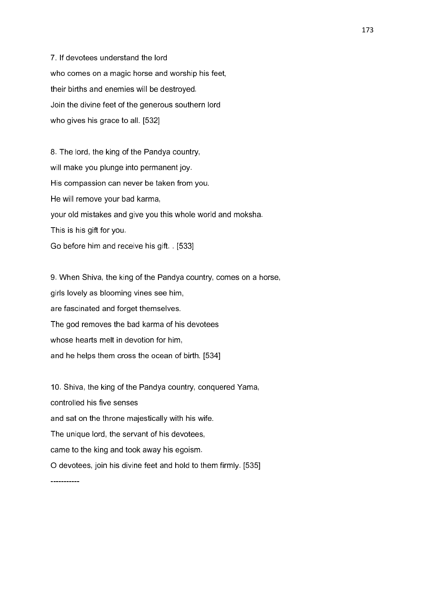7. If devotees understand the lord who comes on a magic horse and worship his feet, their births and enemies will be destroyed. Join the divine feet of the generous southern lord who gives his grace to all. [532]

8. The lord, the king of the Pandya country, will make you plunge into permanent joy. His compassion can never be taken from you. He will remove your bad karma, your old mistakes and give you this whole world and moksha. This is his gift for you.

Go before him and receive his gift. . [533]

9. When Shiva, the king of the Pandya country, comes on a horse, girls lovely as blooming vines see him, are fascinated and forget themselves. The god removes the bad karma of his devotees whose hearts melt in devotion for him, and he helps them cross the ocean of birth. [534]

10. Shiva, the king of the Pandya country, conquered Yama, controlled his five senses and sat on the throne majestically with his wife. The unique lord, the servant of his devotees, came to the king and took away his egoism. O devotees, join his divine feet and hold to them firmly. [535] -----------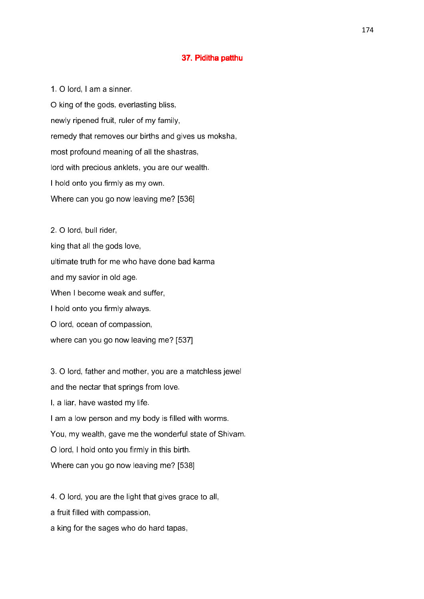## 37. Piditha patthu

1. O lord, I am a sinner. O king of the gods, everlasting bliss, newly ripened fruit, ruler of my family, remedy that removes our births and gives us moksha, most profound meaning of all the shastras, lord with precious anklets, you are our wealth. I hold onto you firmly as my own. Where can you go now leaving me? [536]

2. O lord, bull rider, king that all the gods love, ultimate truth for me who have done bad karma and my savior in old age. When I become weak and suffer, I hold onto you firmly always. O lord, ocean of compassion, where can you go now leaving me? [537]

3. O lord, father and mother, you are a matchless jewel and the nectar that springs from love. I, a liar, have wasted my life. I am a low person and my body is filled with worms. You, my wealth, gave me the wonderful state of Shivam. O lord, I hold onto you firmly in this birth. Where can you go now leaving me? [538]

4. O lord, you are the light that gives grace to all,

a fruit filled with compassion,

a king for the sages who do hard tapas,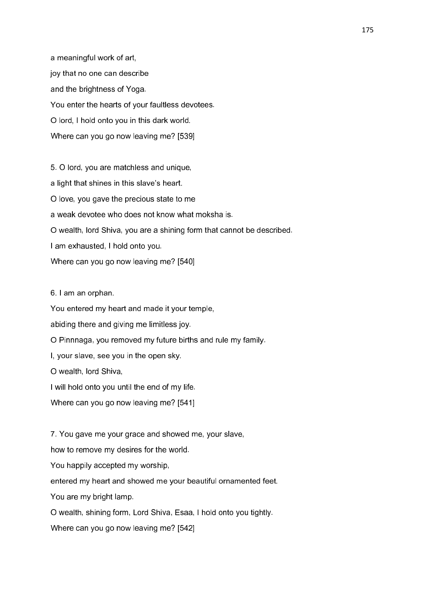a meaningful work of art, joy that no one can describe and the brightness of Yoga. You enter the hearts of your faultless devotees. O lord, I hold onto you in this dark world. Where can you go now leaving me? [539]

5. O lord, you are matchless and unique, a light that shines in this slave's heart. O love, you gave the precious state to me a weak devotee who does not know what moksha is. O wealth, lord Shiva, you are a shining form that cannot be described. I am exhausted, I hold onto you. Where can you go now leaving me? [540]

6. I am an orphan.

You entered my heart and made it your temple,

abiding there and giving me limitless joy.

O Pinnnaga, you removed my future births and rule my family.

I, your slave, see you in the open sky.

O wealth, lord Shiva,

I will hold onto you until the end of my life.

Where can you go now leaving me? [541]

7. You gave me your grace and showed me, your slave,

how to remove my desires for the world.

You happily accepted my worship,

entered my heart and showed me your beautiful ornamented feet.

You are my bright lamp.

O wealth, shining form, Lord Shiva, Esaa, I hold onto you tightly.

Where can you go now leaving me? [542]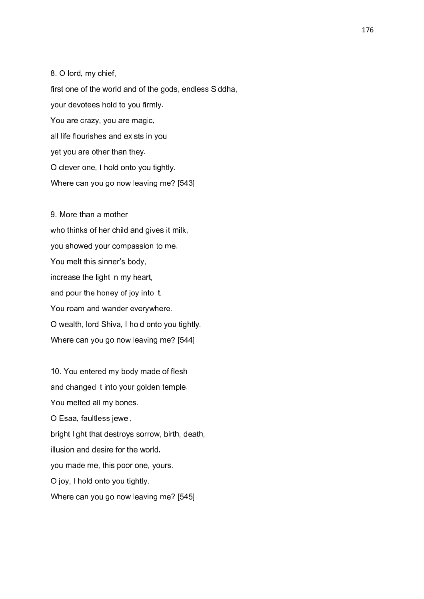8. O lord, my chief, first one of the world and of the gods, endless Siddha, your devotees hold to you firmly. You are crazy, you are magic, all life flourishes and exists in you yet you are other than they. O clever one, I hold onto you tightly.

increase the light in my heart, and pour the honey of joy into it. You roam and wander everywhere. O wealth, lord Shiva, I hold onto you tightly. Where can you go now leaving me? [544]

10. You entered my body made of flesh and changed it into your golden temple. You melted all my bones. O Esaa, faultless jewel, bright light that destroys sorrow, birth, death, illusion and desire for the world, you made me, this poor one, yours. O joy, I hold onto you tightly. Where can you go now leaving me? [545]

Where can you go now leaving me? [543] 9. More than a mother who thinks of her child and gives it milk, you showed your compassion to me. You melt this sinner's body,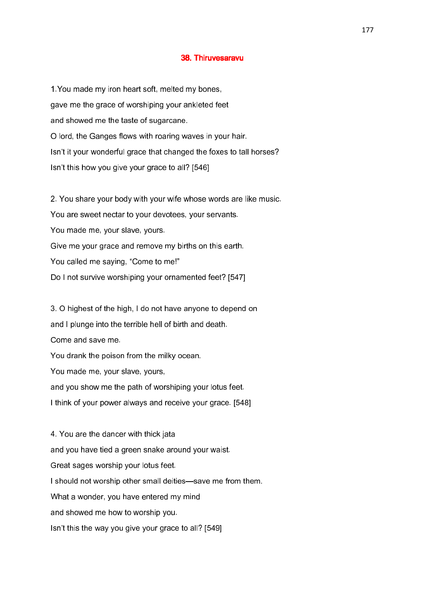#### 38. Thiruvesaravu

1.You made my iron heart soft, melted my bones, gave me the grace of worshiping your ankleted feet and showed me the taste of sugarcane. O lord, the Ganges flows with roaring waves in your hair. Isn't it your wonderful grace that changed the foxes to tall horses? Isn't this how you give your grace to all? [546]

2. You share your body with your wife whose words are like music. You are sweet nectar to your devotees, your servants. You made me, your slave, yours. Give me your grace and remove my births on this earth. You called me saying, "Come to me!" Do I not survive worshiping your ornamented feet? [547]

3. O highest of the high, I do not have anyone to depend on and I plunge into the terrible hell of birth and death. Come and save me. You drank the poison from the milky ocean. You made me, your slave, yours, and you show me the path of worshiping your lotus feet. I think of your power always and receive your grace. [548]

4. You are the dancer with thick jata and you have tied a green snake around your waist. Great sages worship your lotus feet. I should not worship other small deities—save me from them. What a wonder, you have entered my mind and showed me how to worship you. Isn't this the way you give your grace to all? [549]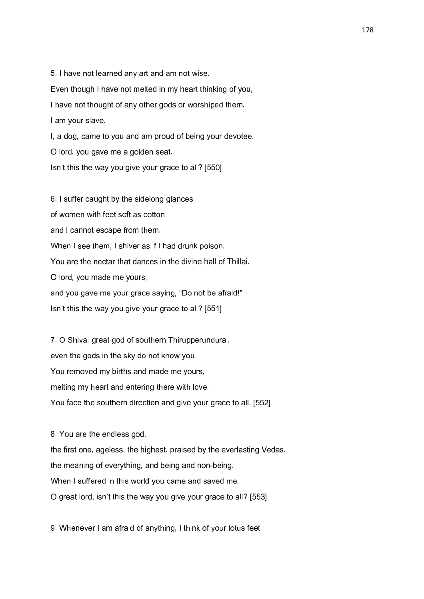5. I have not learned any art and am not wise. Even though I have not melted in my heart thinking of you, I have not thought of any other gods or worshiped them. I am your slave. I, a dog, came to you and am proud of being your devotee. O lord, you gave me a golden seat.

Isn't this the way you give your grace to all? [550]

6. I suffer caught by the sidelong glances of women with feet soft as cotton and I cannot escape from them. When I see them, I shiver as if I had drunk poison. You are the nectar that dances in the divine hall of Thillai. O lord, you made me yours, and you gave me your grace saying, "Do not be afraid!" Isn't this the way you give your grace to all? [551]

7. O Shiva, great god of southern Thirupperundurai, even the gods in the sky do not know you. You removed my births and made me yours, melting my heart and entering there with love. You face the southern direction and give your grace to all. [552]

8. You are the endless god, the first one, ageless, the highest, praised by the everlasting Vedas, the meaning of everything, and being and non-being. When I suffered in this world you came and saved me. O great lord, isn't this the way you give your grace to all? [553]

9. Whenever I am afraid of anything, I think of your lotus feet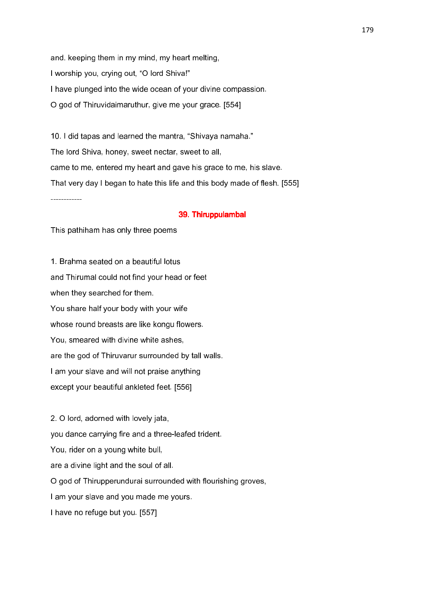and. keeping them in my mind, my heart melting, I worship you, crying out, "O lord Shiva!" I have plunged into the wide ocean of your divine compassion. O god of Thiruvidaimaruthur, give me your grace. [554]

10. I did tapas and learned the mantra, "Shivaya namaha." The lord Shiva, honey, sweet nectar, sweet to all, came to me, entered my heart and gave his grace to me, his slave. That very day I began to hate this life and this body made of flesh. [555]

------------

#### 39. Thiruppulambal 39. Thiruppulambal

This pathiham has only three poems

1. Brahma seated on a beautiful lotus and Thirumal could not find your head or feet when they searched for them. You share half your body with your wife whose round breasts are like kongu flowers. You, smeared with divine white ashes, are the god of Thiruvarur surrounded by tall walls. I am your slave and will not praise anything except your beautiful ankleted feet. [556]

2. O lord, adorned with lovely jata, you dance carrying fire and a three-leafed trident. You, rider on a young white bull, are a divine light and the soul of all. O god of Thirupperundurai surrounded with flourishing groves, I am your slave and you made me yours. I have no refuge but you. [557]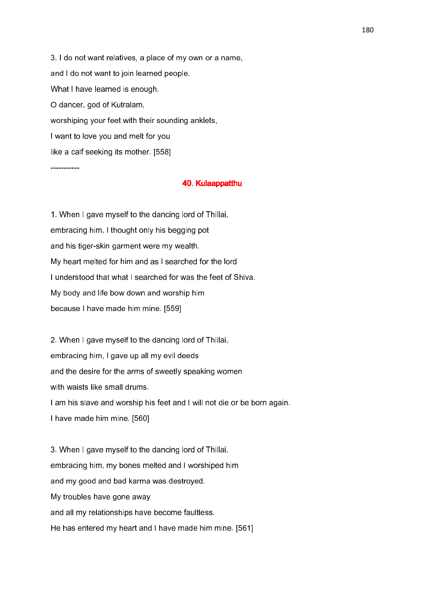3. I do not want relatives, a place of my own or a name, and I do not want to join learned people. What I have learned is enough. O dancer, god of Kutralam, worshiping your feet with their sounding anklets, I want to love you and melt for you like a calf seeking its mother. [558]

-----------

### 40. Kulaappatthu

1. When I gave myself to the dancing lord of Thillai, embracing him, I thought only his begging pot and his tiger-skin garment were my wealth. My heart melted for him and as I searched for the lord I understood that what I searched for was the feet of Shiva. My body and life bow down and worship him because I have made him mine. [559]

2. When I gave myself to the dancing lord of Thillai, embracing him, I gave up all my evil deeds and the desire for the arms of sweetly speaking women with waists like small drums. I am his slave and worship his feet and I will not die or be born again. I have made him mine. [560]

3. When I gave myself to the dancing lord of Thillai, embracing him, my bones melted and I worshiped him and my good and bad karma was destroyed. My troubles have gone away and all my relationships have become faultless. He has entered my heart and I have made him mine. [561]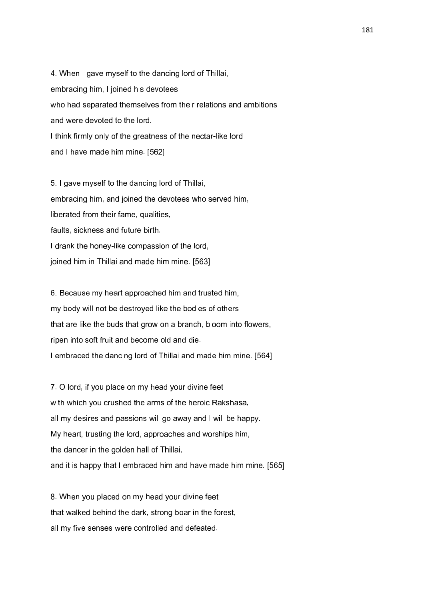4. When I gave myself to the dancing lord of Thillai, embracing him, I joined his devotees who had separated themselves from their relations and ambitions and were devoted to the lord. I think firmly only of the greatness of the nectar-like lord and I have made him mine. [562]

5. I gave myself to the dancing lord of Thillai, embracing him, and joined the devotees who served him, liberated from their fame, qualities, faults, sickness and future birth. I drank the honey-like compassion of the lord, joined him in Thillai and made him mine. [563]

6. Because my heart approached him and trusted him, my body will not be destroyed like the bodies of others that are like the buds that grow on a branch, bloom into flowers, ripen into soft fruit and become old and die. I embraced the dancing lord of Thillai and made him mine. [564]

7. O lord, if you place on my head your divine feet with which you crushed the arms of the heroic Rakshasa, all my desires and passions will go away and I will be happy. My heart, trusting the lord, approaches and worships him, the dancer in the golden hall of Thillai, and it is happy that I embraced him and have made him mine. [565]

8. When you placed on my head your divine feet that walked behind the dark, strong boar in the forest, all my five senses were controlled and defeated.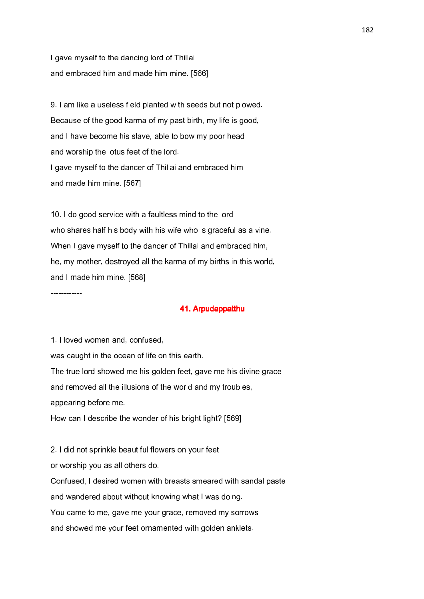I gave myself to the dancing lord of Thillai and embraced him and made him mine. [566]

9. I am like a useless field planted with seeds but not plowed. Because of the good karma of my past birth, my life is good, and I have become his slave, able to bow my poor head and worship the lotus feet of the lord. I gave myself to the dancer of Thillai and embraced him and made him mine. [567]

10. I do good service with a faultless mind to the lord who shares half his body with his wife who is graceful as a vine. When I gave myself to the dancer of Thillai and embraced him, he, my mother, destroyed all the karma of my births in this world, and I made him mine. [568]

### 41. Arpudappatthu 41. Arpudappatthu

1. I loved women and, confused,

was caught in the ocean of life on this earth.

The true lord showed me his golden feet, gave me his divine grace

and removed all the illusions of the world and my troubles,

appearing before me.

------------

How can I describe the wonder of his bright light? [569]

2. I did not sprinkle beautiful flowers on your feet

or worship you as all others do.

Confused, I desired women with breasts smeared with sandal paste and wandered about without knowing what I was doing. You came to me, gave me your grace, removed my sorrows

and showed me your feet ornamented with golden anklets.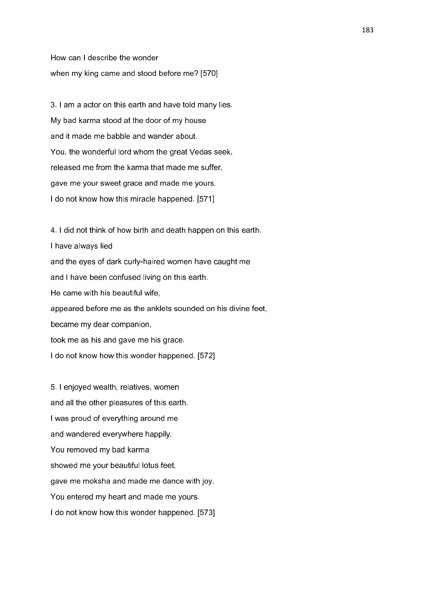How can I describe the wonder when my king came and stood before me? [570]

3. I am a actor on this earth and have told many lies. My bad karma stood at the door of my house and it made me babble and wander about. You, the wonderful lord whom the great Vedas seek, released me from the karma that made me suffer, gave me your sweet grace and made me yours. I do not know how this miracle happened. [571]

4. I did not think of how birth and death happen on this earth. I have always lied and the eyes of dark curly-haired women have caught me and I have been confused living on this earth. He came with his beautiful wife, appeared before me as the anklets sounded on his divine feet, became my dear companion, took me as his and gave me his grace. I do not know how this wonder happened. [572]

5. I enjoyed wealth, relatives, women and all the other pleasures of this earth. I was proud of everything around me and wandered everywhere happily. You removed my bad karma showed me your beautiful lotus feet, gave me moksha and made me dance with joy. You entered my heart and made me yours. I do not know how this wonder happened. [573]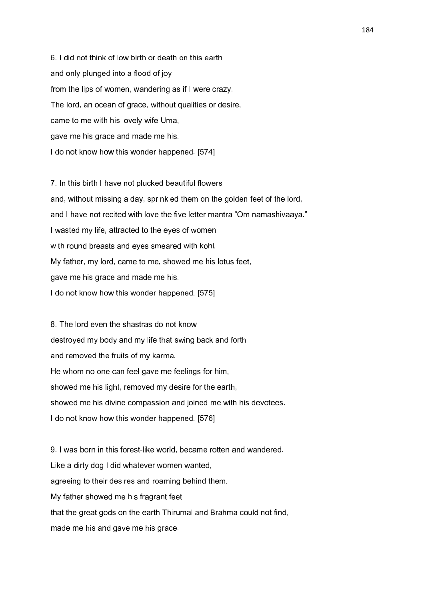6. I did not think of low birth or death on this earth and only plunged into a flood of joy from the lips of women, wandering as if I were crazy. The lord, an ocean of grace, without qualities or desire, came to me with his lovely wife Uma, gave me his grace and made me his. I do not know how this wonder happened. [574]

7. In this birth I have not plucked beautiful flowers and, without missing a day, sprinkled them on the golden feet of the lord, and I have not recited with love the five letter mantra "Om namashivaaya." I wasted my life, attracted to the eyes of women with round breasts and eyes smeared with kohl. My father, my lord, came to me, showed me his lotus feet, gave me his grace and made me his. I do not know how this wonder happened. [575]

8. The lord even the shastras do not know destroyed my body and my life that swing back and forth and removed the fruits of my karma. He whom no one can feel gave me feelings for him, showed me his light, removed my desire for the earth, showed me his divine compassion and joined me with his devotees. I do not know how this wonder happened. [576]

9. I was born in this forest-like world, became rotten and wandered. Like a dirty dog I did whatever women wanted, agreeing to their desires and roaming behind them. My father showed me his fragrant feet that the great gods on the earth Thirumal and Brahma could not find, made me his and gave me his grace.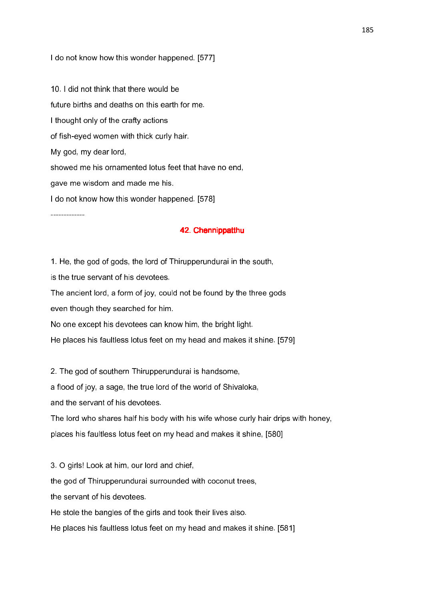I do not know how this wonder happened. [577]

10. I did not think that there would be future births and deaths on this earth for me. I thought only of the crafty actions of fish-eyed women with thick curly hair. My god, my dear lord, showed me his ornamented lotus feet that have no end, gave me wisdom and made me his. I do not know how this wonder happened. [578]

-------------

### 42. Chennippatthu

1. He, the god of gods, the lord of Thirupperundurai in the south,

is the true servant of his devotees.

The ancient lord, a form of joy, could not be found by the three gods even though they searched for him.

No one except his devotees can know him, the bright light.

He places his faultless lotus feet on my head and makes it shine. [579]

2. The god of southern Thirupperundurai is handsome,

a flood of joy, a sage, the true lord of the world of Shivaloka,

and the servant of his devotees.

The lord who shares half his body with his wife whose curly hair drips with honey, places his faultless lotus feet on my head and makes it shine, [580]

3. O girls! Look at him, our lord and chief,

the god of Thirupperundurai surrounded with coconut trees,

the servant of his devotees.

He stole the bangles of the girls and took their lives also.

He places his faultless lotus feet on my head and makes it shine. [581]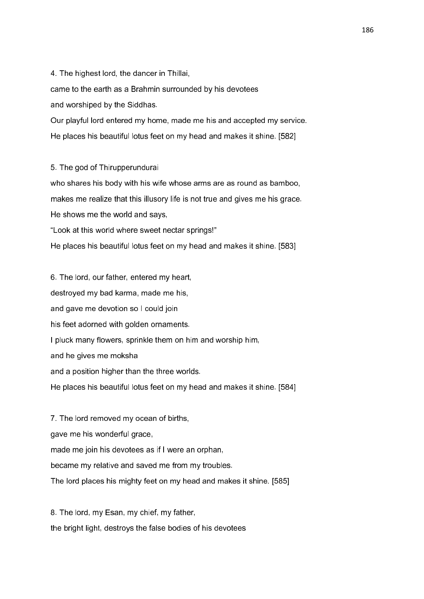4. The highest lord, the dancer in Thillai,

came to the earth as a Brahmin surrounded by his devotees and worshiped by the Siddhas.

Our playful lord entered my home, made me his and accepted my service. He places his beautiful lotus feet on my head and makes it shine. [582]

5. The god of Thirupperundurai

who shares his body with his wife whose arms are as round as bamboo, makes me realize that this illusory life is not true and gives me his grace. He shows me the world and says, "Look at this world where sweet nectar springs!" He places his beautiful lotus feet on my head and makes it shine. [583]

6. The lord, our father, entered my heart, destroyed my bad karma, made me his, and gave me devotion so I could join his feet adorned with golden ornaments. I pluck many flowers, sprinkle them on him and worship him, and he gives me moksha and a position higher than the three worlds. He places his beautiful lotus feet on my head and makes it shine. [584]

7. The lord removed my ocean of births, gave me his wonderful grace, made me join his devotees as if I were an orphan, became my relative and saved me from my troubles. The lord places his mighty feet on my head and makes it shine. [585]

8. The lord, my Esan, my chief, my father, the bright light, destroys the false bodies of his devotees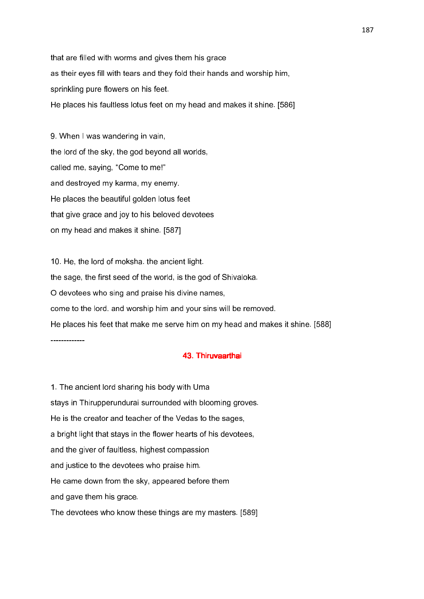that are filled with worms and gives them his grace as their eyes fill with tears and they fold their hands and worship him, sprinkling pure flowers on his feet. He places his faultless lotus feet on my head and makes it shine. [586]

9. When I was wandering in vain, the lord of the sky, the god beyond all worlds, called me, saying, "Come to me!" and destroyed my karma, my enemy. He places the beautiful golden lotus feet that give grace and joy to his beloved devotees on my head and makes it shine. [587]

10. He, the lord of moksha. the ancient light. the sage, the first seed of the world, is the god of Shivaloka. O devotees who sing and praise his divine names, come to the lord. and worship him and your sins will be removed. He places his feet that make me serve him on my head and makes it shine. [588] -------------

### 43. Thiruvaarthai 43. Thiruvaarthai

1. The ancient lord sharing his body with Uma stays in Thirupperundurai surrounded with blooming groves. He is the creator and teacher of the Vedas to the sages, a bright light that stays in the flower hearts of his devotees, and the giver of faultless, highest compassion and justice to the devotees who praise him. He came down from the sky, appeared before them and gave them his grace. The devotees who know these things are my masters. [589]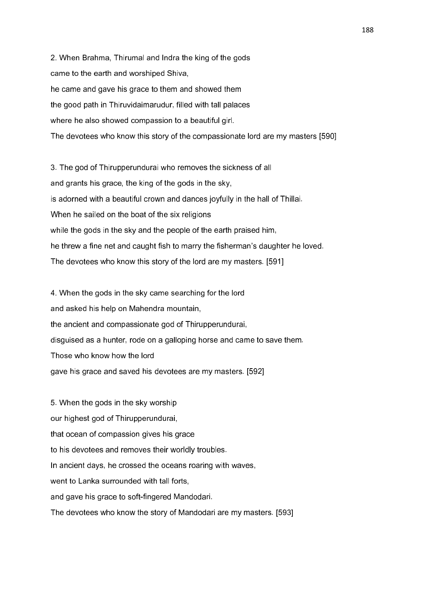2. When Brahma, Thirumal and Indra the king of the gods came to the earth and worshiped Shiva, he came and gave his grace to them and showed them the good path in Thiruvidaimarudur, filled with tall palaces where he also showed compassion to a beautiful girl. The devotees who know this story of the compassionate lord are my masters [590]

3. The god of Thirupperundurai who removes the sickness of all and grants his grace, the king of the gods in the sky, is adorned with a beautiful crown and dances joyfully in the hall of Thillai. When he sailed on the boat of the six religions while the gods in the sky and the people of the earth praised him, he threw a fine net and caught fish to marry the fisherman's daughter he loved. The devotees who know this story of the lord are my masters. [591]

4. When the gods in the sky came searching for the lord and asked his help on Mahendra mountain, the ancient and compassionate god of Thirupperundurai, disguised as a hunter, rode on a galloping horse and came to save them. Those who know how the lord gave his grace and saved his devotees are my masters. [592]

5. When the gods in the sky worship our highest god of Thirupperundurai, that ocean of compassion gives his grace to his devotees and removes their worldly troubles. In ancient days, he crossed the oceans roaring with waves, went to Lanka surrounded with tall forts. and gave his grace to soft-fingered Mandodari. The devotees who know the story of Mandodari are my masters. [593]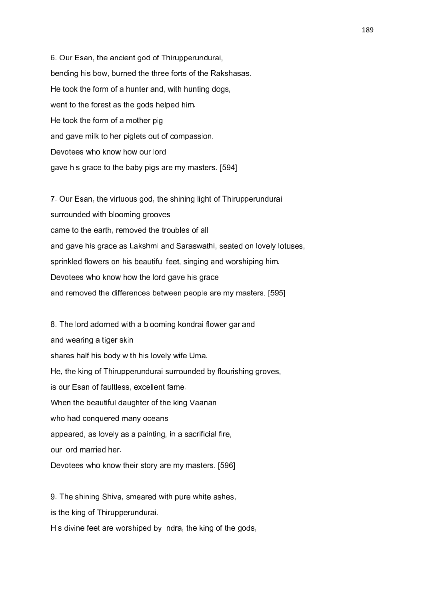6. Our Esan, the ancient god of Thirupperundurai, bending his bow, burned the three forts of the Rakshasas. He took the form of a hunter and, with hunting dogs, went to the forest as the gods helped him. He took the form of a mother pig and gave milk to her piglets out of compassion. Devotees who know how our lord gave his grace to the baby pigs are my masters. [594]

7. Our Esan, the virtuous god, the shining light of Thirupperundurai surrounded with blooming grooves came to the earth, removed the troubles of all and gave his grace as Lakshmi and Saraswathi, seated on lovely lotuses, sprinkled flowers on his beautiful feet, singing and worshiping him. Devotees who know how the lord gave his grace and removed the differences between people are my masters. [595]

8. The lord adorned with a blooming kondrai flower garland and wearing a tiger skin shares half his body with his lovely wife Uma. He, the king of Thirupperundurai surrounded by flourishing groves, is our Esan of faultless, excellent fame. When the beautiful daughter of the king Vaanan who had conquered many oceans appeared, as lovely as a painting, in a sacrificial fire, our lord married her. Devotees who know their story are my masters. [596]

9. The shining Shiva, smeared with pure white ashes,

is the king of Thirupperundurai.

His divine feet are worshiped by Indra, the king of the gods,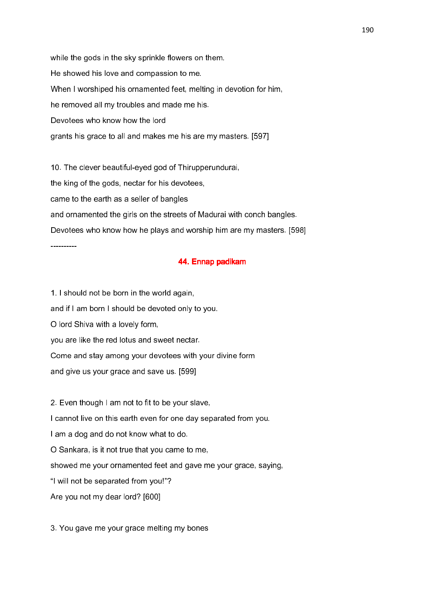while the gods in the sky sprinkle flowers on them. He showed his love and compassion to me. When I worshiped his ornamented feet, melting in devotion for him, he removed all my troubles and made me his. Devotees who know how the lord grants his grace to all and makes me his are my masters. [597]

10. The clever beautiful-eyed god of Thirupperundurai, the king of the gods, nectar for his devotees, came to the earth as a seller of bangles and ornamented the girls on the streets of Madurai with conch bangles. Devotees who know how he plays and worship him are my masters. [598] ----------

### 44. Ennap padikam

1. I should not be born in the world again, and if I am born I should be devoted only to you. O lord Shiva with a lovely form, you are like the red lotus and sweet nectar. Come and stay among your devotees with your divine form and give us your grace and save us. [599]

2. Even though I am not to fit to be your slave, I cannot live on this earth even for one day separated from you. I am a dog and do not know what to do. O Sankara, is it not true that you came to me, showed me your ornamented feet and gave me your grace, saying, "I will not be separated from you!"? Are you not my dear lord? [600]

3. You gave me your grace melting my bones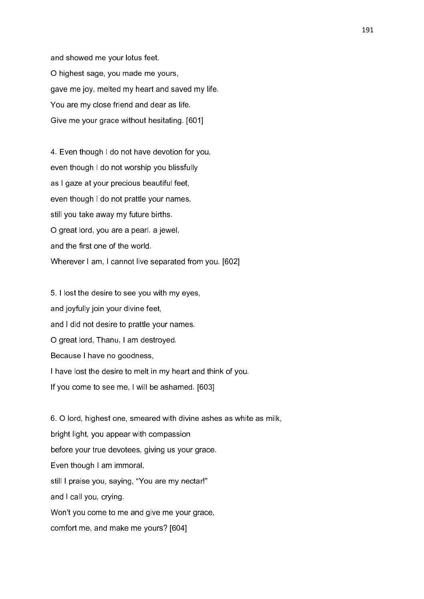and showed me your lotus feet. O highest sage, you made me yours, gave me joy, melted my heart and saved my life. You are my close friend and dear as life. Give me your grace without hesitating. [601]

4. Even though I do not have devotion for you, even though I do not worship you blissfully as I gaze at your precious beautiful feet, even though I do not prattle your names, still you take away my future births. O great lord, you are a pearl. a jewel, and the first one of the world. Wherever I am, I cannot live separated from you. [602]

5. I lost the desire to see you with my eyes, and joyfully join your divine feet, and I did not desire to prattle your names. O great lord, Thanu, I am destroyed. Because I have no goodness, I have lost the desire to melt in my heart and think of you. If you come to see me, I will be ashamed. [603]

6. O lord, highest one, smeared with divine ashes as white as milk, bright light, you appear with compassion before your true devotees, giving us your grace. Even though I am immoral, still I praise you, saying, "You are my nectar!" and I call you, crying. Won't you come to me and give me your grace, comfort me, and make me yours? [604]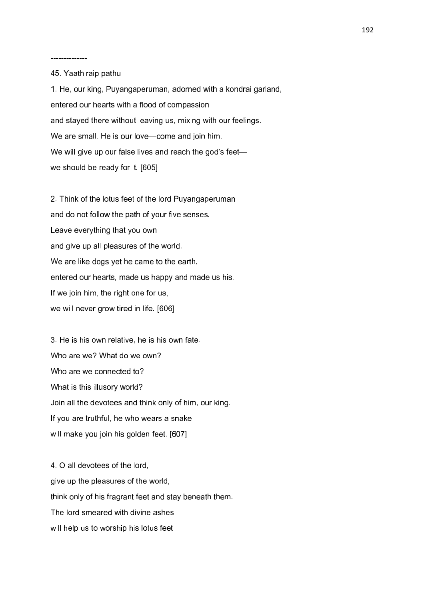--------------

45. Yaathiraip pathu

1. He, our king, Puyangaperuman, adorned with a kondrai garland, entered our hearts with a flood of compassion and stayed there without leaving us, mixing with our feelings. We are small. He is our love—come and join him. We will give up our false lives and reach the god's feet we should be ready for it. [605]

2. Think of the lotus feet of the lord Puyangaperuman and do not follow the path of your five senses. Leave everything that you own and give up all pleasures of the world. We are like dogs yet he came to the earth, entered our hearts, made us happy and made us his. If we join him, the right one for us, we will never grow tired in life. [606]

3. He is his own relative, he is his own fate. Who are we? What do we own? Who are we connected to? What is this illusory world? Join all the devotees and think only of him, our king. If you are truthful, he who wears a snake will make you join his golden feet. [607]

4. O all devotees of the lord, give up the pleasures of the world, think only of his fragrant feet and stay beneath them. The lord smeared with divine ashes will help us to worship his lotus feet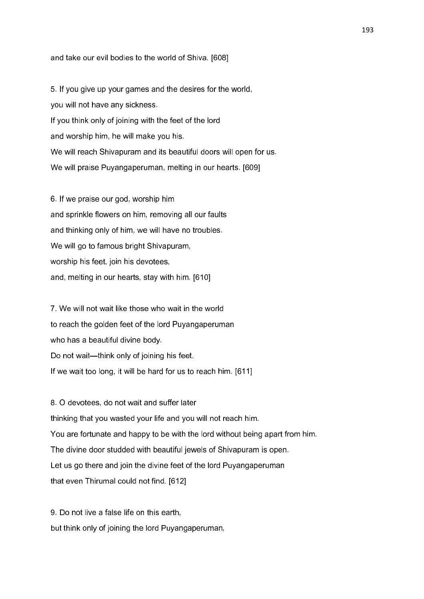#### and take our evil bodies to the world of Shiva. [608]

5. If you give up your games and the desires for the world, you will not have any sickness. If you think only of joining with the feet of the lord and worship him, he will make you his. We will reach Shivapuram and its beautiful doors will open for us. We will praise Puyangaperuman, melting in our hearts. [609]

6. If we praise our god, worship him and sprinkle flowers on him, removing all our faults and thinking only of him, we will have no troubles. We will go to famous bright Shivapuram, worship his feet, join his devotees, and, melting in our hearts, stay with him. [610]

7. We will not wait like those who wait in the world to reach the golden feet of the lord Puyangaperuman who has a beautiful divine body. Do not wait—think only of joining his feet. If we wait too long, it will be hard for us to reach him. [611]

8. O devotees, do not wait and suffer later thinking that you wasted your life and you will not reach him. You are fortunate and happy to be with the lord without being apart from him. The divine door studded with beautiful jewels of Shivapuram is open. Let us go there and join the divine feet of the lord Puyangaperuman that even Thirumal could not find. [612]

9. Do not live a false life on this earth, but think only of joining the lord Puyangaperuman,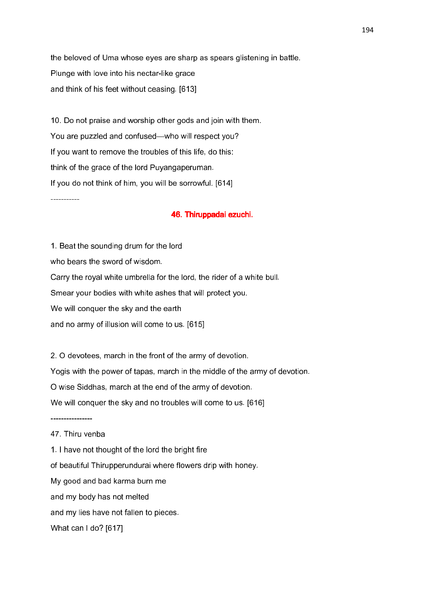the beloved of Uma whose eyes are sharp as spears glistening in battle. Plunge with love into his nectar-like grace and think of his feet without ceasing. [613]

10. Do not praise and worship other gods and join with them. You are puzzled and confused—who will respect you? If you want to remove the troubles of this life, do this: think of the grace of the lord Puyangaperuman. If you do not think of him, you will be sorrowful. [614]

-----------

### 46. Thiruppadai ezuchi.

1. Beat the sounding drum for the lord who bears the sword of wisdom. Carry the royal white umbrella for the lord, the rider of a white bull. Smear your bodies with white ashes that will protect you. We will conquer the sky and the earth and no army of illusion will come to us. [615]

2. O devotees, march in the front of the army of devotion. Yogis with the power of tapas, march in the middle of the army of devotion. O wise Siddhas, march at the end of the army of devotion. We will conquer the sky and no troubles will come to us. [616]

----------------

## 47. Thiru venba

- 1. I have not thought of the lord the bright fire
- of beautiful Thirupperundurai where flowers drip with honey.
- My good and bad karma burn me
- and my body has not melted
- and my lies have not fallen to pieces.
- What can I do? [617]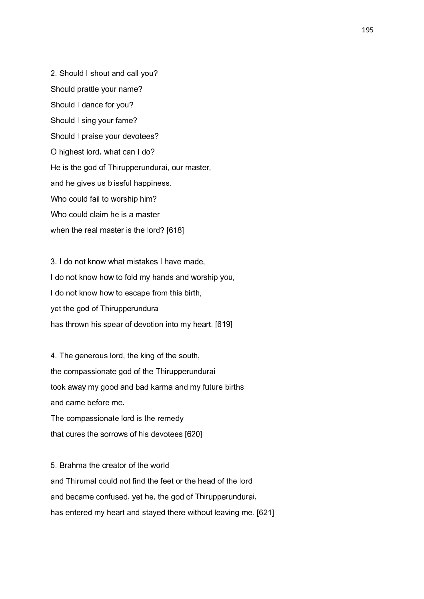2. Should I shout and call you? Should prattle your name? Should I dance for you? Should I sing your fame? Should I praise your devotees? O highest lord, what can I do? He is the god of Thirupperundurai, our master, and he gives us blissful happiness. Who could fail to worship him? Who could claim he is a master when the real master is the lord? [618]

3. I do not know what mistakes I have made, I do not know how to fold my hands and worship you, I do not know how to escape from this birth, yet the god of Thirupperundurai has thrown his spear of devotion into my heart. [619]

4. The generous lord, the king of the south, the compassionate god of the Thirupperundurai took away my good and bad karma and my future births and came before me. The compassionate lord is the remedy that cures the sorrows of his devotees [620]

5. Brahma the creator of the world and Thirumal could not find the feet or the head of the lord and became confused, yet he, the god of Thirupperundurai, has entered my heart and stayed there without leaving me. [621]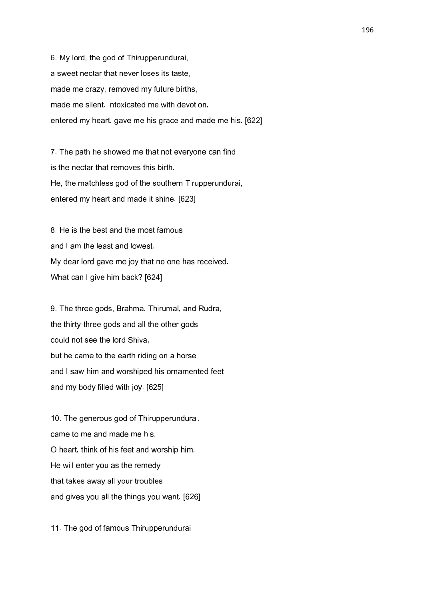6. My lord, the god of Thirupperundurai, a sweet nectar that never loses its taste, made me crazy, removed my future births, made me silent, intoxicated me with devotion, entered my heart, gave me his grace and made me his. [622]

7. The path he showed me that not everyone can find is the nectar that removes this birth. He, the matchless god of the southern Tirupperundurai, entered my heart and made it shine. [623]

8. He is the best and the most famous and I am the least and lowest. My dear lord gave me joy that no one has received. What can I give him back? [624]

9. The three gods, Brahma, Thirumal, and Rudra, the thirty-three gods and all the other gods could not see the lord Shiva, but he came to the earth riding on a horse and I saw him and worshiped his ornamented feet and my body filled with joy. [625]

10. The generous god of Thirupperundurai. came to me and made me his. O heart, think of his feet and worship him. He will enter you as the remedy that takes away all your troubles and gives you all the things you want. [626]

11. The god of famous Thirupperundurai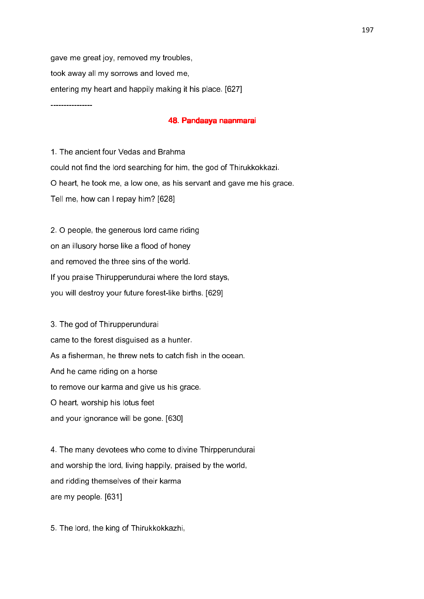gave me great joy, removed my troubles, took away all my sorrows and loved me, entering my heart and happily making it his place. [627] ----------------

### 48. Pandaaya naanmarai

1. The ancient four Vedas and Brahma could not find the lord searching for him, the god of Thirukkokkazi. O heart, he took me, a low one, as his servant and gave me his grace. Tell me, how can I repay him? [628]

2. O people, the generous lord came riding on an illusory horse like a flood of honey and removed the three sins of the world. If you praise Thirupperundurai where the lord stays, you will destroy your future forest-like births. [629]

3. The god of Thirupperundurai came to the forest disguised as a hunter. As a fisherman, he threw nets to catch fish in the ocean. And he came riding on a horse to remove our karma and give us his grace. O heart, worship his lotus feet and your ignorance will be gone. [630]

4. The many devotees who come to divine Thirpperundurai and worship the lord, living happily, praised by the world, and ridding themselves of their karma are my people. [631]

5. The lord, the king of Thirukkokkazhi,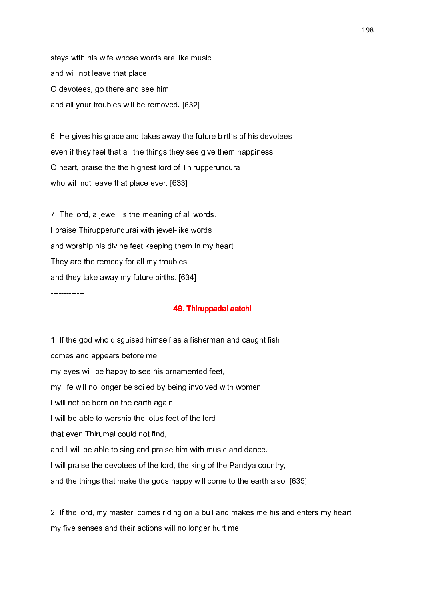stays with his wife whose words are like music and will not leave that place. O devotees, go there and see him and all your troubles will be removed. [632]

6. He gives his grace and takes away the future births of his devotees even if they feel that all the things they see give them happiness. O heart, praise the the highest lord of Thirupperundurai who will not leave that place ever. [633]

7. The lord, a jewel, is the meaning of all words. I praise Thirupperundurai with jewel-like words and worship his divine feet keeping them in my heart. They are the remedy for all my troubles and they take away my future births. [634]

-------------

## 49. Thiruppadai aatchi

1. If the god who disguised himself as a fisherman and caught fish comes and appears before me, my eyes will be happy to see his ornamented feet, my life will no longer be soiled by being involved with women, I will not be born on the earth again, I will be able to worship the lotus feet of the lord that even Thirumal could not find, and I will be able to sing and praise him with music and dance. I will praise the devotees of the lord, the king of the Pandya country, and the things that make the gods happy will come to the earth also. [635]

2. If the lord, my master, comes riding on a bull and makes me his and enters my heart, my five senses and their actions will no longer hurt me,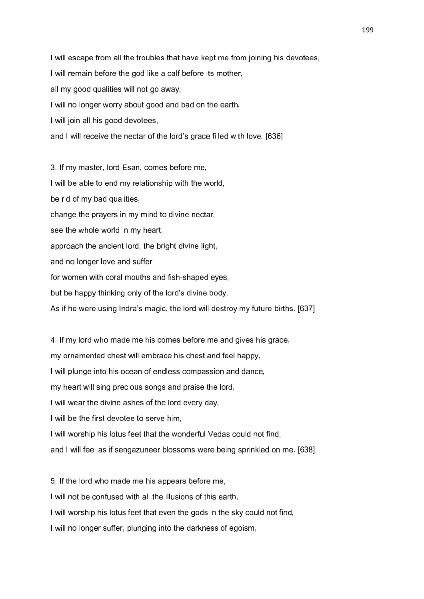I will escape from all the troubles that have kept me from joining his devotees, I will remain before the god like a calf before its mother, all my good qualities will not go away, I will no longer worry about good and bad on the earth, I will join all his good devotees, and I will receive the nectar of the lord's grace filled with love. [636]

3. If my master, lord Esan, comes before me, I will be able to end my relationship with the world, be rid of my bad qualities, change the prayers in my mind to divine nectar, see the whole world in my heart. approach the ancient lord, the bright divine light, and no longer love and suffer for women with coral mouths and fish-shaped eyes, but be happy thinking only of the lord's divine body.

As if he were using Indra's magic, the lord will destroy my future births. [637]

4. If my lord who made me his comes before me and gives his grace,

my ornamented chest will embrace his chest and feel happy,

I will plunge into his ocean of endless compassion and dance,

my heart will sing precious songs and praise the lord,

I will wear the divine ashes of the lord every day,

I will be the first devotee to serve him,

I will worship his lotus feet that the wonderful Vedas could not find,

and I will feel as if sengazuneer blossoms were being sprinkled on me. [638]

5. If the lord who made me his appears before me,

I will not be confused with all the illusions of this earth,

I will worship his lotus feet that even the gods in the sky could not find,

I will no longer suffer, plunging into the darkness of egoism,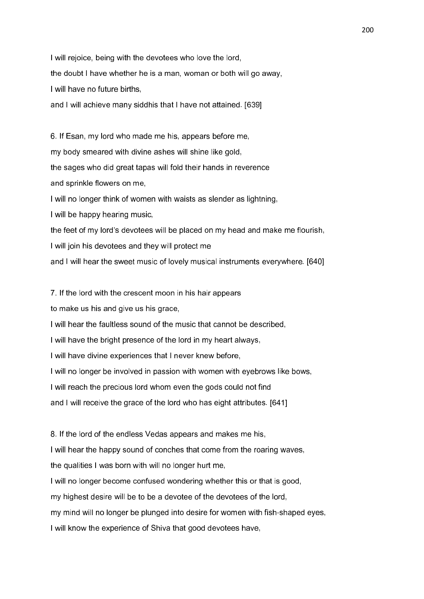I will rejoice, being with the devotees who love the lord, the doubt I have whether he is a man, woman or both will go away, I will have no future births, and I will achieve many siddhis that I have not attained. [639]

6. If Esan, my lord who made me his, appears before me, my body smeared with divine ashes will shine like gold, the sages who did great tapas will fold their hands in reverence and sprinkle flowers on me, I will no longer think of women with waists as slender as lightning,

I will be happy hearing music,

the feet of my lord's devotees will be placed on my head and make me flourish,

I will join his devotees and they will protect me

and I will hear the sweet music of lovely musical instruments everywhere. [640]

7. If the lord with the crescent moon in his hair appears

to make us his and give us his grace,

I will hear the faultless sound of the music that cannot be described,

I will have the bright presence of the lord in my heart always,

I will have divine experiences that I never knew before,

I will no longer be involved in passion with women with eyebrows like bows,

I will reach the precious lord whom even the gods could not find

and I will receive the grace of the lord who has eight attributes. [641]

8. If the lord of the endless Vedas appears and makes me his,

I will hear the happy sound of conches that come from the roaring waves,

the qualities I was born with will no longer hurt me,

I will no longer become confused wondering whether this or that is good,

my highest desire will be to be a devotee of the devotees of the lord,

my mind will no longer be plunged into desire for women with fish-shaped eyes,

I will know the experience of Shiva that good devotees have,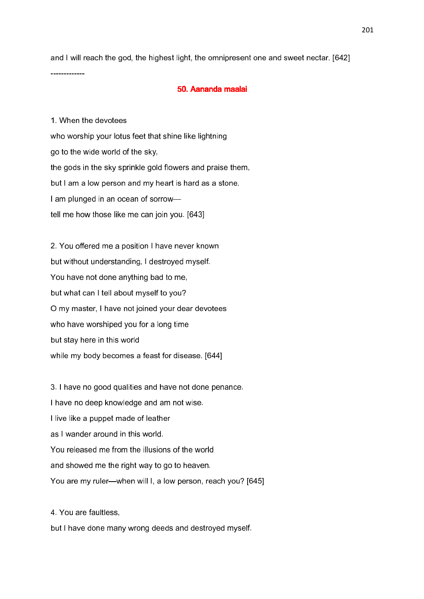and I will reach the god, the highest light, the omnipresent one and sweet nectar. [642]

#### 50. Aananda maalai

1. When the devotees who worship your lotus feet that shine like lightning go to the wide world of the sky, the gods in the sky sprinkle gold flowers and praise them, but I am a low person and my heart is hard as a stone. I am plunged in an ocean of sorrow tell me how those like me can join you. [643]

-------------

2. You offered me a position I have never known but without understanding, I destroyed myself. You have not done anything bad to me, but what can I tell about myself to you? O my master, I have not joined your dear devotees who have worshiped you for a long time but stay here in this world while my body becomes a feast for disease. [644]

3. I have no good qualities and have not done penance. I have no deep knowledge and am not wise. I live like a puppet made of leather as I wander around in this world. You released me from the illusions of the world and showed me the right way to go to heaven. You are my ruler—when will I, a low person, reach you? [645]

4. You are faultless,

but I have done many wrong deeds and destroyed myself.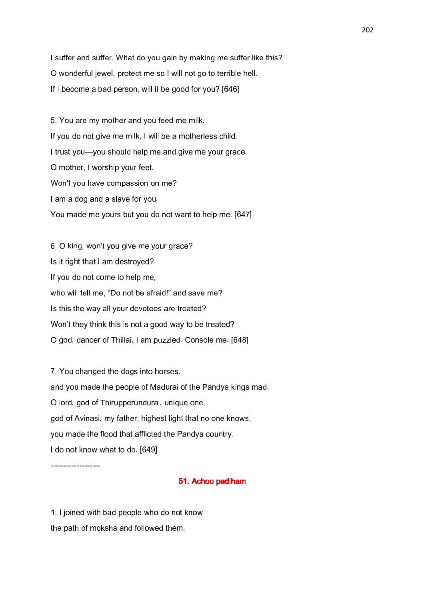I suffer and suffer. What do you gain by making me suffer like this? O wonderful jewel, protect me so I will not go to terrible hell. If I become a bad person, will it be good for you? [646]

5. You are my mother and you feed me milk. If you do not give me milk, I will be a motherless child. I trust you—you should help me and give me your grace. O mother, I worship your feet. Won't you have compassion on me? I am a dog and a slave for you. You made me yours but you do not want to help me. [647]

6. O king, won't you give me your grace? Is it right that I am destroyed? If you do not come to help me, who will tell me, "Do not be afraid!" and save me? Is this the way all your devotees are treated? Won't they think this is not a good way to be treated? O god, dancer of Thillai, I am puzzled. Console me. [648]

7. You changed the dogs into horses, and you made the people of Madurai of the Pandya kings mad. O lord, god of Thirupperundurai, unique one, god of Avinasi, my father, highest light that no one knows, you made the flood that afflicted the Pandya country. I do not know what to do. [649]

-------------------

### 51. Achoo padiham

1. I joined with bad people who do not know the path of moksha and followed them,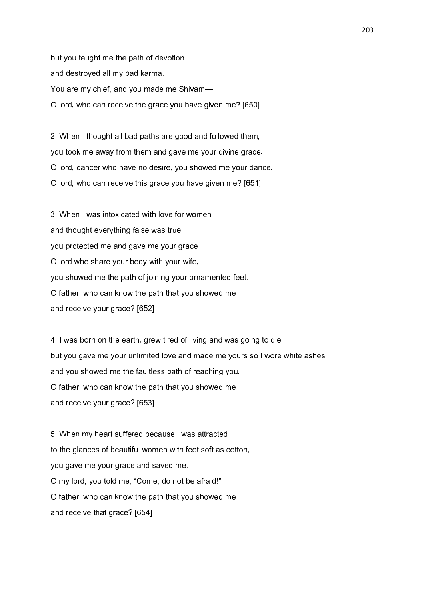but you taught me the path of devotion and destroyed all my bad karma. You are my chief, and you made me Shivam— O lord, who can receive the grace you have given me? [650]

2. When I thought all bad paths are good and followed them, you took me away from them and gave me your divine grace. O lord, dancer who have no desire, you showed me your dance. O lord, who can receive this grace you have given me? [651]

3. When I was intoxicated with love for women and thought everything false was true, you protected me and gave me your grace. O lord who share your body with your wife, you showed me the path of joining your ornamented feet. O father, who can know the path that you showed me and receive your grace? [652]

4. I was born on the earth, grew tired of living and was going to die, but you gave me your unlimited love and made me yours so I wore white ashes, and you showed me the faultless path of reaching you. O father, who can know the path that you showed me and receive your grace? [653]

5. When my heart suffered because I was attracted to the glances of beautiful women with feet soft as cotton, you gave me your grace and saved me. O my lord, you told me, "Come, do not be afraid!" O father, who can know the path that you showed me and receive that grace? [654]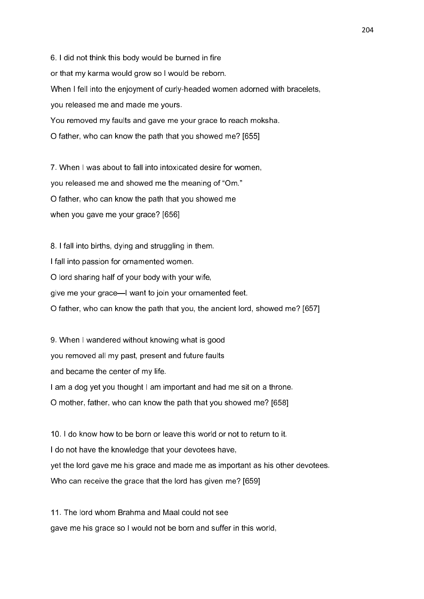6. I did not think this body would be burned in fire or that my karma would grow so I would be reborn. When I fell into the enjoyment of curly-headed women adorned with bracelets, you released me and made me yours. You removed my faults and gave me your grace to reach moksha. O father, who can know the path that you showed me? [655]

7. When I was about to fall into intoxicated desire for women, you released me and showed me the meaning of "Om." O father, who can know the path that you showed me when you gave me your grace? [656]

8. I fall into births, dying and struggling in them. I fall into passion for ornamented women. O lord sharing half of your body with your wife, give me your grace—I want to join your ornamented feet. O father, who can know the path that you, the ancient lord, showed me? [657]

9. When I wandered without knowing what is good you removed all my past, present and future faults and became the center of my life. I am a dog yet you thought I am important and had me sit on a throne. O mother, father, who can know the path that you showed me? [658]

10. I do know how to be born or leave this world or not to return to it. I do not have the knowledge that your devotees have, yet the lord gave me his grace and made me as important as his other devotees. Who can receive the grace that the lord has given me? [659]

11. The lord whom Brahma and Maal could not see gave me his grace so I would not be born and suffer in this world,